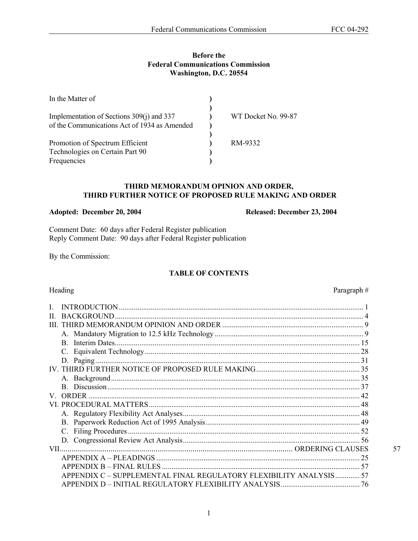## **Before the Federal Communications Commission Washington, D.C. 20554**

| In the Matter of                             |                     |
|----------------------------------------------|---------------------|
| Implementation of Sections 309(j) and 337    | WT Docket No. 99-87 |
| of the Communications Act of 1934 as Amended |                     |
| Promotion of Spectrum Efficient              | RM-9332             |
| Technologies on Certain Part 90              |                     |
| Frequencies                                  |                     |

### **THIRD MEMORANDUM OPINION AND ORDER, THIRD FURTHER NOTICE OF PROPOSED RULE MAKING AND ORDER**

### Adopted: December 20, 2004 Released: December 23, 2004

Comment Date: 60 days after Federal Register publication Reply Comment Date: 90 days after Federal Register publication

By the Commission:

## **TABLE OF CONTENTS**

# Heading Paragraph #

| H.                                                                 |    |
|--------------------------------------------------------------------|----|
| Ш                                                                  |    |
|                                                                    |    |
| $\mathbf{B}$                                                       |    |
|                                                                    |    |
|                                                                    |    |
|                                                                    |    |
|                                                                    |    |
|                                                                    |    |
| <b>ORDER</b><br>V.                                                 |    |
|                                                                    |    |
|                                                                    |    |
|                                                                    |    |
|                                                                    |    |
|                                                                    |    |
| VII —                                                              | 57 |
|                                                                    |    |
| <b>APPENDIX B – FINAL RULES</b>                                    |    |
| APPENDIX C - SUPPLEMENTAL FINAL REGULATORY FLEXIBILITY ANALYSIS 57 |    |
|                                                                    |    |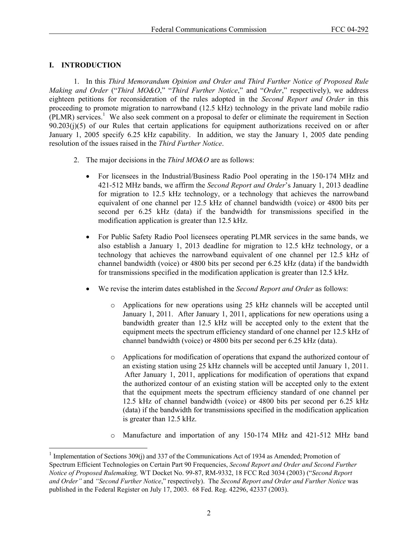## **I. INTRODUCTION**

l

1. In this *Third Memorandum Opinion and Order and Third Further Notice of Proposed Rule Making and Order* ("*Third MO&O*," "*Third Further Notice*," and "*Order*," respectively), we address eighteen petitions for reconsideration of the rules adopted in the *Second Report and Order* in this proceeding to promote migration to narrowband (12.5 kHz) technology in the private land mobile radio (PLMR) services.<sup>1</sup> We also seek comment on a proposal to defer or eliminate the requirement in Section 90.203(j)(5) of our Rules that certain applications for equipment authorizations received on or after January 1, 2005 specify 6.25 kHz capability. In addition, we stay the January 1, 2005 date pending resolution of the issues raised in the *Third Further Notice*.

- 2. The major decisions in the *Third MO&O* are as follows:
	- For licensees in the Industrial/Business Radio Pool operating in the 150-174 MHz and 421-512 MHz bands, we affirm the *Second Report and Order*'s January 1, 2013 deadline for migration to 12.5 kHz technology, or a technology that achieves the narrowband equivalent of one channel per 12.5 kHz of channel bandwidth (voice) or 4800 bits per second per 6.25 kHz (data) if the bandwidth for transmissions specified in the modification application is greater than 12.5 kHz.
	- For Public Safety Radio Pool licensees operating PLMR services in the same bands, we also establish a January 1, 2013 deadline for migration to 12.5 kHz technology, or a technology that achieves the narrowband equivalent of one channel per 12.5 kHz of channel bandwidth (voice) or 4800 bits per second per 6.25 kHz (data) if the bandwidth for transmissions specified in the modification application is greater than 12.5 kHz.
	- We revise the interim dates established in the *Second Report and Order* as follows:
		- o Applications for new operations using 25 kHz channels will be accepted until January 1, 2011. After January 1, 2011, applications for new operations using a bandwidth greater than 12.5 kHz will be accepted only to the extent that the equipment meets the spectrum efficiency standard of one channel per 12.5 kHz of channel bandwidth (voice) or 4800 bits per second per 6.25 kHz (data).
		- o Applications for modification of operations that expand the authorized contour of an existing station using 25 kHz channels will be accepted until January 1, 2011. After January 1, 2011, applications for modification of operations that expand the authorized contour of an existing station will be accepted only to the extent that the equipment meets the spectrum efficiency standard of one channel per 12.5 kHz of channel bandwidth (voice) or 4800 bits per second per 6.25 kHz (data) if the bandwidth for transmissions specified in the modification application is greater than 12.5 kHz.
		- o Manufacture and importation of any 150-174 MHz and 421-512 MHz band

<sup>&</sup>lt;sup>1</sup> Implementation of Sections 309(j) and 337 of the Communications Act of 1934 as Amended; Promotion of Spectrum Efficient Technologies on Certain Part 90 Frequencies, *Second Report and Order and Second Further Notice of Proposed Rulemaking,* WT Docket No. 99-87, RM-9332, 18 FCC Rcd 3034 (2003) ("*Second Report and Order"* and *"Second Further Notice*," respectively). The *Second Report and Order and Further Notice* was published in the Federal Register on July 17, 2003. 68 Fed. Reg. 42296, 42337 (2003).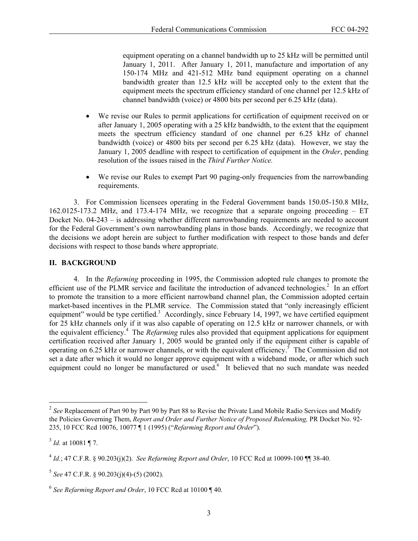equipment operating on a channel bandwidth up to 25 kHz will be permitted until January 1, 2011. After January 1, 2011, manufacture and importation of any 150-174 MHz and 421-512 MHz band equipment operating on a channel bandwidth greater than 12.5 kHz will be accepted only to the extent that the equipment meets the spectrum efficiency standard of one channel per 12.5 kHz of channel bandwidth (voice) or 4800 bits per second per 6.25 kHz (data).

- We revise our Rules to permit applications for certification of equipment received on or after January 1, 2005 operating with a 25 kHz bandwidth, to the extent that the equipment meets the spectrum efficiency standard of one channel per 6.25 kHz of channel bandwidth (voice) or 4800 bits per second per 6.25 kHz (data). However, we stay the January 1, 2005 deadline with respect to certification of equipment in the *Order*, pending resolution of the issues raised in the *Third Further Notice.*
- We revise our Rules to exempt Part 90 paging-only frequencies from the narrowbanding requirements.

3. For Commission licensees operating in the Federal Government bands 150.05-150.8 MHz, 162.0125-173.2 MHz, and 173.4-174 MHz, we recognize that a separate ongoing proceeding – ET Docket No. 04-243 – is addressing whether different narrowbanding requirements are needed to account for the Federal Government's own narrowbanding plans in those bands. Accordingly, we recognize that the decisions we adopt herein are subject to further modification with respect to those bands and defer decisions with respect to those bands where appropriate.

### **II. BACKGROUND**

4. In the *Refarming* proceeding in 1995, the Commission adopted rule changes to promote the efficient use of the PLMR service and facilitate the introduction of advanced technologies.<sup>2</sup> In an effort to promote the transition to a more efficient narrowband channel plan, the Commission adopted certain market-based incentives in the PLMR service. The Commission stated that "only increasingly efficient equipment" would be type certified.<sup>3</sup> Accordingly, since February 14, 1997, we have certified equipment for 25 kHz channels only if it was also capable of operating on 12.5 kHz or narrower channels, or with the equivalent efficiency.4 The *Refarming* rules also provided that equipment applications for equipment certification received after January 1, 2005 would be granted only if the equipment either is capable of operating on 6.25 kHz or narrower channels, or with the equivalent efficiency.<sup>5</sup> The Commission did not set a date after which it would no longer approve equipment with a wideband mode, or after which such equipment could no longer be manufactured or used.<sup>6</sup> It believed that no such mandate was needed

1

<sup>&</sup>lt;sup>2</sup> See Replacement of Part 90 by Part 90 by Part 88 to Revise the Private Land Mobile Radio Services and Modify the Policies Governing Them, *Report and Order and Further Notice of Proposed Rulemaking,* PR Docket No. 92- 235, 10 FCC Rcd 10076, 10077 ¶ 1 (1995) ("*Refarming Report and Order*").

 $3$  *Id.* at 10081 ¶ 7.

<sup>4</sup> *Id.*; 47 C.F.R. § 90.203(j)(2). *See Refarming Report and Order*, 10 FCC Rcd at 10099-100 ¶¶ 38-40*.*

 $5$  *See* 47 C.F.R. § 90.203(j)(4)-(5) (2002).

<sup>6</sup> *See Refarming Report and Order*, 10 FCC Rcd at 10100 ¶ 40*.*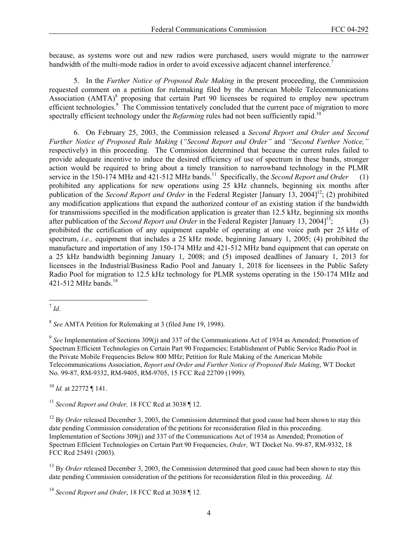because, as systems wore out and new radios were purchased, users would migrate to the narrower bandwidth of the multi-mode radios in order to avoid excessive adjacent channel interference.<sup>7</sup>

5. In the *Further Notice of Proposed Rule Making* in the present proceeding, the Commission requested comment on a petition for rulemaking filed by the American Mobile Telecommunications Association  $(AMTA)^8$  proposing that certain Part 90 licensees be required to employ new spectrum efficient technologies.<sup>9</sup> The Commission tentatively concluded that the current pace of migration to more spectrally efficient technology under the *Refarming* rules had not been sufficiently rapid.<sup>10</sup>

6. On February 25, 2003, the Commission released a *Second Report and Order and Second Further Notice of Proposed Rule Making* (*"Second Report and Order"* and *"Second Further Notice,"*  respectively) in this proceeding. The Commission determined that because the current rules failed to provide adequate incentive to induce the desired efficiency of use of spectrum in these bands, stronger action would be required to bring about a timely transition to narrowband technology in the PLMR service in the 150-174 MHz and 421-512 MHz bands.<sup>11</sup> Specifically, the *Second Report and Order* (1) prohibited any applications for new operations using 25 kHz channels, beginning six months after publication of the *Second Report and Order* in the Federal Register [January 13, 2004]<sup>12</sup>; (2) prohibited any modification applications that expand the authorized contour of an existing station if the bandwidth for transmissions specified in the modification application is greater than 12.5 kHz, beginning six months after publication of the *Second Report and Order* in the Federal Register [January 13, 2004]<sup>13</sup>; (3) prohibited the certification of any equipment capable of operating at one voice path per 25 kHz of spectrum, *i.e.,* equipment that includes a 25 kHz mode, beginning January 1, 2005; (4) prohibited the manufacture and importation of any 150-174 MHz and 421-512 MHz band equipment that can operate on a 25 kHz bandwidth beginning January 1, 2008; and (5) imposed deadlines of January 1, 2013 for licensees in the Industrial/Business Radio Pool and January 1, 2018 for licensees in the Public Safety Radio Pool for migration to 12.5 kHz technology for PLMR systems operating in the 150-174 MHz and 421-512 MHz bands<sup>14</sup>

-

<sup>10</sup> *Id.* at 22772 ¶ 141.

<sup>11</sup> *Second Report and Order,* 18 FCC Rcd at 3038 ¶ 12.

<sup>12</sup> By *Order* released December 3, 2003, the Commission determined that good cause had been shown to stay this date pending Commission consideration of the petitions for reconsideration filed in this proceeding. Implementation of Sections 309(j) and 337 of the Communications Act of 1934 as Amended; Promotion of Spectrum Efficient Technologies on Certain Part 90 Frequencies, *Order,* WT Docket No. 99-87, RM-9332, 18 FCC Rcd 25491 (2003).

<sup>13</sup> By *Order* released December 3, 2003, the Commission determined that good cause had been shown to stay this date pending Commission consideration of the petitions for reconsideration filed in this proceeding. *Id.*

<sup>7</sup> *Id.*

<sup>8</sup> *See* AMTA Petition for Rulemaking at 3 (filed June 19, 1998).

<sup>&</sup>lt;sup>9</sup> See Implementation of Sections 309(j) and 337 of the Communications Act of 1934 as Amended; Promotion of Spectrum Efficient Technologies on Certain Part 90 Frequencies; Establishment of Public Service Radio Pool in the Private Mobile Frequencies Below 800 MHz; Petition for Rule Making of the American Mobile Telecommunications Association, *Report and Order and Further Notice of Proposed Rule Making*, WT Docket No. 99-87, RM-9332, RM-9405, RM-9705, 15 FCC Rcd 22709 (1999).

<sup>14</sup> *Second Report and Order*, 18 FCC Rcd at 3038 ¶ 12*.*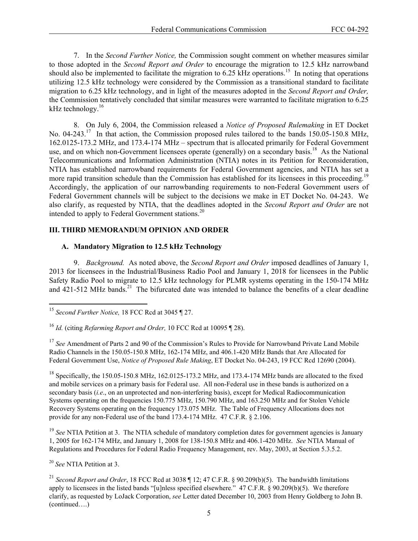7. In the *Second Further Notice,* the Commission sought comment on whether measures similar to those adopted in the *Second Report and Order* to encourage the migration to 12.5 kHz narrowband should also be implemented to facilitate the migration to  $6.25$  kHz operations.<sup>15</sup> In noting that operations utilizing 12.5 kHz technology were considered by the Commission as a transitional standard to facilitate migration to 6.25 kHz technology, and in light of the measures adopted in the *Second Report and Order,*  the Commission tentatively concluded that similar measures were warranted to facilitate migration to 6.25 kHz technology.<sup>16</sup>

8. On July 6, 2004, the Commission released a *Notice of Proposed Rulemaking* in ET Docket No. 04-243.<sup>17</sup> In that action, the Commission proposed rules tailored to the bands 150.05-150.8 MHz, 162.0125-173.2 MHz, and 173.4-174 MHz – spectrum that is allocated primarily for Federal Government use, and on which non-Government licensees operate (generally) on a secondary basis.<sup>18</sup> As the National Telecommunications and Information Administration (NTIA) notes in its Petition for Reconsideration, NTIA has established narrowband requirements for Federal Government agencies, and NTIA has set a more rapid transition schedule than the Commission has established for its licensees in this proceeding.<sup>19</sup> Accordingly, the application of our narrowbanding requirements to non-Federal Government users of Federal Government channels will be subject to the decisions we make in ET Docket No. 04-243. We also clarify, as requested by NTIA, that the deadlines adopted in the *Second Report and Order* are not intended to apply to Federal Government stations.<sup>20</sup>

## **III. THIRD MEMORANDUM OPINION AND ORDER**

### **A. Mandatory Migration to 12.5 kHz Technology**

9. *Background.* As noted above, the *Second Report and Order* imposed deadlines of January 1, 2013 for licensees in the Industrial/Business Radio Pool and January 1, 2018 for licensees in the Public Safety Radio Pool to migrate to 12.5 kHz technology for PLMR systems operating in the 150-174 MHz and 421-512 MHz bands.<sup>21</sup> The bifurcated date was intended to balance the benefits of a clear deadline

<sup>17</sup> See Amendment of Parts 2 and 90 of the Commission's Rules to Provide for Narrowband Private Land Mobile Radio Channels in the 150.05-150.8 MHz, 162-174 MHz, and 406.1-420 MHz Bands that Are Allocated for Federal Government Use, *Notice of Proposed Rule Making*, ET Docket No. 04-243, 19 FCC Rcd 12690 (2004).

<sup>18</sup> Specifically, the 150.05-150.8 MHz, 162.0125-173.2 MHz, and 173.4-174 MHz bands are allocated to the fixed and mobile services on a primary basis for Federal use. All non-Federal use in these bands is authorized on a secondary basis (*i.e*., on an unprotected and non-interfering basis), except for Medical Radiocommunication Systems operating on the frequencies 150.775 MHz, 150.790 MHz, and 163.250 MHz and for Stolen Vehicle Recovery Systems operating on the frequency 173.075 MHz. The Table of Frequency Allocations does not provide for any non-Federal use of the band 173.4-174 MHz. 47 C.F.R. § 2.106.

<sup>19</sup> See NTIA Petition at 3. The NTIA schedule of mandatory completion dates for government agencies is January 1, 2005 for 162-174 MHz, and January 1, 2008 for 138-150.8 MHz and 406.1-420 MHz. *See* NTIA Manual of Regulations and Procedures for Federal Radio Frequency Management, rev. May, 2003, at Section 5.3.5.2.

<sup>20</sup> *See* NTIA Petition at 3.

1

<sup>21</sup> *Second Report and Order*, 18 FCC Rcd at 3038 ¶ 12; 47 C.F.R. § 90.209(b)(5). The bandwidth limitations apply to licensees in the listed bands "[u]nless specified elsewhere*.*" 47 C.F.R. § 90.209(b)(5). We therefore clarify, as requested by LoJack Corporation, *see* Letter dated December 10, 2003 from Henry Goldberg to John B. (continued….)

<sup>15</sup> *Second Further Notice,* 18 FCC Rcd at 3045 ¶ 27.

<sup>16</sup> *Id.* (citing *Refarming Report and Order,* 10 FCC Rcd at 10095 ¶ 28).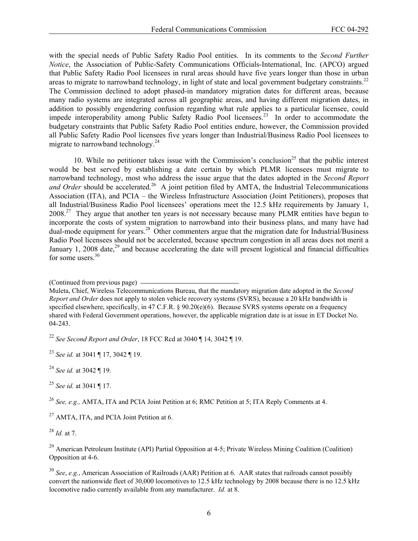with the special needs of Public Safety Radio Pool entities. In its comments to the *Second Further Notice*, the Association of Public-Safety Communications Officials-International, Inc. (APCO) argued that Public Safety Radio Pool licensees in rural areas should have five years longer than those in urban areas to migrate to narrowband technology, in light of state and local government budgetary constraints.<sup>22</sup> The Commission declined to adopt phased-in mandatory migration dates for different areas, because many radio systems are integrated across all geographic areas, and having different migration dates, in addition to possibly engendering confusion regarding what rule applies to a particular licensee, could impede interoperability among Public Safety Radio Pool licensees.<sup>23</sup> In order to accommodate the budgetary constraints that Public Safety Radio Pool entities endure, however, the Commission provided all Public Safety Radio Pool licensees five years longer than Industrial/Business Radio Pool licensees to migrate to narrowband technology.<sup>24</sup>

10. While no petitioner takes issue with the Commission's conclusion<sup>25</sup> that the public interest would be best served by establishing a date certain by which PLMR licensees must migrate to narrowband technology, most who address the issue argue that the dates adopted in the *Second Report*  and Order should be accelerated.<sup>26</sup> A joint petition filed by AMTA, the Industrial Telecommunications Association (ITA), and PCIA – the Wireless Infrastructure Association (Joint Petitioners), proposes that all Industrial/Business Radio Pool licensees' operations meet the 12.5 kHz requirements by January 1,  $2008<sup>27</sup>$  They argue that another ten years is not necessary because many PLMR entities have begun to incorporate the costs of system migration to narrowband into their business plans, and many have had dual-mode equipment for years.28 Other commenters argue that the migration date for Industrial/Business Radio Pool licensees should not be accelerated, because spectrum congestion in all areas does not merit a January 1, 2008 date,  $29$  and because accelerating the date will present logistical and financial difficulties for some users.<sup>30</sup>

<sup>22</sup> *See Second Report and Order*, 18 FCC Rcd at 3040 ¶ 14, 3042 ¶ 19.

<sup>23</sup> *See id.* at 3041 ¶ 17, 3042 ¶ 19.

<sup>24</sup> *See id.* at 3042 ¶ 19.

<sup>25</sup> *See id.* at 3041 ¶ 17.

<sup>26</sup> *See, e.g.,* AMTA, ITA and PCIA Joint Petition at 6; RMC Petition at 5; ITA Reply Comments at 4.

<sup>27</sup> AMTA, ITA, and PCIA Joint Petition at 6.

<sup>28</sup> *Id.* at 7.

<sup>29</sup> American Petroleum Institute (API) Partial Opposition at 4-5; Private Wireless Mining Coalition (Coalition) Opposition at 4-6.

<sup>30</sup> *See*, *e.g.*, American Association of Railroads (AAR) Petition at 6. AAR states that railroads cannot possibly convert the nationwide fleet of 30,000 locomotives to 12.5 kHz technology by 2008 because there is no 12.5 kHz locomotive radio currently available from any manufacturer. *Id.* at 8.

<sup>(</sup>Continued from previous page)

Muleta, Chief, Wireless Telecommunications Bureau, that the mandatory migration date adopted in the *Second Report and Order* does not apply to stolen vehicle recovery systems (SVRS), because a 20 kHz bandwidth is specified elsewhere, specifically, in 47 C.F.R. § 90.20(e)(6). Because SVRS systems operate on a frequency shared with Federal Government operations, however, the applicable migration date is at issue in ET Docket No. 04-243.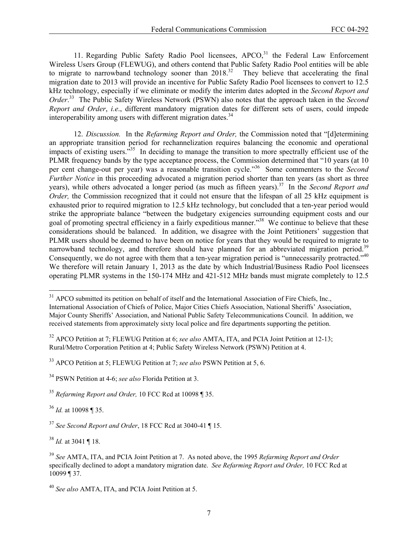11. Regarding Public Safety Radio Pool licensees,  $APCO<sub>31</sub><sup>31</sup>$  the Federal Law Enforcement Wireless Users Group (FLEWUG), and others contend that Public Safety Radio Pool entities will be able to migrate to narrowband technology sooner than  $2018.<sup>32</sup>$  They believe that accelerating the final migration date to 2013 will provide an incentive for Public Safety Radio Pool licensees to convert to 12.5 kHz technology, especially if we eliminate or modify the interim dates adopted in the *Second Report and Order*. 33 The Public Safety Wireless Network (PSWN) also notes that the approach taken in the *Second Report and Order*, *i.e*., different mandatory migration dates for different sets of users, could impede interoperability among users with different migration dates.<sup>34</sup>

12. *Discussion.* In the *Refarming Report and Order,* the Commission noted that "[d]etermining an appropriate transition period for rechannelization requires balancing the economic and operational impacts of existing users.<sup> $35$ </sup> In deciding to manage the transition to more spectrally efficient use of the PLMR frequency bands by the type acceptance process, the Commission determined that "10 years (at 10 per cent change-out per year) was a reasonable transition cycle."36 Some commenters to the *Second Further Notice* in this proceeding advocated a migration period shorter than ten years (as short as three years), while others advocated a longer period (as much as fifteen years).<sup>37</sup> In the *Second Report and Order*, the Commission recognized that it could not ensure that the lifespan of all 25 kHz equipment is exhausted prior to required migration to 12.5 kHz technology, but concluded that a ten-year period would strike the appropriate balance "between the budgetary exigencies surrounding equipment costs and our goal of promoting spectral efficiency in a fairly expeditious manner."<sup>38</sup> We continue to believe that these considerations should be balanced. In addition, we disagree with the Joint Petitioners' suggestion that PLMR users should be deemed to have been on notice for years that they would be required to migrate to narrowband technology, and therefore should have planned for an abbreviated migration period.<sup>39</sup> Consequently, we do not agree with them that a ten-year migration period is "unnecessarily protracted."<sup>40</sup> We therefore will retain January 1, 2013 as the date by which Industrial/Business Radio Pool licensees operating PLMR systems in the 150-174 MHz and 421-512 MHz bands must migrate completely to 12.5

<sup>36</sup> *Id.* at 10098 ¶ 35.

l

<sup>38</sup> *Id.* at 3041 ¶ 18.

<sup>&</sup>lt;sup>31</sup> APCO submitted its petition on behalf of itself and the International Association of Fire Chiefs, Inc., International Association of Chiefs of Police, Major Cities Chiefs Association, National Sheriffs' Association, Major County Sheriffs' Association, and National Public Safety Telecommunications Council. In addition, we received statements from approximately sixty local police and fire departments supporting the petition.

<sup>32</sup> APCO Petition at 7; FLEWUG Petition at 6; *see also* AMTA, ITA, and PCIA Joint Petition at 12-13; Rural/Metro Corporation Petition at 4; Public Safety Wireless Network (PSWN) Petition at 4.

<sup>33</sup> APCO Petition at 5; FLEWUG Petition at 7; *see also* PSWN Petition at 5, 6.

<sup>34</sup> PSWN Petition at 4-6; *see also* Florida Petition at 3.

<sup>35</sup> *Refarming Report and Order,* 10 FCC Rcd at 10098 ¶ 35.

<sup>37</sup> *See Second Report and Order*, 18 FCC Rcd at 3040-41 ¶ 15.

<sup>39</sup> *See* AMTA, ITA, and PCIA Joint Petition at 7. As noted above, the 1995 *Refarming Report and Order*  specifically declined to adopt a mandatory migration date. *See Refarming Report and Order,* 10 FCC Rcd at 10099 ¶ 37.

<sup>40</sup> *See also* AMTA, ITA, and PCIA Joint Petition at 5.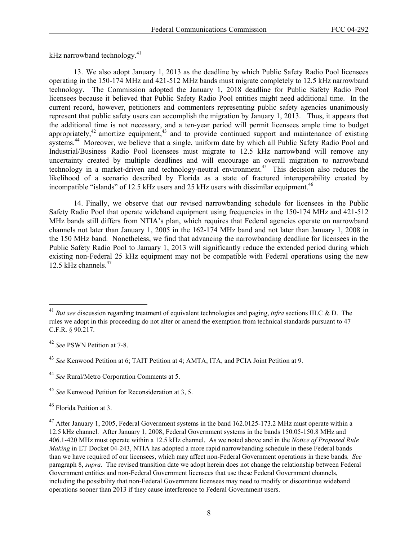kHz narrowband technology. $41$ 

13. We also adopt January 1, 2013 as the deadline by which Public Safety Radio Pool licensees operating in the 150-174 MHz and 421-512 MHz bands must migrate completely to 12.5 kHz narrowband technology. The Commission adopted the January 1, 2018 deadline for Public Safety Radio Pool licensees because it believed that Public Safety Radio Pool entities might need additional time. In the current record, however, petitioners and commenters representing public safety agencies unanimously represent that public safety users can accomplish the migration by January 1, 2013. Thus, it appears that the additional time is not necessary, and a ten-year period will permit licensees ample time to budget appropriately, $42$  amortize equipment, $43$  and to provide continued support and maintenance of existing systems.<sup>44</sup> Moreover, we believe that a single, uniform date by which all Public Safety Radio Pool and Industrial/Business Radio Pool licensees must migrate to 12.5 kHz narrowband will remove any uncertainty created by multiple deadlines and will encourage an overall migration to narrowband technology in a market-driven and technology-neutral environment.<sup>45</sup> This decision also reduces the likelihood of a scenario described by Florida as a state of fractured interoperability created by incompatible "islands" of 12.5 kHz users and 25 kHz users with dissimilar equipment.<sup>46</sup>

14. Finally, we observe that our revised narrowbanding schedule for licensees in the Public Safety Radio Pool that operate wideband equipment using frequencies in the 150-174 MHz and 421-512 MHz bands still differs from NTIA's plan, which requires that Federal agencies operate on narrowband channels not later than January 1, 2005 in the 162-174 MHz band and not later than January 1, 2008 in the 150 MHz band. Nonetheless, we find that advancing the narrowbanding deadline for licensees in the Public Safety Radio Pool to January 1, 2013 will significantly reduce the extended period during which existing non-Federal 25 kHz equipment may not be compatible with Federal operations using the new 12.5 kHz channels. $47$ 

-

<sup>41</sup> *But see* discussion regarding treatment of equivalent technologies and paging, *infra* sections III.C & D. The rules we adopt in this proceeding do not alter or amend the exemption from technical standards pursuant to 47 C.F.R. § 90.217.

<sup>42</sup> *See* PSWN Petition at 7-8.

<sup>43</sup> *See* Kenwood Petition at 6; TAIT Petition at 4; AMTA, ITA, and PCIA Joint Petition at 9.

<sup>44</sup> *See* Rural/Metro Corporation Comments at 5.

<sup>45</sup> *See* Kenwood Petition for Reconsideration at 3, 5.

<sup>46</sup> Florida Petition at 3.

 $^{47}$  After January 1, 2005, Federal Government systems in the band 162.0125-173.2 MHz must operate within a 12.5 kHz channel. After January 1, 2008, Federal Government systems in the bands 150.05-150.8 MHz and 406.1-420 MHz must operate within a 12.5 kHz channel. As we noted above and in the *Notice of Proposed Rule Making* in ET Docket 04-243, NTIA has adopted a more rapid narrowbanding schedule in these Federal bands than we have required of our licensees, which may affect non-Federal Government operations in these bands. *See*  paragraph 8, *supra.* The revised transition date we adopt herein does not change the relationship between Federal Government entities and non-Federal Government licensees that use these Federal Government channels, including the possibility that non-Federal Government licensees may need to modify or discontinue wideband operations sooner than 2013 if they cause interference to Federal Government users.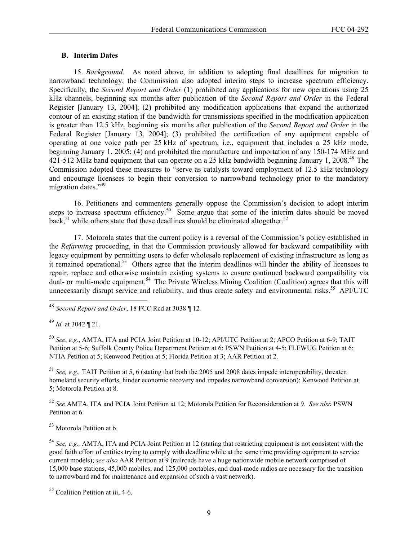### **B. Interim Dates**

15. *Background*. As noted above, in addition to adopting final deadlines for migration to narrowband technology, the Commission also adopted interim steps to increase spectrum efficiency. Specifically, the *Second Report and Order* (1) prohibited any applications for new operations using 25 kHz channels, beginning six months after publication of the *Second Report and Order* in the Federal Register [January 13, 2004]; (2) prohibited any modification applications that expand the authorized contour of an existing station if the bandwidth for transmissions specified in the modification application is greater than 12.5 kHz, beginning six months after publication of the *Second Report and Order* in the Federal Register [January 13, 2004]; (3) prohibited the certification of any equipment capable of operating at one voice path per 25 kHz of spectrum, i.e., equipment that includes a 25 kHz mode, beginning January 1, 2005; (4) and prohibited the manufacture and importation of any 150-174 MHz and 421-512 MHz band equipment that can operate on a 25 kHz bandwidth beginning January 1, 2008.<sup>48</sup> The Commission adopted these measures to "serve as catalysts toward employment of 12.5 kHz technology and encourage licensees to begin their conversion to narrowband technology prior to the mandatory migration dates."<sup>49</sup>

16. Petitioners and commenters generally oppose the Commission's decision to adopt interim steps to increase spectrum efficiency.<sup>50</sup> Some argue that some of the interim dates should be moved back,<sup>51</sup> while others state that these deadlines should be eliminated altogether.<sup>52</sup>

17. Motorola states that the current policy is a reversal of the Commission's policy established in the *Refarming* proceeding, in that the Commission previously allowed for backward compatibility with legacy equipment by permitting users to defer wholesale replacement of existing infrastructure as long as it remained operational.<sup>53</sup> Others agree that the interim deadlines will hinder the ability of licensees to repair, replace and otherwise maintain existing systems to ensure continued backward compatibility via dual- or multi-mode equipment.<sup>54</sup> The Private Wireless Mining Coalition (Coalition) agrees that this will unnecessarily disrupt service and reliability, and thus create safety and environmental risks.<sup>55</sup> API/UTC

<sup>49</sup> *Id.* at 3042 ¶ 21*.*

l

<sup>50</sup> *See*, *e.g.*, AMTA, ITA and PCIA Joint Petition at 10-12; API/UTC Petition at 2; APCO Petition at 6-9; TAIT Petition at 5-6; Suffolk County Police Department Petition at 6; PSWN Petition at 4-5; FLEWUG Petition at 6; NTIA Petition at 5; Kenwood Petition at 5; Florida Petition at 3; AAR Petition at 2.

<sup>51</sup> *See, e.g.,* TAIT Petition at 5, 6 (stating that both the 2005 and 2008 dates impede interoperability, threaten homeland security efforts, hinder economic recovery and impedes narrowband conversion); Kenwood Petition at 5; Motorola Petition at 8.

<sup>52</sup> *See* AMTA, ITA and PCIA Joint Petition at 12; Motorola Petition for Reconsideration at 9. *See also* PSWN Petition at 6.

53 Motorola Petition at 6.

<sup>54</sup> *See, e.g.,* AMTA, ITA and PCIA Joint Petition at 12 (stating that restricting equipment is not consistent with the good faith effort of entities trying to comply with deadline while at the same time providing equipment to service current models); *see also* AAR Petition at 9 (railroads have a huge nationwide mobile network comprised of 15,000 base stations, 45,000 mobiles, and 125,000 portables, and dual-mode radios are necessary for the transition to narrowband and for maintenance and expansion of such a vast network).

<sup>48</sup> *Second Report and Order*, 18 FCC Rcd at 3038 ¶ 12*.* 

<sup>&</sup>lt;sup>55</sup> Coalition Petition at iii, 4-6.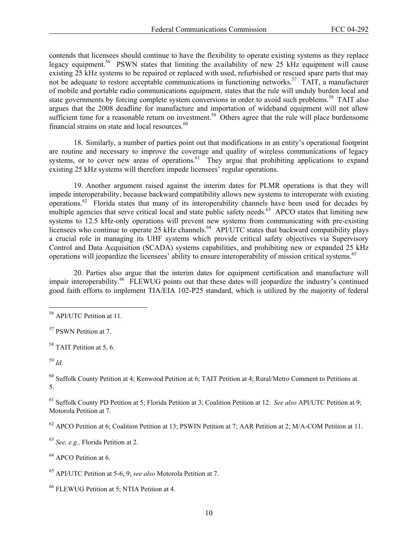contends that licensees should continue to have the flexibility to operate existing systems as they replace legacy equipment.<sup>56</sup> PSWN states that limiting the availability of new 25 kHz equipment will cause existing 25 kHz systems to be repaired or replaced with used, refurbished or rescued spare parts that may not be adequate to restore acceptable communications in functioning networks.<sup>57</sup> TAIT, a manufacturer of mobile and portable radio communications equipment, states that the rule will unduly burden local and state governments by forcing complete system conversions in order to avoid such problems.<sup>58</sup> TAIT also argues that the 2008 deadline for manufacture and importation of wideband equipment will not allow sufficient time for a reasonable return on investment.<sup>59</sup> Others agree that the rule will place burdensome financial strains on state and local resources. $60$ 

18. Similarly, a number of parties point out that modifications in an entity's operational footprint are routine and necessary to improve the coverage and quality of wireless communications of legacy systems, or to cover new areas of operations.<sup>61</sup> They argue that prohibiting applications to expand existing 25 kHz systems will therefore impede licensees' regular operations.

19. Another argument raised against the interim dates for PLMR operations is that they will impede interoperability, because backward compatibility allows new systems to interoperate with existing operations.62 Florida states that many of its interoperability channels have been used for decades by multiple agencies that serve critical local and state public safety needs.<sup>63</sup> APCO states that limiting new systems to 12.5 kHz-only operations will prevent new systems from communicating with pre-existing licensees who continue to operate 25 kHz channels.<sup>64</sup> API/UTC states that backward compatibility plays a crucial role in managing its UHF systems which provide critical safety objectives via Supervisory Control and Data Acquisition (SCADA) systems capabilities, and prohibiting new or expanded 25 kHz operations will jeopardize the licensees' ability to ensure interoperability of mission critical systems.65

20. Parties also argue that the interim dates for equipment certification and manufacture will impair interoperability.<sup>66</sup> FLEWUG points out that these dates will jeopardize the industry's continued good faith efforts to implement TIA/EIA 102-P25 standard, which is utilized by the majority of federal

-

<sup>60</sup> Suffolk County Petition at 4; Kenwood Petition at 6; TAIT Petition at 4; Rural/Metro Comment to Petitions at 5.

61 Suffolk County PD Petition at 5; Florida Petition at 3; Coalition Petition at 12. *See also* API/UTC Petition at 9; Motorola Petition at 7.

 $62$  APCO Petition at 6; Coalition Petition at 13; PSWIN Petition at 7; AAR Petition at 2; M/A-COM Petition at 11.

<sup>63</sup> *See, e.g.,* Florida Petition at 2.

<sup>64</sup> APCO Petition at 6.

65 API/UTC Petition at 5-6, 9; *see also* Motorola Petition at 7.

66 FLEWUG Petition at 5; NTIA Petition at 4.

<sup>56</sup> API/UTC Petition at 11.

<sup>57</sup> PSWN Petition at 7.

<sup>&</sup>lt;sup>58</sup> TAIT Petition at 5, 6.

<sup>59</sup> *Id.*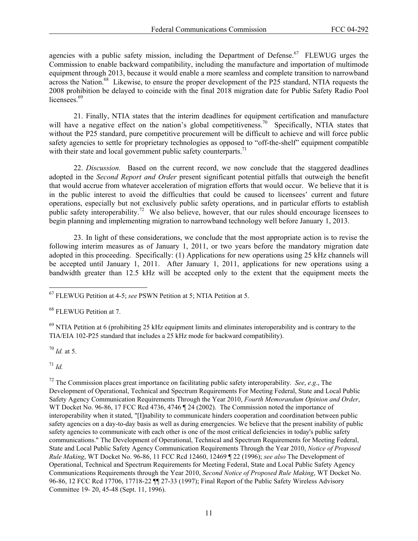agencies with a public safety mission, including the Department of Defense.<sup>67</sup> FLEWUG urges the Commission to enable backward compatibility, including the manufacture and importation of multimode equipment through 2013, because it would enable a more seamless and complete transition to narrowband across the Nation.<sup>68</sup> Likewise, to ensure the proper development of the P25 standard, NTIA requests the 2008 prohibition be delayed to coincide with the final 2018 migration date for Public Safety Radio Pool licensees.<sup>69</sup>

21. Finally, NTIA states that the interim deadlines for equipment certification and manufacture will have a negative effect on the nation's global competitiveness.<sup>70</sup> Specifically, NTIA states that without the P25 standard, pure competitive procurement will be difficult to achieve and will force public safety agencies to settle for proprietary technologies as opposed to "off-the-shelf" equipment compatible with their state and local government public safety counterparts.<sup>71</sup>

22. *Discussion.* Based on the current record, we now conclude that the staggered deadlines adopted in the *Second Report and Order* present significant potential pitfalls that outweigh the benefit that would accrue from whatever acceleration of migration efforts that would occur. We believe that it is in the public interest to avoid the difficulties that could be caused to licensees' current and future operations, especially but not exclusively public safety operations, and in particular efforts to establish public safety interoperability.<sup>72</sup> We also believe, however, that our rules should encourage licensees to begin planning and implementing migration to narrowband technology well before January 1, 2013.

23. In light of these considerations, we conclude that the most appropriate action is to revise the following interim measures as of January 1, 2011, or two years before the mandatory migration date adopted in this proceeding. Specifically: (1) Applications for new operations using 25 kHz channels will be accepted until January 1, 2011. After January 1, 2011, applications for new operations using a bandwidth greater than 12.5 kHz will be accepted only to the extent that the equipment meets the

<sup>68</sup> FLEWUG Petition at 7.

 $69$  NTIA Petition at 6 (prohibiting 25 kHz equipment limits and eliminates interoperability and is contrary to the TIA/EIA 102-P25 standard that includes a 25 kHz mode for backward compatibility).

<sup>70</sup> *Id.* at 5.

 $^{71}$  *Id.* 

1

72 The Commission places great importance on facilitating public safety interoperability. *See*, *e.g*., The Development of Operational, Technical and Spectrum Requirements For Meeting Federal, State and Local Public Safety Agency Communication Requirements Through the Year 2010, *Fourth Memorandum Opinion and Order*, WT Docket No. 96-86, 17 FCC Rcd 4736, 4746 ¶ 24 (2002). The Commission noted the importance of interoperability when it stated, "[I]nability to communicate hinders cooperation and coordination between public safety agencies on a day-to-day basis as well as during emergencies. We believe that the present inability of public safety agencies to communicate with each other is one of the most critical deficiencies in today's public safety communications." The Development of Operational, Technical and Spectrum Requirements for Meeting Federal, State and Local Public Safety Agency Communication Requirements Through the Year 2010, *Notice of Proposed Rule Making*, WT Docket No. 96-86, 11 FCC Rcd 12460, 12469 ¶ 22 (1996); *see also* The Development of Operational, Technical and Spectrum Requirements for Meeting Federal, State and Local Public Safety Agency Communications Requirements through the Year 2010, *Second Notice of Proposed Rule Making*, WT Docket No. 96-86, 12 FCC Rcd 17706, 17718-22 ¶¶ 27-33 (1997); Final Report of the Public Safety Wireless Advisory Committee 19- 20, 45-48 (Sept. 11, 1996).

<sup>67</sup> FLEWUG Petition at 4-5; *see* PSWN Petition at 5; NTIA Petition at 5.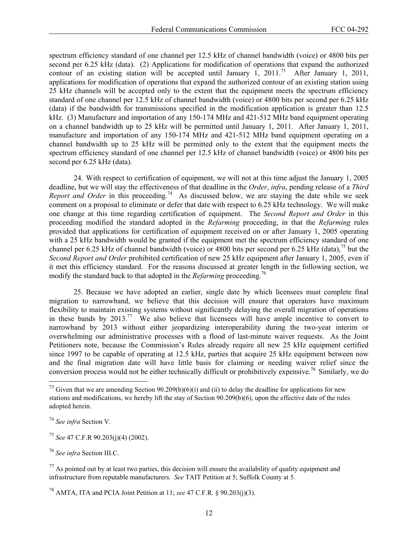spectrum efficiency standard of one channel per 12.5 kHz of channel bandwidth (voice) or 4800 bits per second per 6.25 kHz (data). (2) Applications for modification of operations that expand the authorized contour of an existing station will be accepted until January 1, 2011.<sup>73</sup> After January 1, 2011, applications for modification of operations that expand the authorized contour of an existing station using 25 kHz channels will be accepted only to the extent that the equipment meets the spectrum efficiency standard of one channel per 12.5 kHz of channel bandwidth (voice) or 4800 bits per second per 6.25 kHz (data) if the bandwidth for transmissions specified in the modification application is greater than 12.5 kHz. (3) Manufacture and importation of any 150-174 MHz and 421-512 MHz band equipment operating on a channel bandwidth up to 25 kHz will be permitted until January 1, 2011. After January 1, 2011, manufacture and importation of any 150-174 MHz and 421-512 MHz band equipment operating on a channel bandwidth up to 25 kHz will be permitted only to the extent that the equipment meets the spectrum efficiency standard of one channel per 12.5 kHz of channel bandwidth (voice) or 4800 bits per second per 6.25 kHz (data).

24. With respect to certification of equipment, we will not at this time adjust the January 1, 2005 deadline, but we will stay the effectiveness of that deadline in the *Order*, *infra*, pending release of a *Third Report and Order* in this proceeding*.* 74 As discussed below, we are staying the date while we seek comment on a proposal to eliminate or defer that date with respect to 6.25 kHz technology. We will make one change at this time regarding certification of equipment. The *Second Report and Order* in this proceeding modified the standard adopted in the *Refarming* proceeding, in that the *Refarming* rules provided that applications for certification of equipment received on or after January 1, 2005 operating with a 25 kHz bandwidth would be granted if the equipment met the spectrum efficiency standard of one channel per 6.25 kHz of channel bandwidth (voice) or 4800 bits per second per 6.25 kHz (data),<sup>75</sup> but the *Second Report and Order* prohibited certification of new 25 kHz equipment after January 1, 2005, even if it met this efficiency standard. For the reasons discussed at greater length in the following section, we modify the standard back to that adopted in the *Refarming* proceeding.76

25. Because we have adopted an earlier, single date by which licensees must complete final migration to narrowband, we believe that this decision will ensure that operators have maximum flexibility to maintain existing systems without significantly delaying the overall migration of operations in these bands by 2013.77 We also believe that licensees will have ample incentive to convert to narrowband by 2013 without either jeopardizing interoperability during the two-year interim or overwhelming our administrative processes with a flood of last-minute waiver requests. As the Joint Petitioners note, because the Commission's Rules already require all new 25 kHz equipment certified since 1997 to be capable of operating at 12.5 kHz, parties that acquire 25 kHz equipment between now and the final migration date will have little basis for claiming or needing waiver relief since the conversion process would not be either technically difficult or prohibitively expensive.78 Similarly, we do

l

<sup>75</sup> *See* 47 C.F.R 90.203(j)(4) (2002).

<sup>76</sup> *See infra* Section III.C.

 $^{77}$  As pointed out by at least two parties, this decision will ensure the availability of quality equipment and infrastructure from reputable manufacturers. *See* TAIT Petition at 5; Suffolk County at 5.

<sup>&</sup>lt;sup>73</sup> Given that we are amending Section 90.209(b)(6)(i) and (ii) to delay the deadline for applications for new stations and modifications, we hereby lift the stay of Section 90.209(b)(6), upon the effective date of the rules adopted herein.

<sup>74</sup> *See infra* Section V.

<sup>78</sup> AMTA, ITA and PCIA Joint Petition at 11; *see* 47 C.F.R. § 90.203(j)(3).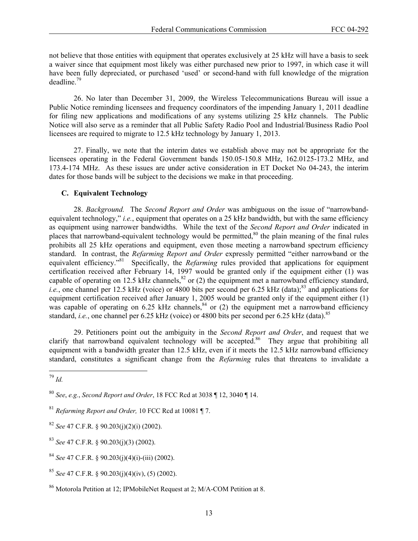not believe that those entities with equipment that operates exclusively at 25 kHz will have a basis to seek a waiver since that equipment most likely was either purchased new prior to 1997, in which case it will have been fully depreciated, or purchased 'used' or second-hand with full knowledge of the migration deadline.<sup>79</sup>

26. No later than December 31, 2009, the Wireless Telecommunications Bureau will issue a Public Notice reminding licensees and frequency coordinators of the impending January 1, 2011 deadline for filing new applications and modifications of any systems utilizing 25 kHz channels. The Public Notice will also serve as a reminder that all Public Safety Radio Pool and Industrial/Business Radio Pool licensees are required to migrate to 12.5 kHz technology by January 1, 2013.

27. Finally, we note that the interim dates we establish above may not be appropriate for the licensees operating in the Federal Government bands 150.05-150.8 MHz, 162.0125-173.2 MHz, and 173.4-174 MHz. As these issues are under active consideration in ET Docket No 04-243, the interim dates for those bands will be subject to the decisions we make in that proceeding.

## **C. Equivalent Technology**

28. *Background.* The *Second Report and Order* was ambiguous on the issue of "narrowbandequivalent technology," *i.e.*, equipment that operates on a 25 kHz bandwidth, but with the same efficiency as equipment using narrower bandwidths. While the text of the *Second Report and Order* indicated in places that narrowband-equivalent technology would be permitted,<sup>80</sup> the plain meaning of the final rules prohibits all 25 kHz operations and equipment, even those meeting a narrowband spectrum efficiency standard. In contrast, the *Refarming Report and Order* expressly permitted "either narrowband or the equivalent efficiency."<sup>81</sup> Specifically, the *Refarming* rules provided that applications for equipment certification received after February 14, 1997 would be granted only if the equipment either (1) was capable of operating on 12.5 kHz channels,<sup>82</sup> or (2) the equipment met a narrowband efficiency standard, *i.e.*, one channel per 12.5 kHz (voice) or 4800 bits per second per 6.25 kHz (data);<sup>83</sup> and applications for equipment certification received after January 1, 2005 would be granted only if the equipment either (1) was capable of operating on 6.25 kHz channels,  $^{84}$  or (2) the equipment met a narrowband efficiency standard, *i.e.*, one channel per 6.25 kHz (voice) or 4800 bits per second per 6.25 kHz (data).<sup>85</sup>

29. Petitioners point out the ambiguity in the *Second Report and Order*, and request that we clarify that narrowband equivalent technology will be accepted.<sup>86</sup> They argue that prohibiting all equipment with a bandwidth greater than 12.5 kHz, even if it meets the 12.5 kHz narrowband efficiency standard, constitutes a significant change from the *Refarming* rules that threatens to invalidate a

<sup>1</sup> <sup>79</sup> *Id.* 

<sup>80</sup> *See*, *e.g.*, *Second Report and Order*, 18 FCC Rcd at 3038 ¶ 12, 3040 ¶ 14.

<sup>81</sup> *Refarming Report and Order,* 10 FCC Rcd at 10081 ¶ 7.

<sup>82</sup> *See* 47 C.F.R. § 90.203(j)(2)(i) (2002).

<sup>83</sup> *See* 47 C.F.R. § 90.203(j)(3) (2002).

<sup>84</sup> *See* 47 C.F.R. § 90.203(j)(4)(i)-(iii) (2002).

<sup>85</sup> *See* 47 C.F.R. § 90.203(j)(4)(iv), (5) (2002).

<sup>86</sup> Motorola Petition at 12; IPMobileNet Request at 2; M/A-COM Petition at 8.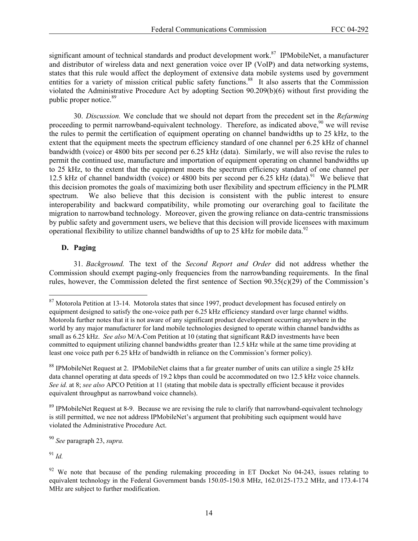significant amount of technical standards and product development work.<sup>87</sup> IPMobileNet, a manufacturer and distributor of wireless data and next generation voice over IP (VoIP) and data networking systems, states that this rule would affect the deployment of extensive data mobile systems used by government entities for a variety of mission critical public safety functions.<sup>88</sup> It also asserts that the Commission violated the Administrative Procedure Act by adopting Section 90.209(b)(6) without first providing the public proper notice.<sup>89</sup>

30. *Discussion.* We conclude that we should not depart from the precedent set in the *Refarming* proceeding to permit narrowband-equivalent technology. Therefore, as indicated above,<sup>90</sup> we will revise the rules to permit the certification of equipment operating on channel bandwidths up to 25 kHz, to the extent that the equipment meets the spectrum efficiency standard of one channel per 6.25 kHz of channel bandwidth (voice) or 4800 bits per second per 6.25 kHz (data). Similarly, we will also revise the rules to permit the continued use, manufacture and importation of equipment operating on channel bandwidths up to 25 kHz, to the extent that the equipment meets the spectrum efficiency standard of one channel per 12.5 kHz of channel bandwidth (voice) or 4800 bits per second per 6.25 kHz (data).<sup>91</sup> We believe that this decision promotes the goals of maximizing both user flexibility and spectrum efficiency in the PLMR spectrum. We also believe that this decision is consistent with the public interest to ensure interoperability and backward compatibility, while promoting our overarching goal to facilitate the migration to narrowband technology. Moreover, given the growing reliance on data-centric transmissions by public safety and government users, we believe that this decision will provide licensees with maximum operational flexibility to utilize channel bandwidths of up to 25 kHz for mobile data.<sup>92</sup>

# **D. Paging**

1

31. *Background.* The text of the *Second Report and Order* did not address whether the Commission should exempt paging-only frequencies from the narrowbanding requirements. In the final rules, however, the Commission deleted the first sentence of Section 90.35(c)(29) of the Commission's

<sup>90</sup> *See* paragraph 23, *supra.* 

 $91$  *Id.* 

 $87$  Motorola Petition at 13-14. Motorola states that since 1997, product development has focused entirely on equipment designed to satisfy the one-voice path per 6.25 kHz efficiency standard over large channel widths. Motorola further notes that it is not aware of any significant product development occurring anywhere in the world by any major manufacturer for land mobile technologies designed to operate within channel bandwidths as small as 6.25 kHz. *See also* M/A-Com Petition at 10 (stating that significant R&D investments have been committed to equipment utilizing channel bandwidths greater than 12.5 kHz while at the same time providing at least one voice path per 6.25 kHz of bandwidth in reliance on the Commission's former policy).

<sup>&</sup>lt;sup>88</sup> IPMobileNet Request at 2. IPMobileNet claims that a far greater number of units can utilize a single 25 kHz data channel operating at data speeds of 19.2 kbps than could be accommodated on two 12.5 kHz voice channels. *See id.* at 8; *see also* APCO Petition at 11 (stating that mobile data is spectrally efficient because it provides equivalent throughput as narrowband voice channels).

<sup>&</sup>lt;sup>89</sup> IPMobileNet Request at 8-9. Because we are revising the rule to clarify that narrowband-equivalent technology is still permitted, we nee not address IPMobileNet's argument that prohibiting such equipment would have violated the Administrative Procedure Act.

 $92$  We note that because of the pending rulemaking proceeding in ET Docket No 04-243, issues relating to equivalent technology in the Federal Government bands 150.05-150.8 MHz, 162.0125-173.2 MHz, and 173.4-174 MHz are subject to further modification.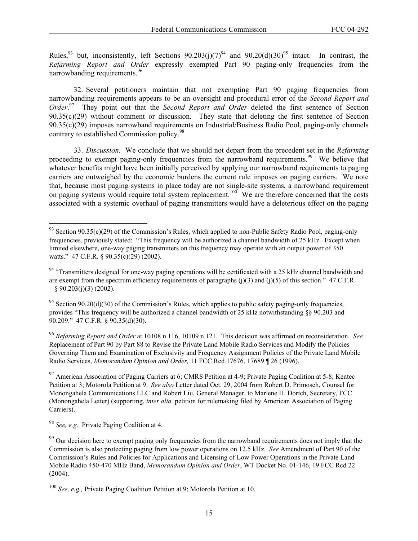Rules,<sup>93</sup> but, inconsistently, left Sections  $90.203(j)(7)^{94}$  and  $90.20(d)(30)^{95}$  intact. In contrast, the *Refarming Report and Order* expressly exempted Part 90 paging-only frequencies from the narrowbanding requirements.<sup>96</sup>

32. Several petitioners maintain that not exempting Part 90 paging frequencies from narrowbanding requirements appears to be an oversight and procedural error of the *Second Report and Order*. 97 They point out that the *Second Report and Order* deleted the first sentence of Section 90.35(c)(29) without comment or discussion. They state that deleting the first sentence of Section 90.35(c)(29) imposes narrowband requirements on Industrial/Business Radio Pool, paging-only channels contrary to established Commission policy.<sup>98</sup>

33. *Discussion.* We conclude that we should not depart from the precedent set in the *Refarming* proceeding to exempt paging-only frequencies from the narrowband requirements.<sup>99</sup> We believe that whatever benefits might have been initially perceived by applying our narrowband requirements to paging carriers are outweighed by the economic burdens the current rule imposes on paging carriers. We note that, because most paging systems in place today are not single-site systems, a narrowband requirement on paging systems would require total system replacement.<sup>100</sup> We are therefore concerned that the costs associated with a systemic overhaul of paging transmitters would have a deleterious effect on the paging

1

<sup>&</sup>lt;sup>93</sup> Section 90.35(c)(29) of the Commission's Rules, which applied to non-Public Safety Radio Pool, paging-only frequencies, previously stated: "This frequency will be authorized a channel bandwidth of 25 kHz. Except when limited elsewhere, one-way paging transmitters on this frequency may operate with an output power of 350 watts." 47 C.F.R. § 90.35(c)(29) (2002).

<sup>&</sup>lt;sup>94</sup> "Transmitters designed for one-way paging operations will be certificated with a 25 kHz channel bandwidth and are exempt from the spectrum efficiency requirements of paragraphs (j)(3) and (j)(5) of this section."  $47$  C.F.R. § 90.203(j)(3) (2002).

<sup>&</sup>lt;sup>95</sup> Section 90.20(d)(30) of the Commission's Rules, which applies to public safety paging-only frequencies, provides "This frequency will be authorized a channel bandwidth of 25 kHz notwithstanding §§ 90.203 and 90.209." 47 C.F.R. § 90.35(d)(30).

<sup>96</sup> *Refarming Report and Order* at 10108 n.116, 10109 n.121. This decision was affirmed on reconsideration. *See*  Replacement of Part 90 by Part 88 to Revise the Private Land Mobile Radio Services and Modify the Policies Governing Them and Examination of Exclusivity and Frequency Assignment Policies of the Private Land Mobile Radio Services, *Memorandum Opinion and Order,* 11 FCC Rcd 17676, 17689 ¶ 26 (1996).

 $97$  American Association of Paging Carriers at 6; CMRS Petition at 4-9; Private Paging Coalition at 5-8; Kentec Petition at 3; Motorola Petition at 9. *See also* Letter dated Oct. 29, 2004 from Robert D. Primosch, Counsel for Monongahela Communications LLC and Robert Liu, General Manager, to Marlene H. Dortch, Secretary, FCC (Monongahela Letter) (supporting, *inter alia,* petition for rulemaking filed by American Association of Paging Carriers).

<sup>98</sup> *See, e.g.,* Private Paging Coalition at 4.

<sup>&</sup>lt;sup>99</sup> Our decision here to exempt paging only frequencies from the narrowband requirements does not imply that the Commission is also protecting paging from low power operations on 12.5 kHz. *See* Amendment of Part 90 of the Commission's Rules and Policies for Applications and Licensing of Low Power Operations in the Private Land Mobile Radio 450-470 MHz Band, *Memorandum Opinion and Order*, WT Docket No. 01-146, 19 FCC Rcd 22 (2004).

<sup>100</sup> *See, e.g.,* Private Paging Coalition Petition at 9; Motorola Petition at 10.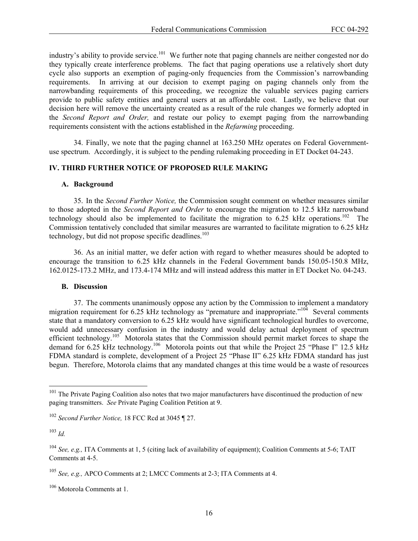industry's ability to provide service.<sup>101</sup> We further note that paging channels are neither congested nor do they typically create interference problems. The fact that paging operations use a relatively short duty cycle also supports an exemption of paging-only frequencies from the Commission's narrowbanding requirements. In arriving at our decision to exempt paging on paging channels only from the narrowbanding requirements of this proceeding, we recognize the valuable services paging carriers provide to public safety entities and general users at an affordable cost. Lastly, we believe that our decision here will remove the uncertainty created as a result of the rule changes we formerly adopted in the *Second Report and Order,* and restate our policy to exempt paging from the narrowbanding requirements consistent with the actions established in the *Refarming* proceeding.

34. Finally, we note that the paging channel at 163.250 MHz operates on Federal Governmentuse spectrum. Accordingly, it is subject to the pending rulemaking proceeding in ET Docket 04-243.

### **IV. THIRD FURTHER NOTICE OF PROPOSED RULE MAKING**

### **A. Background**

35. In the *Second Further Notice,* the Commission sought comment on whether measures similar to those adopted in the *Second Report and Order* to encourage the migration to 12.5 kHz narrowband technology should also be implemented to facilitate the migration to  $6.25$  kHz operations.<sup>102</sup> The Commission tentatively concluded that similar measures are warranted to facilitate migration to 6.25 kHz technology, but did not propose specific deadlines.<sup>103</sup>

36. As an initial matter, we defer action with regard to whether measures should be adopted to encourage the transition to 6.25 kHz channels in the Federal Government bands 150.05-150.8 MHz, 162.0125-173.2 MHz, and 173.4-174 MHz and will instead address this matter in ET Docket No. 04-243.

#### **B. Discussion**

37. The comments unanimously oppose any action by the Commission to implement a mandatory migration requirement for 6.25 kHz technology as "premature and inappropriate."<sup>104</sup> Several comments state that a mandatory conversion to 6.25 kHz would have significant technological hurdles to overcome, would add unnecessary confusion in the industry and would delay actual deployment of spectrum efficient technology.<sup>105</sup> Motorola states that the Commission should permit market forces to shape the demand for 6.25 kHz technology.<sup>106</sup> Motorola points out that while the Project 25 "Phase I" 12.5 kHz FDMA standard is complete, development of a Project 25 "Phase II" 6.25 kHz FDMA standard has just begun. Therefore, Motorola claims that any mandated changes at this time would be a waste of resources

l

 $101$  The Private Paging Coalition also notes that two major manufacturers have discontinued the production of new paging transmitters. *See* Private Paging Coalition Petition at 9.

<sup>102</sup> *Second Further Notice,* 18 FCC Rcd at 3045 ¶ 27.

<sup>103</sup> *Id.* 

<sup>104</sup> *See, e.g.,* ITA Comments at 1, 5 (citing lack of availability of equipment); Coalition Comments at 5-6; TAIT Comments at 4-5.

<sup>105</sup> *See, e.g.,* APCO Comments at 2; LMCC Comments at 2-3; ITA Comments at 4.

<sup>106</sup> Motorola Comments at 1.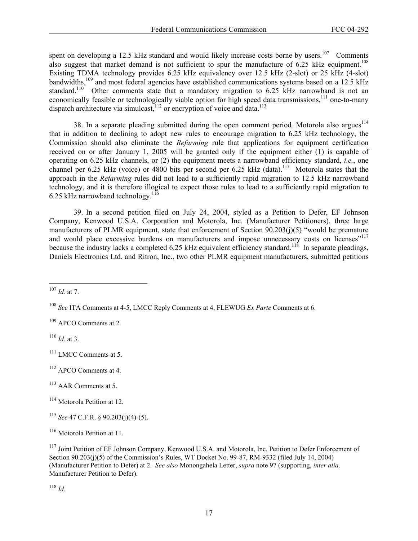spent on developing a 12.5 kHz standard and would likely increase costs borne by users.<sup>107</sup> Comments also suggest that market demand is not sufficient to spur the manufacture of  $6.25$  kHz equipment.<sup>108</sup> Existing TDMA technology provides 6.25 kHz equivalency over 12.5 kHz (2-slot) or 25 kHz (4-slot) bandwidths,<sup>109</sup> and most federal agencies have established communications systems based on a 12.5 kHz standard.<sup>110</sup> Other comments state that a mandatory migration to 6.25 kHz narrowband is not an economically feasible or technologically viable option for high speed data transmissions,<sup>111</sup> one-to-many dispatch architecture via simulcast, $112$  or encryption of voice and data.<sup>113</sup>

38. In a separate pleading submitted during the open comment period, Motorola also argues<sup>114</sup> that in addition to declining to adopt new rules to encourage migration to 6.25 kHz technology, the Commission should also eliminate the *Refarming* rule that applications for equipment certification received on or after January 1, 2005 will be granted only if the equipment either (1) is capable of operating on 6.25 kHz channels, or (2) the equipment meets a narrowband efficiency standard, *i.e.*, one channel per 6.25 kHz (voice) or 4800 bits per second per 6.25 kHz (data).<sup>115</sup> Motorola states that the approach in the *Refarming* rules did not lead to a sufficiently rapid migration to 12.5 kHz narrowband technology, and it is therefore illogical to expect those rules to lead to a sufficiently rapid migration to 6.25 kHz narrowband technology.<sup>116</sup>

39. In a second petition filed on July 24, 2004, styled as a Petition to Defer, EF Johnson Company, Kenwood U.S.A. Corporation and Motorola, Inc. (Manufacturer Petitioners), three large manufacturers of PLMR equipment, state that enforcement of Section 90.203(j)(5) "would be premature and would place excessive burdens on manufacturers and impose unnecessary costs on licenses"<sup>117</sup> because the industry lacks a completed 6.25 kHz equivalent efficiency standard.<sup>118</sup> In separate pleadings, Daniels Electronics Ltd. and Ritron, Inc., two other PLMR equipment manufacturers, submitted petitions

<sup>110</sup> *Id.* at 3.

 $111$  LMCC Comments at 5.

- 113 AAR Comments at 5.
- <sup>114</sup> Motorola Petition at 12.

<sup>115</sup> *See* 47 C.F.R. § 90.203(j)(4)-(5).

<sup>118</sup> *Id.*

<sup>1</sup> <sup>107</sup> *Id.* at 7.

<sup>108</sup> *See* ITA Comments at 4-5, LMCC Reply Comments at 4, FLEWUG *Ex Parte* Comments at 6.

<sup>&</sup>lt;sup>109</sup> APCO Comments at 2.

<sup>112</sup> APCO Comments at 4.

<sup>116</sup> Motorola Petition at 11.

<sup>&</sup>lt;sup>117</sup> Joint Petition of EF Johnson Company, Kenwood U.S.A. and Motorola, Inc. Petition to Defer Enforcement of Section 90.203(j)(5) of the Commission's Rules, WT Docket No. 99-87, RM-9332 (filed July 14, 2004) (Manufacturer Petition to Defer) at 2. *See also* Monongahela Letter, *supra* note 97 (supporting, *inter alia,*  Manufacturer Petition to Defer).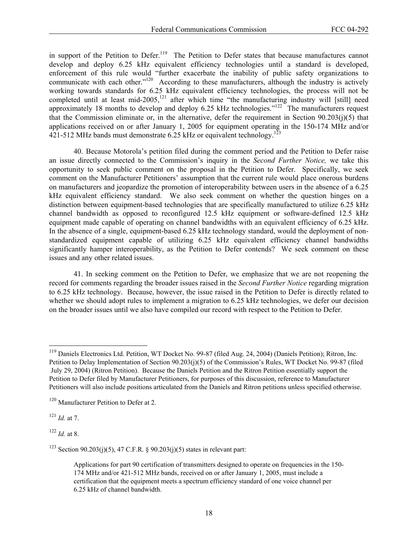in support of the Petition to Defer.<sup>119</sup> The Petition to Defer states that because manufactures cannot develop and deploy 6.25 kHz equivalent efficiency technologies until a standard is developed, enforcement of this rule would "further exacerbate the inability of public safety organizations to communicate with each other."<sup>120</sup> According to these manufacturers, although the industry is actively working towards standards for 6.25 kHz equivalent efficiency technologies, the process will not be completed until at least mid-2005,<sup>121</sup> after which time "the manufacturing industry will [still] need approximately 18 months to develop and deploy 6.25 kHz technologies."<sup>122</sup> The manufacturers request that the Commission eliminate or, in the alternative, defer the requirement in Section  $90.203(i)(5)$  that applications received on or after January 1, 2005 for equipment operating in the 150-174 MHz and/or  $421-512$  MHz bands must demonstrate 6.25 kHz or equivalent technology.<sup>123</sup>

40. Because Motorola's petition filed during the comment period and the Petition to Defer raise an issue directly connected to the Commission's inquiry in the *Second Further Notice,* we take this opportunity to seek public comment on the proposal in the Petition to Defer. Specifically, we seek comment on the Manufacturer Petitioners' assumption that the current rule would place onerous burdens on manufacturers and jeopardize the promotion of interoperability between users in the absence of a 6.25 kHz equivalent efficiency standard. We also seek comment on whether the question hinges on a distinction between equipment-based technologies that are specifically manufactured to utilize 6.25 kHz channel bandwidth as opposed to reconfigured 12.5 kHz equipment or software-defined 12.5 kHz equipment made capable of operating on channel bandwidths with an equivalent efficiency of 6.25 kHz. In the absence of a single, equipment-based 6.25 kHz technology standard, would the deployment of nonstandardized equipment capable of utilizing 6.25 kHz equivalent efficiency channel bandwidths significantly hamper interoperability, as the Petition to Defer contends? We seek comment on these issues and any other related issues.

41. In seeking comment on the Petition to Defer, we emphasize that we are not reopening the record for comments regarding the broader issues raised in the *Second Further Notice* regarding migration to 6.25 kHz technology.Because, however, the issue raised in the Petition to Defer is directly related to whether we should adopt rules to implement a migration to 6.25 kHz technologies, we defer our decision on the broader issues until we also have compiled our record with respect to the Petition to Defer.

<sup>121</sup> *Id.* at 7.

-

<sup>122</sup> *Id.* at 8.

<sup>123</sup> Section 90.203(j)(5), 47 C.F.R. § 90.203(j)(5) states in relevant part:

<sup>&</sup>lt;sup>119</sup> Daniels Electronics Ltd. Petition, WT Docket No. 99-87 (filed Aug. 24, 2004) (Daniels Petition); Ritron, Inc. Petition to Delay Implementation of Section 90.203(j)(5) of the Commission's Rules, WT Docket No. 99-87 (filed July 29, 2004) (Ritron Petition). Because the Daniels Petition and the Ritron Petition essentially support the Petition to Defer filed by Manufacturer Petitioners, for purposes of this discussion, reference to Manufacturer Petitioners will also include positions articulated from the Daniels and Ritron petitions unless specified otherwise.

<sup>&</sup>lt;sup>120</sup> Manufacturer Petition to Defer at 2.

Applications for part 90 certification of transmitters designed to operate on frequencies in the 150- 174 MHz and/or 421-512 MHz bands, received on or after January 1, 2005, must include a certification that the equipment meets a spectrum efficiency standard of one voice channel per 6.25 kHz of channel bandwidth.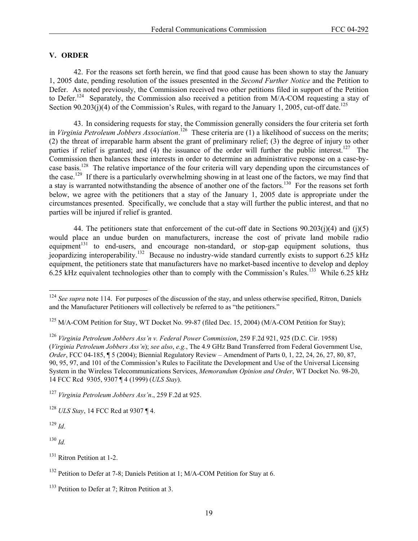### **V. ORDER**

42. For the reasons set forth herein, we find that good cause has been shown to stay the January 1, 2005 date, pending resolution of the issues presented in the *Second Further Notice* and the Petition to Defer. As noted previously, the Commission received two other petitions filed in support of the Petition to Defer.<sup>124</sup> Separately, the Commission also received a petition from M/A-COM requesting a stay of Section 90.203(j)(4) of the Commission's Rules, with regard to the January 1, 2005, cut-off date.<sup>125</sup>

43. In considering requests for stay, the Commission generally considers the four criteria set forth in *Virginia Petroleum Jobbers Association*. 126 These criteria are (1) a likelihood of success on the merits; (2) the threat of irreparable harm absent the grant of preliminary relief; (3) the degree of injury to other parties if relief is granted; and (4) the issuance of the order will further the public interest.<sup>127</sup> The Commission then balances these interests in order to determine an administrative response on a case-bycase basis.128 The relative importance of the four criteria will vary depending upon the circumstances of the case.129 If there is a particularly overwhelming showing in at least one of the factors, we may find that a stay is warranted notwithstanding the absence of another one of the factors.<sup>130</sup> For the reasons set forth below, we agree with the petitioners that a stay of the January 1, 2005 date is appropriate under the circumstances presented. Specifically, we conclude that a stay will further the public interest, and that no parties will be injured if relief is granted.

44. The petitioners state that enforcement of the cut-off date in Sections  $90.203(i)(4)$  and  $(i)(5)$ would place an undue burden on manufacturers, increase the cost of private land mobile radio equipment<sup>131</sup> to end-users, and encourage non-standard, or stop-gap equipment solutions, thus jeopardizing interoperability.132 Because no industry-wide standard currently exists to support 6.25 kHz equipment, the petitioners state that manufacturers have no market-based incentive to develop and deploy 6.25 kHz equivalent technologies other than to comply with the Commission's Rules.<sup>133</sup> While 6.25 kHz

<sup>127</sup> *Virginia Petroleum Jobbers Ass'n*., 259 F.2d at 925.

<sup>129</sup> *Id*.

1

<sup>130</sup> *Id.*

<sup>&</sup>lt;sup>124</sup> See supra note 114. For purposes of the discussion of the stay, and unless otherwise specified, Ritron, Daniels and the Manufacturer Petitioners will collectively be referred to as "the petitioners."

<sup>&</sup>lt;sup>125</sup> M/A-COM Petition for Stay, WT Docket No. 99-87 (filed Dec. 15, 2004) (M/A-COM Petition for Stay);

<sup>126</sup> *Virginia Petroleum Jobbers Ass'n v. Federal Power Commission*, 259 F.2d 921, 925 (D.C. Cir. 1958) (*Virginia Petroleum Jobbers Ass'n*); *see also*, *e.g.*, The 4.9 GHz Band Transferred from Federal Government Use, *Order*, FCC 04-185, ¶ 5 (2004); Biennial Regulatory Review – Amendment of Parts 0, 1, 22, 24, 26, 27, 80, 87, 90, 95, 97, and 101 of the Commission's Rules to Facilitate the Development and Use of the Universal Licensing System in the Wireless Telecommunications Services, *Memorandum Opinion and Order*, WT Docket No. 98-20, 14 FCC Rcd 9305, 9307 ¶ 4 (1999) (*ULS Stay*).

<sup>128</sup> *ULS Stay*, 14 FCC Rcd at 9307 ¶ 4.

 $131$  Ritron Petition at 1-2.

<sup>&</sup>lt;sup>132</sup> Petition to Defer at 7-8; Daniels Petition at 1; M/A-COM Petition for Stay at 6.

 $133$  Petition to Defer at 7; Ritron Petition at 3.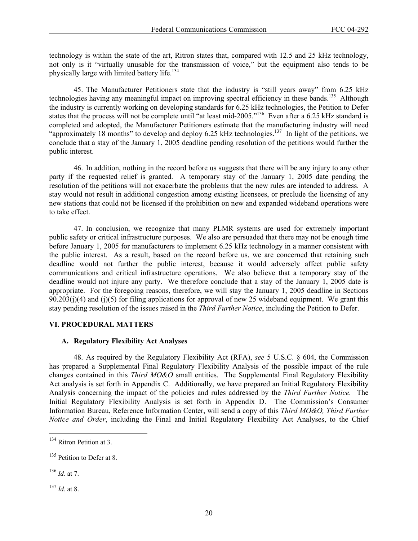technology is within the state of the art, Ritron states that, compared with 12.5 and 25 kHz technology, not only is it "virtually unusable for the transmission of voice," but the equipment also tends to be physically large with limited battery life.<sup>134</sup>

45. The Manufacturer Petitioners state that the industry is "still years away" from 6.25 kHz technologies having any meaningful impact on improving spectral efficiency in these bands.<sup>135</sup> Although the industry is currently working on developing standards for 6.25 kHz technologies, the Petition to Defer states that the process will not be complete until "at least mid-2005."<sup>136</sup> Even after a 6.25 kHz standard is completed and adopted, the Manufacturer Petitioners estimate that the manufacturing industry will need "approximately 18 months" to develop and deploy 6.25 kHz technologies.<sup>137</sup> In light of the petitions, we conclude that a stay of the January 1, 2005 deadline pending resolution of the petitions would further the public interest.

46. In addition, nothing in the record before us suggests that there will be any injury to any other party if the requested relief is granted. A temporary stay of the January 1, 2005 date pending the resolution of the petitions will not exacerbate the problems that the new rules are intended to address. A stay would not result in additional congestion among existing licensees, or preclude the licensing of any new stations that could not be licensed if the prohibition on new and expanded wideband operations were to take effect.

47. In conclusion, we recognize that many PLMR systems are used for extremely important public safety or critical infrastructure purposes. We also are persuaded that there may not be enough time before January 1, 2005 for manufacturers to implement 6.25 kHz technology in a manner consistent with the public interest. As a result, based on the record before us, we are concerned that retaining such deadline would not further the public interest, because it would adversely affect public safety communications and critical infrastructure operations. We also believe that a temporary stay of the deadline would not injure any party. We therefore conclude that a stay of the January 1, 2005 date is appropriate. For the foregoing reasons, therefore, we will stay the January 1, 2005 deadline in Sections  $90.203(i)(4)$  and (j)(5) for filing applications for approval of new 25 wideband equipment. We grant this stay pending resolution of the issues raised in the *Third Further Notice*, including the Petition to Defer.

### **VI. PROCEDURAL MATTERS**

### **A. Regulatory Flexibility Act Analyses**

48. As required by the Regulatory Flexibility Act (RFA), *see* 5 U.S.C. § 604, the Commission has prepared a Supplemental Final Regulatory Flexibility Analysis of the possible impact of the rule changes contained in this *Third MO&O* small entities. The Supplemental Final Regulatory Flexibility Act analysis is set forth in Appendix C. Additionally, we have prepared an Initial Regulatory Flexibility Analysis concerning the impact of the policies and rules addressed by the *Third Further Notice.* The Initial Regulatory Flexibility Analysis is set forth in Appendix D. The Commission's Consumer Information Bureau, Reference Information Center, will send a copy of this *Third MO&O, Third Further Notice and Order*, including the Final and Initial Regulatory Flexibility Act Analyses, to the Chief

l

<sup>&</sup>lt;sup>134</sup> Ritron Petition at 3.

<sup>&</sup>lt;sup>135</sup> Petition to Defer at 8.

<sup>136</sup> *Id.* at 7.

 $^{137}$  *Id.* at 8.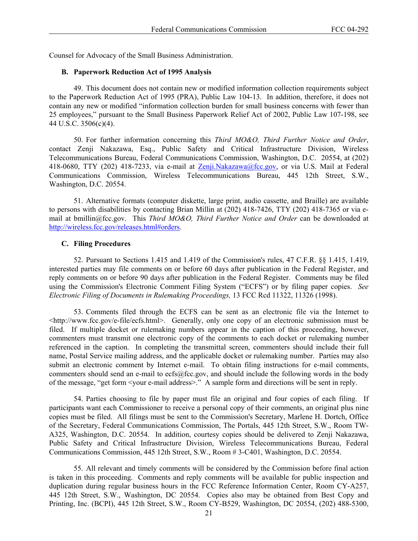Counsel for Advocacy of the Small Business Administration.

### **B. Paperwork Reduction Act of 1995 Analysis**

49. This document does not contain new or modified information collection requirements subject to the Paperwork Reduction Act of 1995 (PRA), Public Law 104-13. In addition, therefore, it does not contain any new or modified "information collection burden for small business concerns with fewer than 25 employees," pursuant to the Small Business Paperwork Relief Act of 2002, Public Law 107-198, see 44 U.S.C. 3506(c)(4).

50. For further information concerning this *Third MO&O, Third Further Notice and Order*, contact Zenji Nakazawa, Esq., Public Safety and Critical Infrastructure Division, Wireless Telecommunications Bureau, Federal Communications Commission, Washington, D.C. 20554, at (202) 418-0680, TTY (202) 418-7233, via e-mail at Zenji.Nakazawa@fcc.gov, or via U.S. Mail at Federal Communications Commission, Wireless Telecommunications Bureau, 445 12th Street, S.W., Washington, D.C. 20554.

51. Alternative formats (computer diskette, large print, audio cassette, and Braille) are available to persons with disabilities by contacting Brian Millin at (202) 418-7426, TTY (202) 418-7365 or via email at bmillin@fcc.gov. This *Third MO&O, Third Further Notice and Order* can be downloaded at http://wireless.fcc.gov/releases.html#orders.

### **C. Filing Procedures**

52. Pursuant to Sections 1.415 and 1.419 of the Commission's rules, 47 C.F.R. §§ 1.415, 1.419, interested parties may file comments on or before 60 days after publication in the Federal Register, and reply comments on or before 90 days after publication in the Federal Register. Comments may be filed using the Commission's Electronic Comment Filing System ("ECFS") or by filing paper copies. *See Electronic Filing of Documents in Rulemaking Proceedings,* 13 FCC Rcd 11322, 11326 (1998).

53. Comments filed through the ECFS can be sent as an electronic file via the Internet to <http://www.fcc.gov/e-file/ecfs.html>. Generally, only one copy of an electronic submission must be filed. If multiple docket or rulemaking numbers appear in the caption of this proceeding, however, commenters must transmit one electronic copy of the comments to each docket or rulemaking number referenced in the caption. In completing the transmittal screen, commenters should include their full name, Postal Service mailing address, and the applicable docket or rulemaking number. Parties may also submit an electronic comment by Internet e-mail. To obtain filing instructions for e-mail comments, commenters should send an e-mail to ecfs@fcc.gov, and should include the following words in the body of the message, "get form <your e-mail address>." A sample form and directions will be sent in reply.

54. Parties choosing to file by paper must file an original and four copies of each filing. If participants want each Commissioner to receive a personal copy of their comments, an original plus nine copies must be filed. All filings must be sent to the Commission's Secretary, Marlene H. Dortch, Office of the Secretary, Federal Communications Commission, The Portals, 445 12th Street, S.W., Room TW-A325, Washington, D.C. 20554. In addition, courtesy copies should be delivered to Zenji Nakazawa, Public Safety and Critical Infrastructure Division, Wireless Telecommunications Bureau, Federal Communications Commission, 445 12th Street, S.W., Room # 3-C401, Washington, D.C. 20554.

55. All relevant and timely comments will be considered by the Commission before final action is taken in this proceeding. Comments and reply comments will be available for public inspection and duplication during regular business hours in the FCC Reference Information Center, Room CY-A257, 445 12th Street, S.W., Washington, DC 20554. Copies also may be obtained from Best Copy and Printing, Inc. (BCPI), 445 12th Street, S.W., Room CY-B529, Washington, DC 20554, (202) 488-5300,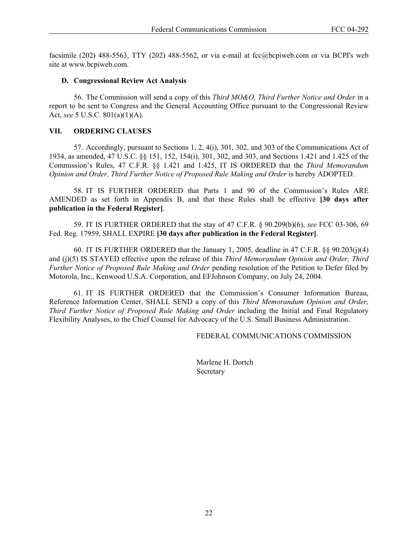facsimile (202) 488-5563, TTY (202) 488-5562, or via e-mail at fcc@bcpiweb.com or via BCPI's web site at www.bcpiweb.com.

### **D. Congressional Review Act Analysis**

56. The Commission will send a copy of this *Third MO&O, Third Further Notice and Order* in a report to be sent to Congress and the General Accounting Office pursuant to the Congressional Review Act, *see* 5 U.S.C. 801(a)(1)(A).

## **VII. ORDERING CLAUSES**

57. Accordingly, pursuant to Sections 1, 2, 4(i), 301, 302, and 303 of the Communications Act of 1934, as amended, 47 U.S.C. §§ 151, 152, 154(i), 301, 302, and 303, and Sections 1.421 and 1.425 of the Commission's Rules, 47 C.F.R. §§ 1.421 and 1.425, IT IS ORDERED that the *Third Memorandum Opinion and Order, Third Further Notice of Proposed Rule Making and Order* is hereby ADOPTED.

58. IT IS FURTHER ORDERED that Parts 1 and 90 of the Commission's Rules ARE AMENDED as set forth in Appendix B, and that these Rules shall be effective **[30 days after publication in the Federal Register]**.

59. IT IS FURTHER ORDERED that the stay of 47 C.F.R. § 90.209(b)(6), *see* FCC 03-306, 69 Fed. Reg. 17959, SHALL EXPIRE **[30 days after publication in the Federal Register]**.

60. IT IS FURTHER ORDERED that the January 1, 2005, deadline in 47 C.F.R.  $\S$ § 90.203(j)(4) and (j)(5) IS STAYED effective upon the release of this *Third Memorandum Opinion and Order, Third Further Notice of Proposed Rule Making and Order* pending resolution of the Petition to Defer filed by Motorola, Inc., Kenwood U.S.A. Corporation, and EFJohnson Company, on July 24, 2004.

61. IT IS FURTHER ORDERED that the Commission's Consumer Information Bureau, Reference Information Center, SHALL SEND a copy of this *Third Memorandum Opinion and Order, Third Further Notice of Proposed Rule Making and Order including the Initial and Final Regulatory* Flexibility Analyses, to the Chief Counsel for Advocacy of the U.S. Small Business Administration.

FEDERAL COMMUNICATIONS COMMISSION

Marlene H. Dortch Secretary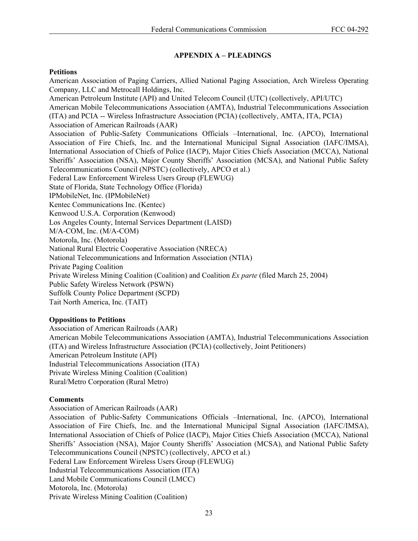# **APPENDIX A – PLEADINGS**

## **Petitions**

American Association of Paging Carriers, Allied National Paging Association, Arch Wireless Operating Company, LLC and Metrocall Holdings, Inc. American Petroleum Institute (API) and United Telecom Council (UTC) (collectively, API/UTC) American Mobile Telecommunications Association (AMTA), Industrial Telecommunications Association (ITA) and PCIA -- Wireless Infrastructure Association (PCIA) (collectively, AMTA, ITA, PCIA) Association of American Railroads (AAR) Association of Public-Safety Communications Officials –International, Inc. (APCO), International Association of Fire Chiefs, Inc. and the International Municipal Signal Association (IAFC/IMSA), International Association of Chiefs of Police (IACP), Major Cities Chiefs Association (MCCA), National Sheriffs' Association (NSA), Major County Sheriffs' Association (MCSA), and National Public Safety Telecommunications Council (NPSTC) (collectively, APCO et al.) Federal Law Enforcement Wireless Users Group (FLEWUG) State of Florida, State Technology Office (Florida) IPMobileNet, Inc. (IPMobileNet) Kentec Communications Inc. (Kentec) Kenwood U.S.A. Corporation (Kenwood) Los Angeles County, Internal Services Department (LAISD) M/A-COM, Inc. (M/A-COM) Motorola, Inc. (Motorola) National Rural Electric Cooperative Association (NRECA) National Telecommunications and Information Association (NTIA) Private Paging Coalition Private Wireless Mining Coalition (Coalition) and Coalition *Ex parte* (filed March 25, 2004) Public Safety Wireless Network (PSWN) Suffolk County Police Department (SCPD) Tait North America, Inc. (TAIT)

# **Oppositions to Petitions**

Association of American Railroads (AAR) American Mobile Telecommunications Association (AMTA), Industrial Telecommunications Association (ITA) and Wireless Infrastructure Association (PCIA) (collectively, Joint Petitioners) American Petroleum Institute (API) Industrial Telecommunications Association (ITA) Private Wireless Mining Coalition (Coalition) Rural/Metro Corporation (Rural Metro)

# **Comments**

Association of American Railroads (AAR)

Association of Public-Safety Communications Officials –International, Inc. (APCO), International Association of Fire Chiefs, Inc. and the International Municipal Signal Association (IAFC/IMSA), International Association of Chiefs of Police (IACP), Major Cities Chiefs Association (MCCA), National Sheriffs' Association (NSA), Major County Sheriffs' Association (MCSA), and National Public Safety Telecommunications Council (NPSTC) (collectively, APCO et al.) Federal Law Enforcement Wireless Users Group (FLEWUG) Industrial Telecommunications Association (ITA) Land Mobile Communications Council (LMCC) Motorola, Inc. (Motorola) Private Wireless Mining Coalition (Coalition)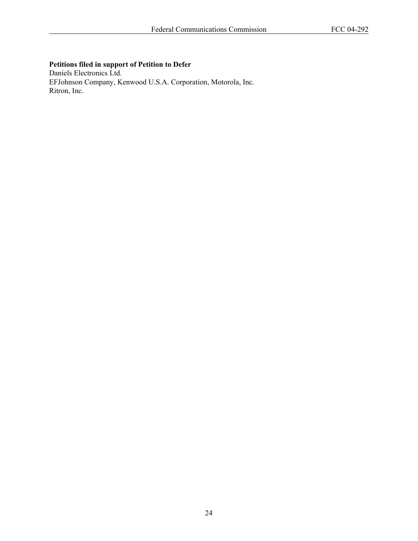# **Petitions filed in support of Petition to Defer**

Daniels Electronics Ltd. EFJohnson Company, Kenwood U.S.A. Corporation, Motorola, Inc. Ritron, Inc.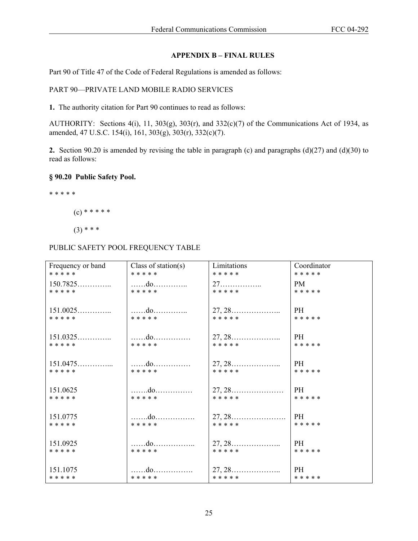## **APPENDIX B – FINAL RULES**

Part 90 of Title 47 of the Code of Federal Regulations is amended as follows:

## PART 90—PRIVATE LAND MOBILE RADIO SERVICES

**1.** The authority citation for Part 90 continues to read as follows:

AUTHORITY: Sections 4(i), 11, 303(g), 303(r), and 332(c)(7) of the Communications Act of 1934, as amended, 47 U.S.C. 154(i), 161, 303(g), 303(r), 332(c)(7).

**2.** Section 90.20 is amended by revising the table in paragraph (c) and paragraphs (d)(27) and (d)(30) to read as follows:

### **§ 90.20 Public Safety Pool.**

\* \* \* \* \*

 $(c)$  \* \* \* \* \*

 $(3)$  \* \* \*

# PUBLIC SAFETY POOL FREQUENCY TABLE

| Frequency or band | Class of station(s) | Limitations                                      | Coordinator |
|-------------------|---------------------|--------------------------------------------------|-------------|
| * * * * *         | * * * * *           | * * * * *                                        | * * * * *   |
| $150.7825$        | do                  | 27.                                              | PM          |
| * * * * *         | * * * * *           | * * * * *                                        | * * * * *   |
| $151.0025$        | do                  | $27, 28, \ldots$                                 | PH          |
| * * * * *         | * * * * *           | * * * * *                                        | * * * * *   |
| $151.0325$        | do                  | $27, 28, \ldots, \ldots, \ldots, \ldots$         | PH          |
| * * * * *         | * * * * *           | * * * * *                                        | * * * * *   |
| $151.0475$        | do                  |                                                  | PH          |
| * * * * *         | * * * * *           | * * * * *                                        | * * * * *   |
| 151.0625          | do                  | $27, 28, \ldots, \ldots, \ldots, \ldots, \ldots$ | PH          |
| * * * * *         | * * * * *           | * * * * *                                        | * * * * *   |
| 151.0775          | do                  | $27, 28, \ldots$                                 | PH          |
| * * * * *         | * * * * *           | * * * * *                                        | * * * * *   |
| 151.0925          | . <b>do</b>         | $27, 28, \ldots, \ldots, \ldots, \ldots$         | PH.         |
| * * * * *         | * * * * *           | * * * * *                                        | * * * * *   |
| 151.1075          | do                  | $27, 28, \ldots, \ldots, \ldots, \ldots$         | PH          |
| * * * * *         | * * * * *           | * * * * *                                        | * * * * *   |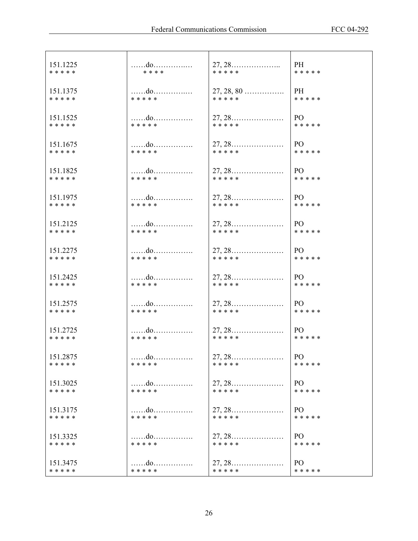| 151.1225  | do        |                                                  | PH              |
|-----------|-----------|--------------------------------------------------|-----------------|
| * * * * * | * * * *   | * * * * *                                        | * * * * *       |
| 151.1375  | do        | $27, 28, 80$                                     | PH              |
| * * * * * | * * * * * | * * * * *                                        | * * * * *       |
| 151.1525  | do        |                                                  | PO              |
| * * * * * | * * * * * | * * * * *                                        | * * * * *       |
| 151.1675  | do        |                                                  | PO -            |
| * * * * * | * * * * * | * * * * *                                        | * * * * *       |
| 151.1825  | do        |                                                  | PO              |
| * * * * * | * * * * * | * * * * *                                        | * * * * *       |
| 151.1975  | do        |                                                  | PO.             |
| * * * * * | * * * * * | * * * * *                                        | * * * * *       |
| 151.2125  | do        |                                                  | PO              |
| * * * * * | * * * * * | * * * * *                                        | * * * * *       |
| 151.2275  | do        | $27, 28, \ldots, \ldots, \ldots, \ldots, \ldots$ | PO -            |
| * * * * * | * * * * * | * * * * *                                        | * * * * *       |
| 151.2425  | do        | $27, 28, \ldots, \ldots, \ldots, \ldots$         | PO.             |
| * * * * * | * * * * * | * * * * *                                        | * * * * *       |
| 151.2575  | do        |                                                  | PO              |
| * * * * * | * * * * * | * * * * *                                        | * * * * *       |
| 151.2725  | do        |                                                  | PO              |
| * * * * * | * * * * * | * * * * *                                        | * * * * *       |
| 151.2875  | do        |                                                  | * * * * *       |
| * * * * * | * * * * * | * * * * *                                        |                 |
| 151.3025  | do        | $27, 28, \ldots, \ldots, \ldots, \ldots, \ldots$ | PO <sub>1</sub> |
| * * * * * | * * * * * | * * * * *                                        | * * * * *       |
| 151.3175  | do        | $27, 28, \ldots$                                 | PO.             |
| * * * * * | * * * * * | * * * * *                                        | * * * * *       |
| 151.3325  | do        | $27, 28, \ldots, \ldots, \ldots, \ldots, \ldots$ | PO.             |
| * * * * * | * * * * * | * * * * *                                        | * * * * *       |
| 151.3475  | do        | $27, 28, \ldots, \ldots, \ldots, \ldots, \ldots$ | PO.             |
| * * * * * | * * * * * | * * * * *                                        | * * * * *       |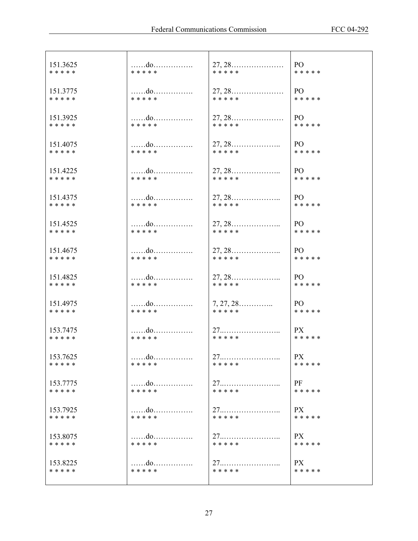| 151.3625  | do        | $27, 28, \ldots, \ldots, \ldots, \ldots$ | PO        |
|-----------|-----------|------------------------------------------|-----------|
| * * * * * | * * * * * | * * * * *                                | * * * * * |
| 151.3775  | do        |                                          | PO -      |
| * * * * * | * * * * * | * * * * *                                | * * * * * |
| 151.3925  | do        |                                          | PO        |
| * * * * * | * * * * * | * * * * *                                | * * * * * |
| 151.4075  | do        | $27, 28, \ldots$                         | PO –      |
| * * * * * | *****     | * * * * *                                | * * * * * |
| 151.4225  | do        |                                          | PO -      |
| * * * * * | * * * * * | * * * * *                                | * * * * * |
| 151.4375  | do        |                                          | PO        |
| * * * * * | * * * * * | * * * * *                                | * * * * * |
| 151.4525  | do        |                                          | PO        |
| * * * * * | * * * * * | * * * * *                                | * * * * * |
| 151.4675  | do        | $27, 28, \ldots$                         | PO –      |
| * * * * * | * * * * * | * * * * *                                | * * * * * |
| 151.4825  | do        | $27, 28, \ldots, \ldots, \ldots, \ldots$ | PO        |
| * * * * * | * * * * * | * * * * *                                | * * * * * |
| 151.4975  | do        | $7, 27, 28$                              | PO –      |
| * * * * * | * * * * * | * * * * *                                | * * * * * |
| 153.7475  | do        |                                          | PX        |
| * * * * * | * * * * * | * * * * *                                | * * * * * |
| 153.7625  | do        | 27                                       | PX        |
| * * * * * | * * * * * | * * * * *                                | * * * * * |
| 153.7775  |           |                                          | PF        |
| * * * * * | * * * * * | * * * * *                                | * * * * * |
| 153.7925  |           | 27                                       | PX -      |
| * * * * * | * * * * * | * * * * *                                | * * * * * |
| 153.8075  |           | 27                                       | PX        |
| * * * * * | * * * * * | * * * * *                                | * * * * * |
| 153.8225  | do        | $27$                                     | PX        |
| * * * * * | * * * * * | * * * * *                                | * * * * * |
|           |           |                                          |           |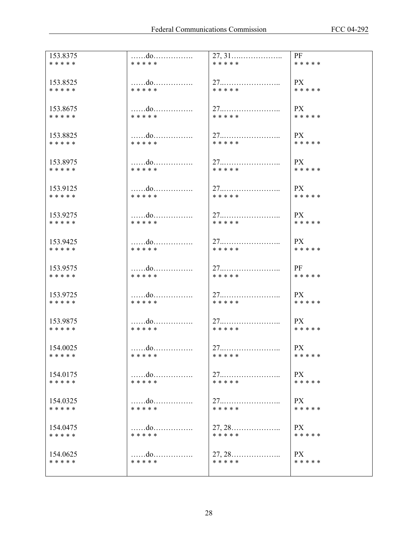| 153.8375  | do        |                                          | PF        |
|-----------|-----------|------------------------------------------|-----------|
| * * * * * | * * * * * | * * * * *                                | * * * * * |
| 153.8525  | do        |                                          | PX        |
| * * * * * | * * * * * | * * * * *                                | * * * * * |
| 153.8675  |           | 27                                       | <b>PX</b> |
| * * * * * | * * * * * | * * * * *                                | * * * * * |
| 153.8825  |           |                                          | PX        |
| * * * * * | * * * * * | * * * * *                                | * * * * * |
| 153.8975  | do        |                                          | PX        |
| * * * * * | * * * * * | * * * * *                                | * * * * * |
| 153.9125  | do        |                                          | PX        |
| * * * * * | * * * * * | * * * * *                                | * * * * * |
| 153.9275  | do        |                                          | <b>PX</b> |
| * * * * * | * * * * * | * * * * *                                | * * * * * |
| 153.9425  |           |                                          | PX        |
| * * * * * | * * * * * | * * * * *                                | * * * * * |
| 153.9575  | do        |                                          | PF        |
| * * * * * | * * * * * | * * * * *                                | * * * * * |
| 153.9725  | do        |                                          | PX        |
| * * * * * | * * * * * | * * * * *                                | * * * * * |
| 153.9875  | do        |                                          | PX        |
| * * * * * | * * * * * | * * * * *                                | * * * * * |
| 154.0025  |           | 27                                       | PX.       |
| * * * * * | * * * * * | * * * * *                                | * * * * * |
| 154.0175  | do        |                                          | <b>PX</b> |
| * * * * * | * * * * * | * * * * *                                | * * * * * |
| 154.0325  | do        | 27                                       | PX        |
| * * * * * | * * * * * | * * * * *                                | * * * * * |
| 154.0475  | do        | $27, 28, \ldots, \ldots, \ldots, \ldots$ | PX        |
| * * * * * | * * * * * | * * * * *                                | * * * * * |
| 154.0625  | do        | $27, 28, \ldots, \ldots, \ldots, \ldots$ | PX        |
| * * * * * | * * * * * | * * * * *                                | * * * * * |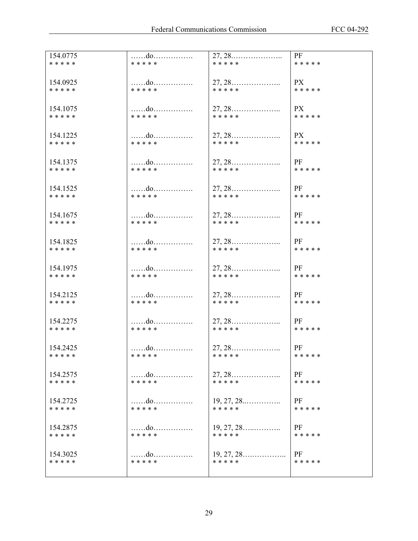| 154.0775  | do<br>* * * * * |                                          | PF        |
|-----------|-----------------|------------------------------------------|-----------|
| * * * * * |                 | * * * * *                                | * * * * * |
| 154.0925  | do              |                                          | <b>PX</b> |
| * * * * * | * * * * *       | * * * * *                                | * * * * * |
| 154.1075  | do              |                                          | PX        |
| * * * * * | * * * * *       | * * * * *                                | * * * * * |
| 154.1225  | do              |                                          | PX        |
| * * * * * | * * * * *       | * * * * *                                | * * * * * |
| 154.1375  | do              |                                          | PF        |
| * * * * * | * * * * *       | * * * * *                                | * * * * * |
| 154.1525  | do              |                                          | PF        |
| * * * * * | * * * * *       | * * * * *                                | * * * * * |
| 154.1675  | do              |                                          | PF        |
| * * * * * | * * * * *       | * * * * *                                | * * * * * |
| 154.1825  | do              |                                          | PF        |
| * * * * * | * * * * *       | * * * * *                                | * * * * * |
| 154.1975  | do              |                                          | PF        |
| * * * * * | * * * * *       | * * * * *                                | * * * * * |
| 154.2125  | do              |                                          | PF        |
| * * * * * | * * * * *       | * * * * *                                | * * * * * |
| 154.2275  | do              | $27, 28, \ldots, \ldots, \ldots, \ldots$ | PF        |
| * * * * * | * * * * *       | * * * * *                                | * * * * * |
| 154.2425  | do              |                                          | <b>PF</b> |
| * * * * * | * * * * *       | * * * * *                                | * * * * * |
| 154.2575  |                 | $27, 28, \ldots, \ldots, \ldots, \ldots$ | PF        |
| * * * * * | * * * * *       | * * * * *                                | * * * * * |
| 154.2725  |                 | $19, 27, 28, \ldots$                     | PF        |
| * * * * * | * * * * *       | * * * * *                                | * * * * * |
| 154.2875  | do              |                                          | PF        |
| * * * * * | * * * * *       | * * * * *                                | * * * * * |
| 154.3025  | do              |                                          | PF        |
| * * * * * | * * * * *       | * * * * *                                | * * * * * |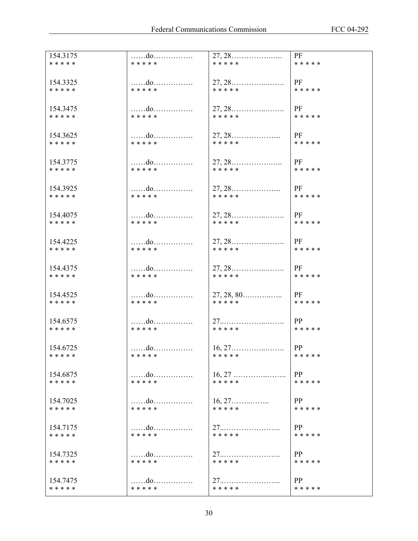| 154.3175              | do                |                                                  | PF              |
|-----------------------|-------------------|--------------------------------------------------|-----------------|
| * * * * *             | * * * * *         | * * * * *                                        | * * * * *       |
|                       |                   |                                                  |                 |
| 154.3325              | do                |                                                  | PF              |
| * * * * *             | * * * * *         | * * * * *                                        | * * * * *       |
|                       |                   |                                                  |                 |
| 154.3475              | do                | $27, 28, \ldots, \ldots, \ldots, \ldots$         | PF              |
| * * * * *             | * * * * *         | * * * * *                                        | * * * * *       |
|                       |                   |                                                  |                 |
| 154.3625              | do                | $27, 28, \ldots$                                 | PF              |
| * * * * *             | * * * * *         | * * * * *                                        | * * * * *       |
|                       |                   |                                                  |                 |
| 154.3775              | $\dots \dots$ .do |                                                  | PF              |
| * * * * *             | * * * * *         | * * * * *                                        | * * * * *       |
|                       |                   |                                                  |                 |
| 154.3925              | do                |                                                  | PF              |
| * * * * *             | * * * * *         | * * * * *                                        | * * * * *       |
|                       |                   |                                                  |                 |
| 154.4075              | do                | $27, 28, \ldots, \ldots, \ldots, \ldots$         | PF              |
| * * * * *             | * * * * *         | * * * * *                                        | * * * * *       |
|                       |                   |                                                  |                 |
| 154.4225<br>* * * * * | do<br>* * * * *   | * * * * *                                        | PF<br>* * * * * |
|                       |                   |                                                  |                 |
|                       |                   |                                                  |                 |
| 154.4375<br>* * * * * | do<br>* * * * *   | * * * * *                                        | PF<br>* * * * * |
|                       |                   |                                                  |                 |
|                       |                   |                                                  | PF              |
| 154.4525<br>* * * * * | do<br>* * * * *   | * * * * *                                        | * * * * *       |
|                       |                   |                                                  |                 |
| 154.6575              | do                |                                                  | PP              |
| * * * * *             | * * * * *         | * * * * *                                        | * * * * *       |
|                       |                   |                                                  |                 |
| 154.6725              | do                | $16, 27, \ldots, \ldots, \ldots, \ldots, \ldots$ | PP              |
| * * * * *             | * * * * *         | * * * * *                                        | * * * * *       |
|                       |                   |                                                  |                 |
| 154.6875              | do                | $16, 27, \ldots, \ldots, \ldots, \ldots, \ldots$ | PP              |
| * * * * *             | * * * * *         | * * * * *                                        | * * * * *       |
|                       |                   |                                                  |                 |
| 154.7025              |                   | $16, 27, \ldots$                                 | PP              |
| * * * * *             | * * * * *         | * * * * *                                        | * * * * *       |
|                       |                   |                                                  |                 |
| 154.7175              | do                |                                                  | PP              |
| * * * * *             | * * * * *         | * * * * *                                        | * * * * *       |
|                       |                   |                                                  |                 |
| 154.7325              | do                | 27                                               | <b>PP</b>       |
| * * * * *             | * * * * *         | * * * * *                                        | * * * * *       |
|                       |                   |                                                  |                 |
| 154.7475              | do                |                                                  | PP              |
| * * * * *             | * * * * *         | * * * * *                                        | * * * * *       |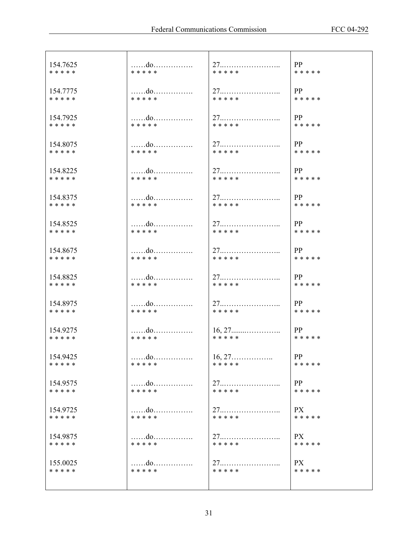| 154.7625  |           |                  | PP        |
|-----------|-----------|------------------|-----------|
| * * * * * | * * * * * | * * * * *        | * * * * * |
| 154.7775  | do        | 27               | PP        |
| * * * * * | * * * * * | * * * * *        | * * * * * |
| 154.7925  | do        |                  | PP        |
| * * * * * | * * * * * | * * * * *        | * * * * * |
| 154.8075  | do        |                  | PP        |
| * * * * * | * * * * * | * * * * *        | * * * * * |
| 154.8225  | do        |                  | PP        |
| * * * * * | * * * * * | * * * * *        | * * * * * |
| 154.8375  | do        | 27               | PP        |
| * * * * * | * * * * * | * * * * *        | * * * * * |
| 154.8525  | do        |                  | PP        |
| * * * * * | * * * * * | * * * * *        | * * * * * |
| 154.8675  | do        |                  | PP        |
| * * * * * | * * * * * | * * * * *        | * * * * * |
| 154.8825  | do        |                  | PP        |
| * * * * * | * * * * * | * * * * *        | * * * * * |
| 154.8975  | do        | 27               | PP        |
| * * * * * | * * * * * | * * * * *        | * * * * * |
| 154.9275  | do        |                  | PP        |
| * * * * * | * * * * * | * * * * *        | * * * * * |
| 154.9425  | do        | $16, 27, \ldots$ | PP        |
| * * * * * | * * * * * | * * * * *        | * * * * * |
| 154.9575  | do        | 27               | PP        |
| * * * * * | * * * * * | * * * * *        | * * * * * |
| 154.9725  |           |                  | PX        |
| * * * * * | * * * * * | * * * * *        | * * * * * |
| 154.9875  | do        | 27               | PX.       |
| * * * * * | * * * * * | * * * * *        | * * * * * |
| 155.0025  | do        |                  | <b>PX</b> |
| * * * * * | * * * * * | * * * * *        | * * * * * |
|           |           |                  |           |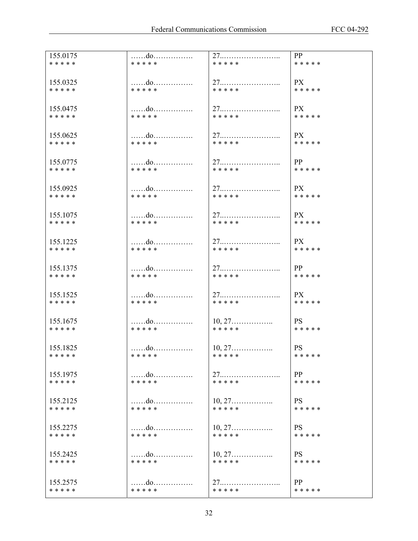| 155.0175              | do              | 27                                            | PP                     |
|-----------------------|-----------------|-----------------------------------------------|------------------------|
| * * * * *             | * * * * *       | * * * * *                                     | * * * * *              |
|                       |                 |                                               |                        |
| 155.0325<br>* * * * * | do<br>* * * * * | * * * * *                                     | PX<br>* * * * *        |
|                       |                 |                                               |                        |
| 155.0475              |                 |                                               | PX                     |
| * * * * *             | * * * * *       | * * * * *                                     | * * * * *              |
|                       |                 |                                               |                        |
| 155.0625<br>* * * * * | * * * * *       | 27<br>* * * * *                               | PX<br>* * * * *        |
|                       |                 |                                               |                        |
| 155.0775              | do              |                                               | PP                     |
| * * * * *             | * * * * *       | * * * * *                                     | * * * * *              |
|                       |                 |                                               |                        |
| 155.0925              | do              |                                               | PX                     |
| * * * * *             | * * * * *       | * * * * *                                     | * * * * *              |
| 155.1075              | do              |                                               | PX                     |
| * * * * *             | * * * * *       | * * * * *                                     | * * * * *              |
|                       |                 |                                               |                        |
| 155.1225              |                 | 27                                            | PX                     |
| * * * * *             | * * * * *       | * * * * *                                     | * * * * *              |
| 155.1375              | do              |                                               | PP                     |
| * * * * *             | * * * * *       | * * * * *                                     | * * * * *              |
|                       |                 |                                               |                        |
| 155.1525              |                 | 27                                            | PX                     |
| * * * * *             | * * * * *       | * * * * *                                     | * * * * *              |
|                       |                 |                                               |                        |
| 155.1675<br>* * * * * | do<br>* * * * * | $10, 27, \ldots, \ldots, \ldots$<br>* * * * * | <b>PS</b><br>* * * * * |
|                       |                 |                                               |                        |
| 155.1825              | do              | $10, 27, \ldots$                              | <b>PS</b>              |
| * * * * *             | * * * * *       | * * * * *                                     | * * * * *              |
|                       |                 |                                               |                        |
| 155.1975<br>* * * * * | do<br>* * * * * | * * * * *                                     | PP<br>* * * * *        |
|                       |                 |                                               |                        |
| 155.2125              |                 | $10, 27, \ldots, \ldots, \ldots$              | <b>PS</b>              |
| * * * * *             | * * * * *       | * * * * *                                     | * * * * *              |
|                       |                 |                                               |                        |
| 155.2275<br>* * * * * | * * * * *       | $10, 27, \ldots, \ldots, \ldots$<br>* * * * * | <b>PS</b><br>* * * * * |
|                       |                 |                                               |                        |
| 155.2425              |                 | $10, 27, \ldots, \ldots, \ldots$              | <b>PS</b>              |
| * * * * *             | * * * * *       | * * * * *                                     | * * * * *              |
|                       |                 |                                               |                        |
| 155.2575<br>* * * * * | do<br>* * * * * | * * * * *                                     | PP<br>* * * * *        |
|                       |                 |                                               |                        |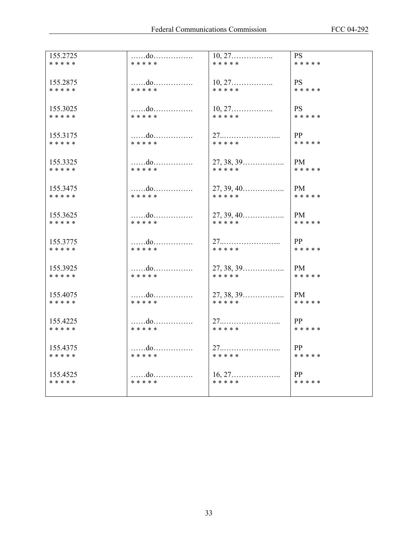| 155.2725  | do        | $10, 27, \ldots, \ldots, \ldots$         | <b>PS</b>    |
|-----------|-----------|------------------------------------------|--------------|
| * * * * * | * * * * * | * * * * *                                | * * * * *    |
| 155.2875  | do        | $10, 27, \ldots, \ldots, \ldots$         | <b>PS</b>    |
| * * * * * | * * * * * | * * * * *                                | * * * * *    |
| 155.3025  | do        | $10, 27, \ldots, \ldots, \ldots$         | <b>PS</b>    |
| * * * * * | * * * * * | * * * * *                                | * * * * *    |
| 155.3175  | do        |                                          | $\mathbf{p}$ |
| * * * * * | * * * * * | * * * * *                                | * * * * *    |
| 155.3325  | do        | 27, 38, 39                               | <b>PM</b>    |
| * * * * * | * * * * * | * * * * *                                | * * * * *    |
| 155.3475  | do        | $27, 39, 40, \ldots$                     | PM.          |
| * * * * * | * * * * * | * * * * *                                | * * * * *    |
| 155.3625  | do        | $27, 39, 40$                             | PM           |
| * * * * * | * * * * * | * * * * *                                | * * * * *    |
| 155.3775  | do        | 27                                       | PP           |
| * * * * * | * * * * * | * * * * *                                | * * * * *    |
| 155.3925  | do        | 27, 38, 39                               | <b>PM</b>    |
| * * * * * | * * * * * | * * * * *                                | * * * * *    |
| 155.4075  | do        | $27, 38, 39, \ldots$                     | PM -         |
| * * * * * | * * * * * | * * * * *                                | * * * * *    |
| 155.4225  | do        |                                          | PP           |
| * * * * * | * * * * * | * * * * *                                | * * * * *    |
| 155.4375  | do        | 27                                       | PP           |
| * * * * * | * * * * * | * * * * *                                | * * * * *    |
| 155.4525  | do        | $16, 27, \ldots, \ldots, \ldots, \ldots$ | PP           |
| * * * * * | * * * * * | * * * * *                                | * * * * *    |
|           |           |                                          |              |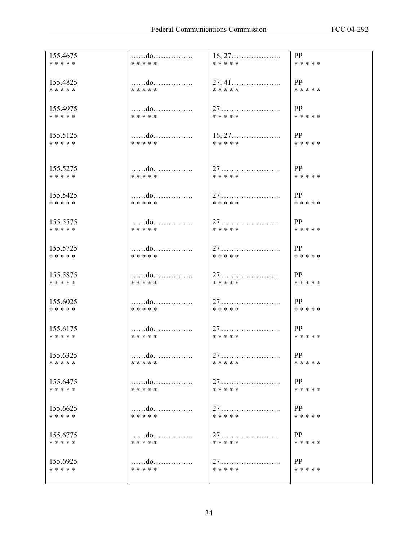| 155.4675  | do        | $16, 27, \ldots$                         | PP        |
|-----------|-----------|------------------------------------------|-----------|
| * * * * * | * * * * * | * * * * *                                | * * * * * |
|           |           |                                          |           |
|           |           |                                          |           |
| 155.4825  | do        | 27, 41                                   | PP        |
| * * * * * | * * * * * | * * * * *                                | * * * * * |
|           |           |                                          |           |
| 155.4975  | do        |                                          | PP        |
| * * * * * | * * * * * | * * * * *                                | * * * * * |
|           |           |                                          |           |
|           |           |                                          |           |
| 155.5125  | do        | $16, 27, \ldots, \ldots, \ldots, \ldots$ | PP        |
| * * * * * | * * * * * | * * * * *                                | * * * * * |
|           |           |                                          |           |
|           |           |                                          |           |
| 155.5275  | do        | 27                                       | PP        |
| * * * * * | * * * * * | * * * * *                                | * * * * * |
|           |           |                                          |           |
|           |           |                                          |           |
| 155.5425  | do        |                                          | PP        |
| * * * * * | * * * * * | * * * * *                                | * * * * * |
|           |           |                                          |           |
| 155.5575  | do        |                                          | PP        |
| * * * * * | * * * * * | * * * * *                                | * * * * * |
|           |           |                                          |           |
|           |           |                                          |           |
| 155.5725  |           |                                          | PP        |
| * * * * * | * * * * * | * * * * *                                | * * * * * |
|           |           |                                          |           |
| 155.5875  | do        |                                          | PP        |
| * * * * * | * * * * * | * * * * *                                | * * * * * |
|           |           |                                          |           |
|           |           |                                          |           |
| 155.6025  | do        |                                          | PP        |
| * * * * * | * * * * * | * * * * *                                | * * * * * |
|           |           |                                          |           |
| 155.6175  | do        | 27                                       | PP        |
| * * * * * | * * * * * | * * * * *                                | * * * * * |
|           |           |                                          |           |
|           |           |                                          |           |
| 155.6325  | do        | 27                                       | PP        |
| * * * * * | * * * * * | * * * * *                                | * * * * * |
|           |           |                                          |           |
| 155.6475  | do        | 27                                       | PP        |
| * * * * * | * * * * * | * * * * *                                | * * * * * |
|           |           |                                          |           |
|           |           |                                          |           |
| 155.6625  | do        |                                          | PP        |
| * * * * * | * * * * * | * * * * *                                | * * * * * |
|           |           |                                          |           |
| 155.6775  |           |                                          | PP        |
| * * * * * | * * * * * | * * * * *                                | * * * * * |
|           |           |                                          |           |
|           |           |                                          |           |
| 155.6925  | do        |                                          | PP        |
| * * * * * | * * * * * | * * * * *                                | * * * * * |
|           |           |                                          |           |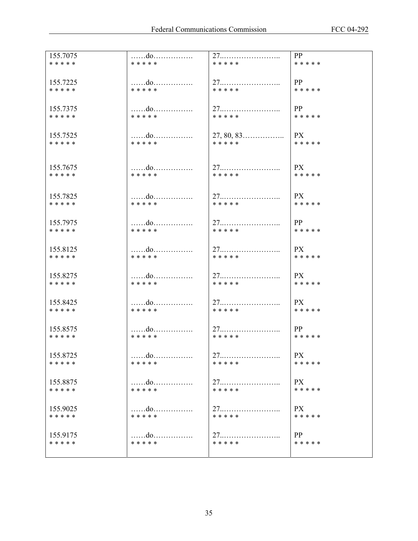| 155.7075              | do        | 27                  | PP              |
|-----------------------|-----------|---------------------|-----------------|
| * * * * *             | * * * * * | * * * * *           | * * * * *       |
| 155.7225              | do        |                     | PP              |
| * * * * *             | * * * * * | * * * * *           | * * * * *       |
| 155.7375              | do        | 27                  | PP              |
| * * * * *             | * * * * * | * * * * *           | * * * * *       |
| 155.7525              | do        | $27, 80, 83 \ldots$ | PX              |
| * * * * *             | * * * * * | * * * * *           | * * * * *       |
|                       |           |                     |                 |
| 155.7675<br>* * * * * | * * * * * | * * * * *           | PX<br>* * * * * |
|                       |           |                     |                 |
| 155.7825              | do        |                     | PX              |
| * * * * *             | * * * * * | * * * * *           | * * * * *       |
| 155.7975              | do        |                     | PP              |
| * * * * *             | * * * * * | * * * * *           | * * * * *       |
| 155.8125              | do        |                     | <b>PX</b>       |
| * * * * *             | * * * * * | * * * * *           | * * * * *       |
| 155.8275              | do        | 27                  | PX              |
| * * * * *             | * * * * * | * * * * *           | * * * * *       |
| 155.8425              | do        |                     | PX              |
| * * * * *             | * * * * * | * * * * *           | * * * * *       |
| 155.8575              | do        |                     | PP              |
| * * * * *             | * * * * * | * * * * *           | * * * * *       |
| 155.8725              | . do      | 27                  | <b>PX</b>       |
| * * * * *             | * * * * * | * * * * *           | * * * * *       |
| 155.8875              | do        |                     | PX              |
| * * * * *             | * * * * * | * * * * *           | * * * * *       |
| 155.9025              | do        | 27                  | PX              |
| * * * * *             | * * * * * | * * * * *           | * * * * *       |
| 155.9175              |           |                     | PP              |
| * * * * *             | * * * * * | * * * * *           | * * * * *       |
|                       |           |                     |                 |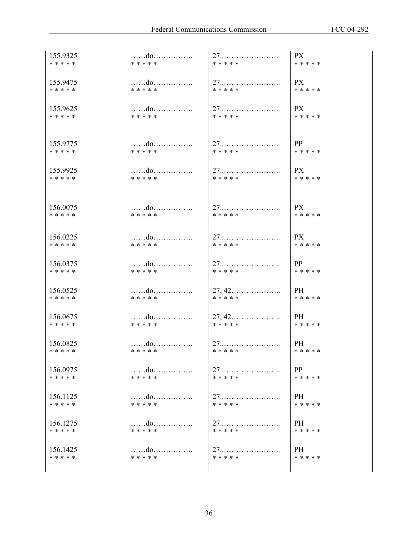| 155.9325<br>* * * * * | do<br>* * * * * | * * * * *                                             | PX<br>* * * * *        |
|-----------------------|-----------------|-------------------------------------------------------|------------------------|
|                       |                 |                                                       |                        |
| 155.9475              | do              |                                                       | PX                     |
| * * * * *             | * * * * *       | * * * * *                                             | * * * * *              |
| 155.9625              | do              | 27                                                    | <b>PX</b>              |
| * * * * *             | * * * * *       | * * * * *                                             | * * * * *              |
|                       |                 |                                                       |                        |
| 155.9775              | do              |                                                       | PP                     |
| * * * * *             | * * * * *       | * * * * *                                             | * * * * *              |
| 155.9925              | do              |                                                       | <b>PX</b>              |
| * * * * *             | * * * * *       | * * * * *                                             | * * * * *              |
|                       |                 |                                                       |                        |
| 156.0075              | do              |                                                       | PX                     |
| * * * * *             | * * * * *       | * * * * *                                             | * * * * *              |
|                       |                 |                                                       |                        |
| 156.0225<br>* * * * * | do<br>* * * * * | * * * * *                                             | <b>PX</b><br>* * * * * |
|                       |                 |                                                       |                        |
| 156.0375<br>* * * * * | do<br>* * * * * | * * * * *                                             | PP<br>* * * * *        |
|                       |                 |                                                       |                        |
| 156.0525<br>* * * * * | do<br>* * * * * | $27, 42, \ldots, \ldots, \ldots, \ldots$<br>* * * * * | PH<br>* * * * *        |
|                       |                 |                                                       |                        |
| 156.0675              | do              | $27, 42, \ldots$                                      | PH                     |
| * * * * *             | * * * * *       | * * * * *                                             | * * * * *              |
| 156.0825              | do              | 27                                                    | PH -                   |
| * * * * *             | * * * * *       | * * * * *                                             | * * * * *              |
| 156.0975              |                 |                                                       | PP                     |
| * * * * *             | * * * * *       | * * * * *                                             | * * * * *              |
| 156.1125              | do              |                                                       | PH                     |
| * * * * *             | * * * * *       | * * * * *                                             | * * * * *              |
| 156.1275              | do              | 27                                                    | PH.                    |
| * * * * *             | * * * * *       | * * * * *                                             | * * * * *              |
| 156.1425              | do              |                                                       | PH.                    |
| * * * * *             | * * * * *       | * * * * *                                             | * * * * *              |
|                       |                 |                                                       |                        |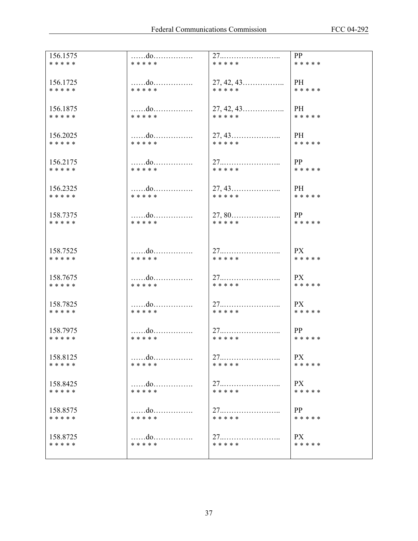| 156.1575              | do              | 27                               | PP                     |
|-----------------------|-----------------|----------------------------------|------------------------|
| * * * * *             | * * * * *       | * * * * *                        | * * * * *              |
|                       |                 |                                  | PH                     |
| 156.1725<br>* * * * * | do<br>* * * * * | $27, 42, 43 \ldots$<br>* * * * * | * * * * *              |
|                       |                 |                                  |                        |
| 156.1875              | do              |                                  | PH                     |
| * * * * *             | * * * * *       | * * * * *                        | * * * * *              |
|                       |                 |                                  |                        |
| 156.2025<br>* * * * * | do<br>* * * * * | $27, 43, \ldots$<br>* * * * *    | PH<br>* * * * *        |
|                       |                 |                                  |                        |
| 156.2175              | do              |                                  | PP                     |
| * * * * *             | * * * * *       | * * * * *                        | * * * * *              |
|                       |                 |                                  |                        |
| 156.2325              | do<br>* * * * * | * * * * *                        | PH<br>* * * * *        |
| * * * * *             |                 |                                  |                        |
| 158.7375              | do              |                                  | PP                     |
| * * * * *             | * * * * *       | * * * * *                        | * * * * *              |
|                       |                 |                                  |                        |
|                       |                 |                                  |                        |
| 158.7525<br>* * * * * | do<br>* * * * * | 27<br>* * * * *                  | <b>PX</b><br>* * * * * |
|                       |                 |                                  |                        |
| 158.7675              | do              |                                  | PX                     |
| * * * * *             | * * * * *       | * * * * *                        | * * * * *              |
|                       |                 |                                  |                        |
| 158.7825<br>* * * * * | do<br>* * * * * | * * * * *                        | PX<br>* * * * *        |
|                       |                 |                                  |                        |
| 158.7975              |                 |                                  | PP                     |
| * * * * *             | * * * * *       | * * * * *                        | * * * * *              |
|                       |                 |                                  |                        |
| 158.8125<br>* * * * * | do<br>* * * * * | 27<br>* * * * *                  | <b>PX</b><br>* * * * * |
|                       |                 |                                  |                        |
| 158.8425              |                 |                                  | PX                     |
| * * * * *             | * * * * *       | * * * * *                        | * * * * *              |
|                       |                 |                                  |                        |
| 158.8575<br>* * * * * | do<br>* * * * * | * * * * *                        | PP<br>* * * * *        |
|                       |                 |                                  |                        |
| 158.8725              | do              |                                  | <b>PX</b>              |
| * * * * *             | * * * * *       | * * * * *                        | * * * * *              |
|                       |                 |                                  |                        |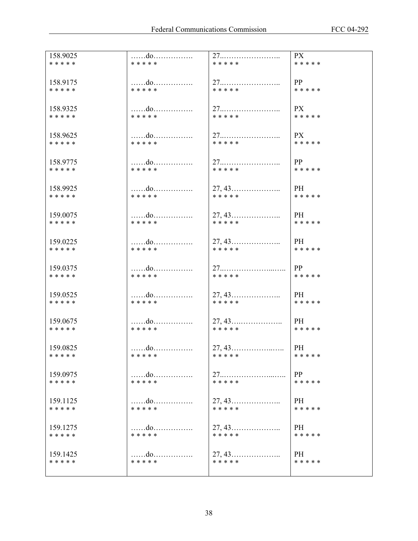| 158.9025  | do                | 27                                       | PX        |
|-----------|-------------------|------------------------------------------|-----------|
| * * * * * | * * * * *         | * * * * *                                | * * * * * |
| 158.9175  | do                |                                          | PP        |
| * * * * * | * * * * *         | * * * * *                                | * * * * * |
| 158.9325  | do                | 27                                       | <b>PX</b> |
| * * * * * | * * * * *         | * * * * *                                | * * * * * |
| 158.9625  | do                | 27                                       | PX        |
| * * * * * | * * * * *         | * * * * *                                | * * * * * |
| 158.9775  | $\dots \dots$ .do |                                          | PP        |
| * * * * * | * * * * *         | * * * * *                                | * * * * * |
| 158.9925  | do                |                                          | PH        |
| * * * * * | * * * * *         | * * * * *                                | * * * * * |
| 159.0075  | do                | $27, 43, \ldots$                         | PH        |
| * * * * * | * * * * *         | * * * * *                                | * * * * * |
| 159.0225  | do                | $27, 43, \ldots, \ldots, \ldots, \ldots$ | <b>PH</b> |
| * * * * * | * * * * *         | * * * * *                                | * * * * * |
| 159.0375  |                   |                                          | PP        |
| * * * * * | * * * * *         | * * * * *                                | * * * * * |
| 159.0525  | do                |                                          | PH        |
| * * * * * | * * * * *         | * * * * *                                | * * * * * |
| 159.0675  | do                | $27, 43, \ldots$                         | PH        |
| * * * * * | * * * * *         | * * * * *                                | * * * * * |
| 159.0825  | do                | $27, 43, \ldots$                         | PH        |
| * * * * * | * * * * *         | * * * * *                                | * * * * * |
| 159.0975  | do                |                                          | PP        |
| * * * * * | * * * * *         | * * * * *                                | * * * * * |
| 159.1125  | do                | $27, 43, \ldots, \ldots, \ldots, \ldots$ | PH        |
| * * * * * | * * * * *         | * * * * *                                | * * * * * |
| 159.1275  | do                | $27, 43, \ldots$                         | PH        |
| * * * * * | * * * * *         | * * * * *                                | * * * * * |
| 159.1425  | do                | $27, 43, \ldots, \ldots, \ldots, \ldots$ | PH        |
| * * * * * | * * * * *         | * * * * *                                | * * * * * |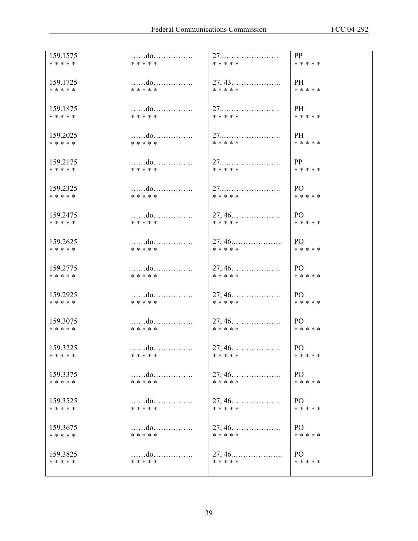| 159.1575              | do              | 27                                                    | PP                          |
|-----------------------|-----------------|-------------------------------------------------------|-----------------------------|
| * * * * *             | * * * * *       | * * * * *                                             | * * * * *                   |
| 159.1725              | do              | $27, 43 \ldots$                                       | PH                          |
| * * * * *             | * * * * *       | * * * * *                                             | * * * * *                   |
|                       |                 |                                                       |                             |
| 159.1875              | do              | 27                                                    | PH                          |
| * * * * *             | * * * * *       | * * * * *                                             | * * * * *                   |
| 159.2025              | do              |                                                       | PH                          |
| * * * * *             | * * * * *       | * * * * *                                             | * * * * *                   |
|                       |                 |                                                       |                             |
| 159.2175              | do<br>* * * * * | * * * * *                                             | PP<br>* * * * *             |
| * * * * *             |                 |                                                       |                             |
| 159.2325              | do              | 27                                                    | PO                          |
| * * * * *             | * * * * *       | * * * * *                                             | * * * * *                   |
|                       |                 |                                                       |                             |
| 159.2475<br>* * * * * | do<br>* * * * * | $27, 46, \ldots$<br>* * * * *                         | PO<br>* * * * *             |
|                       |                 |                                                       |                             |
| 159.2625              | do              |                                                       | PO                          |
| * * * * *             | * * * * *       | * * * * *                                             | * * * * *                   |
|                       |                 |                                                       |                             |
| 159.2775<br>* * * * * | do<br>* * * * * | * * * * *                                             | PO<br>* * * * *             |
|                       |                 |                                                       |                             |
| 159.2925              | do              |                                                       | PO                          |
| * * * * *             | * * * * *       | * * * * *                                             | * * * * *                   |
| 159.3075              | do              | $27, 46, \ldots$                                      | PO                          |
| * * * * *             | * * * * *       | * * * * *                                             | * * * * *                   |
|                       |                 |                                                       |                             |
| 159.3225              | do<br>* * * * * | $27, 46 \ldots$<br>* * * * *                          | PO<br>* * * * *             |
| * * * * *             |                 |                                                       |                             |
| 159.3375              | do              | $27, 46, \ldots, \ldots, \ldots, \ldots$              | PO                          |
| * * * * *             | * * * * *       | * * * * *                                             | * * * * *                   |
|                       |                 |                                                       |                             |
| 159.3525<br>* * * * * | do<br>* * * * * | $27, 46, \ldots, \ldots, \ldots, \ldots$<br>* * * * * | P <sub>O</sub><br>* * * * * |
|                       |                 |                                                       |                             |
| 159.3675              | do              |                                                       | PO                          |
| * * * * *             | * * * * *       | * * * * *                                             | * * * * *                   |
| 159.3825              | do              | $27, 46, \ldots, \ldots, \ldots, \ldots$              | PO                          |
| * * * * *             | * * * * *       | * * * * *                                             | * * * * *                   |
|                       |                 |                                                       |                             |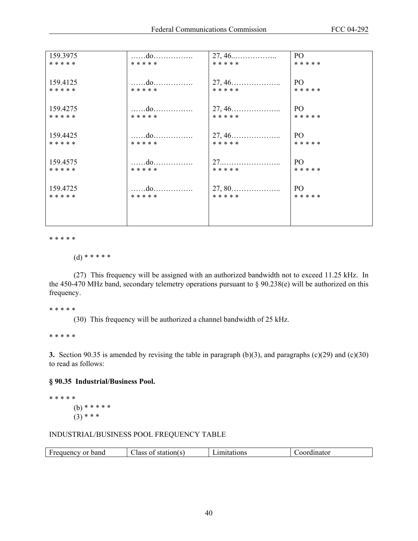| 159.3975  | do        | 27, 46           | PO        |
|-----------|-----------|------------------|-----------|
| * * * * * | * * * * * | * * * * *        | * * * * * |
|           |           |                  |           |
| 159.4125  | do        | $27, 46, \ldots$ | PO        |
| * * * * * | * * * * * | * * * * *        | * * * * * |
|           |           |                  |           |
| 159.4275  | do        | $27, 46, \ldots$ | PO        |
| * * * * * | * * * * * | * * * * *        | * * * * * |
|           |           |                  |           |
|           |           |                  |           |
| 159.4425  | do        | $27, 46, \ldots$ | PO        |
| * * * * * | * * * * * | * * * * *        | * * * * * |
|           |           |                  |           |
| 159.4575  | do        | $27$             | PO        |
| * * * * * | * * * * * | * * * * *        | * * * * * |
|           |           |                  |           |
| 159.4725  | do        |                  | PO        |
| * * * * * | * * * * * | * * * * *        | * * * * * |
|           |           |                  |           |
|           |           |                  |           |
|           |           |                  |           |

\* \* \* \* \*

(d) \* \* \* \* \*

 (27) This frequency will be assigned with an authorized bandwidth not to exceed 11.25 kHz. In the 450-470 MHz band, secondary telemetry operations pursuant to § 90.238(e) will be authorized on this frequency.

\* \* \* \* \*

(30) This frequency will be authorized a channel bandwidth of 25 kHz.

\* \* \* \* \*

**3.** Section 90.35 is amended by revising the table in paragraph (b)(3), and paragraphs (c)(29) and (c)(30) to read as follows:

## **§ 90.35 Industrial/Business Pool.**

\* \* \* \* \* (b) \* \* \* \* \*  $(3)$  \* \* \*

### INDUSTRIAL/BUSINESS POOL FREQUENCY TABLE

|  | $\overline{\phantom{0}}$<br>band<br>0r.<br>- Freque<br>∴nev ∶ | --<br>station(s<br>Jass<br>01 | uions | dinator |
|--|---------------------------------------------------------------|-------------------------------|-------|---------|
|--|---------------------------------------------------------------|-------------------------------|-------|---------|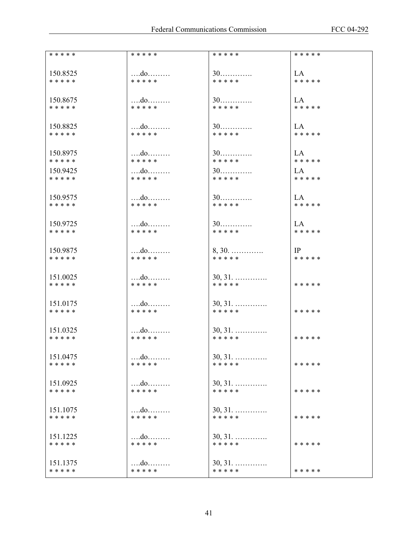| * * * * * | * * * * *         | * * * * *        | * * * * * |
|-----------|-------------------|------------------|-----------|
| 150.8525  | do                | $30$             | LA        |
| * * * * * | * * * * *         | * * * * *        | * * * * * |
| 150.8675  |                   | $30$             | LA —      |
| * * * * * | * * * * *         | * * * * *        | * * * * * |
| 150.8825  | do                | $30$             | LA        |
| * * * * * | * * * * *         | * * * * *        | * * * * * |
| 150.8975  | do                | $30$             | LA        |
| * * * * * | * * * * *         | * * * * *        | * * * * * |
| 150.9425  | do                | $30$             | LA —      |
| * * * * * | * * * * *         | * * * * *        | * * * * * |
| 150.9575  | do                | $30$             | LA        |
| * * * * * | * * * * *         | * * * * *        | * * * * * |
| 150.9725  | do                | $30$             | LA —      |
| * * * * * | * * * * *         | * * * * *        | * * * * * |
| 150.9875  | $\ldots$ $\vdots$ | $8, 30.$         | IP        |
| * * * * * | * * * * *         | * * * * *        | * * * * * |
| 151.0025  | do                | $30, 31, \ldots$ | * * * * * |
| * * * * * | * * * * *         | * * * * *        |           |
| 151.0175  |                   | $30, 31, \ldots$ | * * * * * |
| * * * * * | * * * * *         | * * * * *        |           |
| 151.0325  |                   | $30, 31, \ldots$ | * * * * * |
| * * * * * | * * * * *         | * * * * *        |           |
| 151.0475  |                   | $30, 31, \ldots$ | * * * * * |
| * * * * * | * * * * *         | * * * * *        |           |
| 151.0925  | do                | $30, 31, \ldots$ | * * * * * |
| * * * * * | * * * * *         | * * * * *        |           |
| 151.1075  | $\dots$ $d$ 0     | $30, 31, \ldots$ | * * * * * |
| * * * * * | * * * * *         | * * * * *        |           |
| 151.1225  | $\dots$ $d$ 0     | $30, 31, \ldots$ | * * * * * |
| * * * * * | * * * * *         | * * * * *        |           |
| 151.1375  | do                | $30, 31, \ldots$ | * * * * * |
| * * * * * | * * * * *         | * * * * *        |           |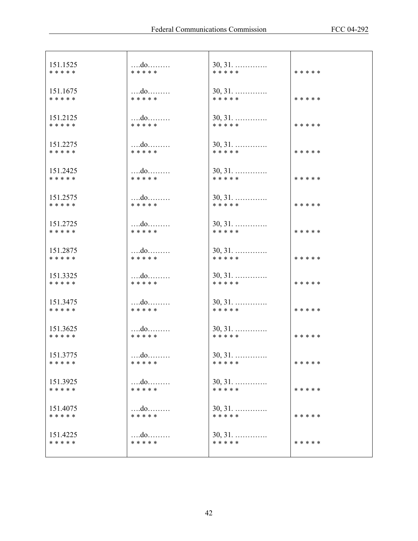| 151.1525  | do            | $30, 31, \ldots$ | * * * * * |
|-----------|---------------|------------------|-----------|
| * * * * * | * * * * *     | * * * * *        |           |
| 151.1675  | do            | $30, 31, \ldots$ | * * * * * |
| * * * * * | * * * * *     | * * * * *        |           |
| 151.2125  | $\dots$       | $30, 31, \ldots$ | * * * * * |
| * * * * * | * * * * *     | * * * * *        |           |
| 151.2275  | $$ do         | $30, 31, \ldots$ | * * * * * |
| * * * * * | * * * * *     | * * * * *        |           |
| 151.2425  | $\dots$ $d$ 0 | $30, 31.$        | * * * * * |
| * * * * * | * * * * *     | * * * * *        |           |
| 151.2575  | do            | $30, 31, \ldots$ | * * * * * |
| * * * * * | * * * * *     | * * * * *        |           |
| 151.2725  | $\dots$       | $30, 31, \ldots$ | * * * * * |
| * * * * * | * * * * *     | * * * * *        |           |
| 151.2875  | $$ do         | $30, 31, \ldots$ | * * * * * |
| * * * * * | * * * * *     | * * * * *        |           |
| 151.3325  | $\dots$ $d$ o | $30, 31, \ldots$ | * * * * * |
| * * * * * | * * * * *     | * * * * *        |           |
| 151.3475  | $$ do         | $30, 31, \ldots$ | * * * * * |
| * * * * * | * * * * *     | * * * * *        |           |
| 151.3625  | do            | $30, 31, \ldots$ | * * * * * |
| * * * * * | * * * * *     | * * * * *        |           |
| 151.3775  |               | $30, 31, \ldots$ | * * * * * |
| * * * * * | * * * * *     | * * * * *        |           |
| 151.3925  | $\dots$       | $30, 31, \ldots$ | * * * * * |
| * * * * * | * * * * *     | * * * * *        |           |
| 151.4075  | do            | $30, 31, \ldots$ | * * * * * |
| * * * * * | * * * * *     | * * * * *        |           |
| 151.4225  |               | $30, 31, \ldots$ | * * * * * |
| * * * * * | * * * * *     | * * * * *        |           |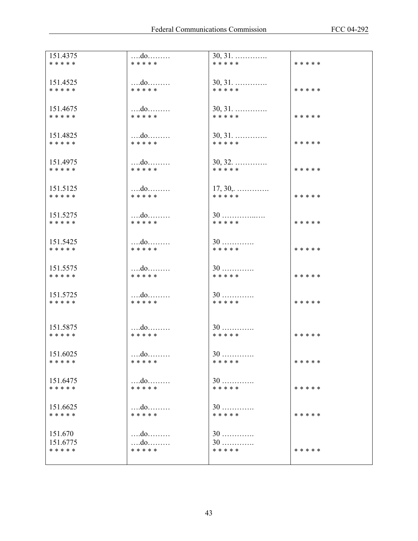| 151.4375  | do              | $30, 31, \ldots$              |           |
|-----------|-----------------|-------------------------------|-----------|
| * * * * * | * * * * *       | * * * * *                     | * * * * * |
|           |                 |                               |           |
| 151.4525  |                 |                               |           |
| * * * * * | do<br>* * * * * | $30, 31, \ldots$<br>* * * * * | * * * * * |
|           |                 |                               |           |
|           |                 |                               |           |
| 151.4675  |                 | $30, 31, \ldots$              |           |
| * * * * * | * * * * *       | * * * * *                     | * * * * * |
|           |                 |                               |           |
| 151.4825  | $\dots$ $d$ 0   | $30, 31, \ldots$              |           |
| * * * * * | * * * * *       | * * * * *                     | * * * * * |
|           |                 |                               |           |
|           |                 |                               |           |
| 151.4975  | $\dots$ $d$ 0   | $30, 32, \ldots$              |           |
| * * * * * | * * * * *       | * * * * *                     | * * * * * |
|           |                 |                               |           |
| 151.5125  | do              | $17, 30, \ldots$              |           |
| * * * * * | * * * * *       | * * * * *                     | * * * * * |
|           |                 |                               |           |
|           |                 |                               |           |
| 151.5275  |                 | $30$                          |           |
| * * * * * | * * * * *       | * * * * *                     | * * * * * |
|           |                 |                               |           |
| 151.5425  | $$ do           | $30$                          |           |
| * * * * * | * * * * *       | * * * * *                     | * * * * * |
|           |                 |                               |           |
|           |                 |                               |           |
| 151.5575  | do              | $30$                          |           |
| * * * * * | * * * * *       | * * * * *                     | * * * * * |
|           |                 |                               |           |
| 151.5725  |                 | $30$                          |           |
| * * * * * | * * * * *       | * * * * *                     | * * * * * |
|           |                 |                               |           |
|           |                 |                               |           |
| 151.5875  | do              | $30$                          |           |
| * * * * * | * * * * *       | * * * * *                     | * * * * * |
|           |                 |                               |           |
|           |                 |                               |           |
| 151.6025  | $\dots$ $d$ o   | $30$                          |           |
| * * * * * | * * * * *       | * * * * *                     | * * * * * |
|           |                 |                               |           |
| 151.6475  | do              | $30$                          |           |
| * * * * * | * * * * *       | * * * * *                     | * * * * * |
|           |                 |                               |           |
|           |                 |                               |           |
| 151.6625  | * * * * *       | $30$<br>* * * * *             |           |
| * * * * * |                 |                               | * * * * * |
|           |                 |                               |           |
| 151.670   | do              | $30$                          |           |
| 151.6775  | do              | $30$                          |           |
| * * * * * | * * * * *       | * * * * *                     | * * * * * |
|           |                 |                               |           |
|           |                 |                               |           |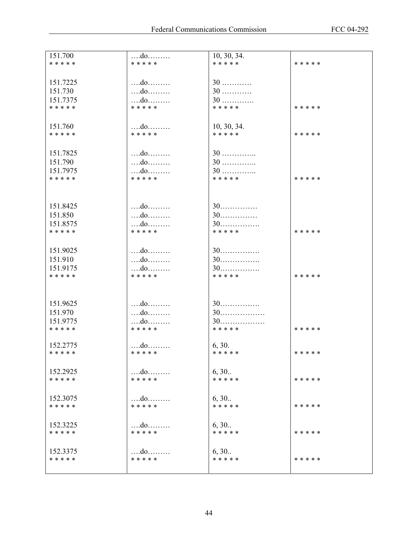| 151.700<br>* * * * *  | $$ do<br>* * * * *         | 10, 30, 34.<br>* * * * * | * * * * * |
|-----------------------|----------------------------|--------------------------|-----------|
|                       |                            |                          |           |
| 151.7225              | $\dots$ $d$ 0              | $30$                     |           |
| 151.730               | do                         | $30$                     |           |
| 151.7375<br>* * * * * | do<br>* * * * *            | $30$<br>* * * * *        | * * * * * |
|                       |                            |                          |           |
| 151.760               |                            | 10, 30, 34.              |           |
| * * * * *             | * * * * *                  | * * * * *                | * * * * * |
| 151.7825              |                            | $30$                     |           |
| 151.790               | do                         | $30$                     |           |
| 151.7975              | do                         | $30$                     |           |
| * * * * *             | * * * * *                  | * * * * *                | * * * * * |
|                       |                            |                          |           |
| 151.8425              |                            | $30$                     |           |
| 151.850               | do                         | $30$                     |           |
| 151.8575<br>* * * * * | $$ do<br>* * * * *         | $30$<br>* * * * *        | * * * * * |
|                       |                            |                          |           |
| 151.9025              |                            | $30$                     |           |
| 151.910               | do                         | $30$                     |           |
| 151.9175<br>* * * * * | $\dots$ $d$ 0<br>* * * * * | $30$<br>* * * * *        | * * * * * |
|                       |                            |                          |           |
|                       |                            |                          |           |
| 151.9625<br>151.970   |                            | $30$                     |           |
| 151.9775              | do<br>$$ do                | $30$<br>$30$             |           |
| * * * * *             | * * * * *                  | * * * * *                | * * * * * |
| 152.2775              |                            | 6, 30.                   |           |
| * * * * *             | * * * * *                  | * * * * *                | * * * * * |
|                       |                            |                          |           |
| 152.2925<br>* * * * * | * * * * *                  | 6, 30.<br>* * * * *      | * * * * * |
|                       |                            |                          |           |
| 152.3075              | $\ldots$ do                | 6, 30<br>* * * * *       |           |
| * * * * *             | * * * * *                  |                          | * * * * * |
| 152.3225              | do                         | 6, 30                    |           |
| * * * * *             | * * * * *                  | * * * * *                | * * * * * |
| 152.3375              | do                         | 6, 30                    |           |
| * * * * *             | * * * * *                  | * * * * *                | * * * * * |
|                       |                            |                          |           |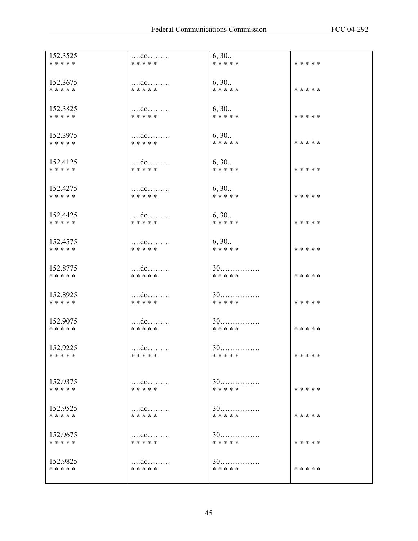| 152.3525  | $\dots$ $d$ o           | 6, 30     | * * * * * |
|-----------|-------------------------|-----------|-----------|
| * * * * * | * * * * *               | * * * * * |           |
| 152.3675  | do                      | 6, 30     | * * * * * |
| * * * * * | * * * * *               | * * * * * |           |
| 152.3825  | $\dots$ $d$ 0           | 6, 30     | * * * * * |
| * * * * * | * * * * *               | * * * * * |           |
| 152.3975  | $\dots$ $d$ 0           | 6, 30     | * * * * * |
| * * * * * | * * * * *               | * * * * * |           |
| 152.4125  | $$ do                   | 6, 30     | * * * * * |
| * * * * * | * * * * *               | * * * * * |           |
| 152.4275  | do                      | 6, 30     | * * * * * |
| * * * * * | * * * * *               | * * * * * |           |
| 152.4425  | $\dots$ $d$ 0           | 6, 30     | * * * * * |
| * * * * * | *****                   | * * * * * |           |
| 152.4575  | $\dots$ $d$ 0           | 6, 30     | * * * * * |
| * * * * * | * * * * *               | * * * * * |           |
| 152.8775  | $\dots$ $d$ 0           | $30$      | * * * * * |
| * * * * * | * * * * *               | * * * * * |           |
| 152.8925  | $$ do                   | $30$      | * * * * * |
| * * * * * | * * * * *               | * * * * * |           |
| 152.9075  | $\dots$ $d$ 0           | $30$      | * * * * * |
| * * * * * | * * * * *               | * * * * * |           |
| 152.9225  | $\dots$ $d$ 0           | $30$      | * * * * * |
| * * * * * | * * * * *               | * * * * * |           |
| 152.9375  | $\dots$ do $\dots\dots$ | $30$      | * * * * * |
| * * * * * | * * * * *               | * * * * * |           |
| 152.9525  | do                      | $30$      | * * * * * |
| * * * * * | * * * * *               | * * * * * |           |
| 152.9675  |                         | $30$      | * * * * * |
| * * * * * | * * * * *               | * * * * * |           |
| 152.9825  |                         | $30$      | * * * * * |
| * * * * * | * * * * *               | * * * * * |           |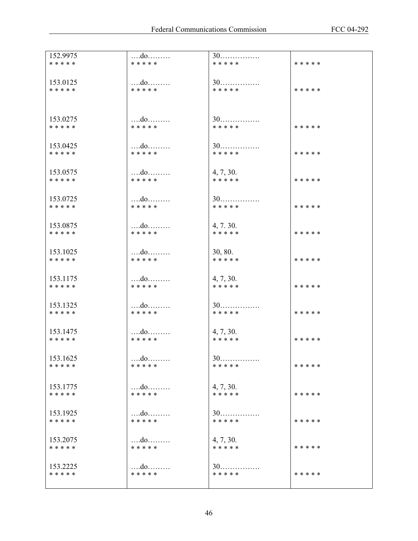| 152.9975  | do            | $30$      | * * * * * |
|-----------|---------------|-----------|-----------|
| * * * * * | * * * * *     | * * * * * |           |
| 153.0125  | do            | $30$      |           |
| * * * * * | * * * * *     | * * * * * | * * * * * |
| 153.0275  | $$ do         | $30$      | * * * * * |
| * * * * * | * * * * *     | * * * * * |           |
| 153.0425  | $\dots$ $d$ 0 | $30$      |           |
| * * * * * | * * * * *     | * * * * * | * * * * * |
| 153.0575  | $$ do         | 4, 7, 30. | * * * * * |
| * * * * * | * * * * *     | * * * * * |           |
| 153.0725  | do            | $30$      | * * * * * |
| * * * * * | * * * * *     | * * * * * |           |
| 153.0875  | $$ do         | 4, 7, 30. | * * * * * |
| * * * * * | * * * * *     | * * * * * |           |
| 153.1025  | $\dots$ $d$ 0 | 30, 80.   | * * * * * |
| * * * * * | * * * * *     | * * * * * |           |
| 153.1175  | do            | 4, 7, 30. | * * * * * |
| * * * * * | * * * * *     | * * * * * |           |
| 153.1325  | do            | $30$      | * * * * * |
| * * * * * | * * * * *     | * * * * * |           |
| 153.1475  | do            | 4, 7, 30. | * * * * * |
| * * * * * | * * * * *     | * * * * * |           |
| 153.1625  | do            | $30$      | * * * * * |
| * * * * * | * * * * *     | * * * * * |           |
| 153.1775  | $\dots$ $d$ 0 | 4, 7, 30. | * * * * * |
| * * * * * | * * * * *     | * * * * * |           |
| 153.1925  | do            | $30$      | * * * * * |
| * * * * * | * * * * *     | * * * * * |           |
| 153.2075  | do            | 4, 7, 30. | * * * * * |
| * * * * * | * * * * *     | * * * * * |           |
| 153.2225  | do            | $30$      | * * * * * |
| * * * * * | * * * * *     | * * * * * |           |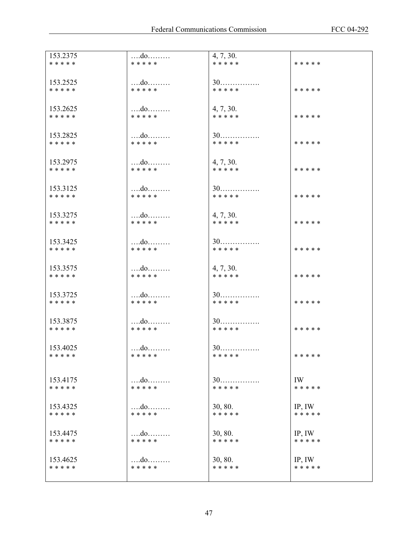| 153.2375  | $\dots$ $d$ 0 | 4, 7, 30. |             |
|-----------|---------------|-----------|-------------|
| * * * * * | * * * * *     | * * * * * | * * * * *   |
|           |               |           |             |
|           |               |           |             |
| 153.2525  | do            | $30$      |             |
| * * * * * | * * * * *     | * * * * * | * * * * *   |
|           |               |           |             |
|           |               |           |             |
| 153.2625  | do            | 4, 7, 30. |             |
| * * * * * | * * * * *     | * * * * * | * * * * *   |
|           |               |           |             |
|           |               |           |             |
| 153.2825  | $\dots$ $d$ 0 | $30$      |             |
| * * * * * | * * * * *     | * * * * * | * * * * *   |
|           |               |           |             |
| 153.2975  | do            | 4, 7, 30. |             |
|           | * * * * *     |           |             |
| * * * * * |               | * * * * * | * * * * *   |
|           |               |           |             |
| 153.3125  | do            | $30$      |             |
| * * * * * | * * * * *     | * * * * * | * * * * *   |
|           |               |           |             |
|           |               |           |             |
| 153.3275  | do            | 4, 7, 30. |             |
| * * * * * | * * * * *     | * * * * * | * * * * *   |
|           |               |           |             |
|           |               |           |             |
| 153.3425  | $\dots$ $d$ 0 | $30$      |             |
| * * * * * | * * * * *     | * * * * * | * * * * *   |
|           |               |           |             |
|           |               |           |             |
| 153.3575  | $\dots$ $d$ 0 | 4, 7, 30. |             |
| * * * * * | * * * * *     | * * * * * | * * * * *   |
|           |               |           |             |
| 153.3725  | do            | $30$      |             |
| * * * * * | * * * * *     | * * * * * | * * * * *   |
|           |               |           |             |
|           |               |           |             |
| 153.3875  | $$ do         | $30$      |             |
| * * * * * | * * * * *     | * * * * * | * * * * *   |
|           |               |           |             |
|           |               |           |             |
| 153.4025  | $\dots$ $d$ 0 | $30$      |             |
| * * * * * | * * * * *     | * * * * * | * * * * *   |
|           |               |           |             |
|           |               |           |             |
| 153.4175  |               | $30$      | IW          |
| * * * * * | * * * * *     | * * * * * | * * * * *   |
|           |               |           |             |
|           |               |           |             |
| 153.4325  |               | 30, 80.   | IP, IW      |
| * * * * * | * * * * *     | * * * * * | * * * * *   |
|           |               |           |             |
|           |               |           |             |
| 153.4475  |               | 30, 80.   | $IP$ , $IW$ |
| * * * * * | * * * * *     | * * * * * | * * * * *   |
|           |               |           |             |
| 153.4625  | do            | 30, 80.   | IP, IW      |
| * * * * * | * * * * *     | * * * * * | * * * * *   |
|           |               |           |             |
|           |               |           |             |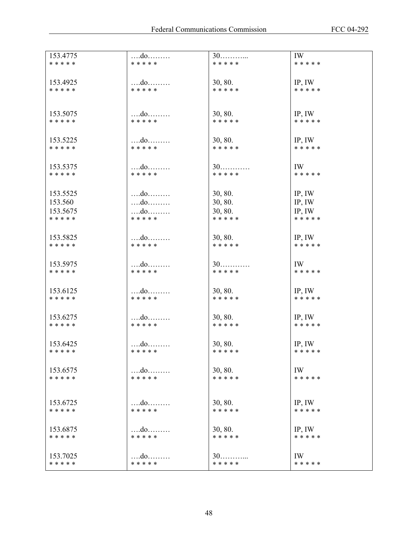| 153.4775<br>* * * * * | $\dots$ $d$ o<br>* * * * *         | $30$<br>* * * * *    | IW<br>* * * * *     |
|-----------------------|------------------------------------|----------------------|---------------------|
| 153.4925              | do                                 | 30, 80.              | $IP$ , $IW$         |
| * * * * *             | * * * * *                          | * * * * *            | * * * * *           |
| 153.5075              | do                                 | 30, 80.              | IP, IW              |
| * * * * *             | * * * * *                          | * * * * *            | * * * * *           |
| 153.5225<br>* * * * * | * * * * *                          | 30, 80.<br>* * * * * | IP, IW<br>* * * * * |
|                       |                                    |                      |                     |
| 153.5375<br>* * * * * | * * * * *                          | $30$<br>* * * * *    | IW<br>* * * * *     |
| 153.5525              | $\dots$ $d$ 0                      | 30, 80.              | IP, IW              |
| 153.560               |                                    | 30, 80.              | IP, IW              |
| 153.5675              | do                                 | 30, 80.              | IP, IW              |
| * * * * *             | * * * * *                          | * * * * *            | * * * * *           |
| 153.5825              | do                                 | 30, 80.              | $IP$ , $IW$         |
| * * * * *             | * * * * *                          | * * * * *            | * * * * *           |
| 153.5975              | $\dots$ $d$ 0                      | $30$                 | IW                  |
| * * * * *             | * * * * *                          | * * * * *            | * * * * *           |
| 153.6125              | $\dots$ $d$ 0                      | 30, 80.              | $IP$ , $IW$         |
| * * * * *             | * * * * *                          | * * * * *            | * * * * *           |
| 153.6275<br>* * * * * | * * * * *                          | 30, 80.<br>* * * * * | IP, IW<br>* * * * * |
|                       |                                    |                      |                     |
| 153.6425<br>* * * * * | $\dots$ $d$ 0 $\dots$<br>* * * * * | 30, 80.<br>* * * * * | IP, IW<br>* * * * * |
| 153.6575              | do                                 | 30, 80.              | IW                  |
| * * * * *             | * * * * *                          | * * * * *            | * * * * *           |
| 153.6725              |                                    | 30, 80.              | $IP$ , $IW$         |
| * * * * *             | * * * * *                          | * * * * *            | * * * * *           |
| 153.6875              | do                                 | 30, 80.              | IP, IW              |
| * * * * *             | * * * * *                          | * * * * *            | * * * * *           |
| 153.7025              |                                    | 30                   | IW                  |
| * * * * *             | * * * * *                          | * * * * *            | * * * * *           |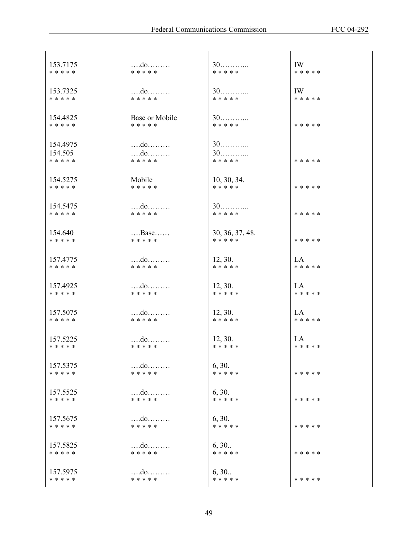| 153.7175  | do             | $30$            | IW        |
|-----------|----------------|-----------------|-----------|
| * * * * * | * * * * *      | * * * * *       | * * * * * |
| 153.7325  | $\dots$        | $30$            | IW        |
| * * * * * | * * * * *      | * * * * *       | * * * * * |
| 154.4825  | Base or Mobile | $30$            | * * * * * |
| * * * * * | * * * * *      | * * * * *       |           |
| 154.4975  | $\dots$ $d$ 0  | $30$            | * * * * * |
| 154.505   | do             | $30$            |           |
| * * * * * | * * * * *      | * * * * *       |           |
| 154.5275  | Mobile         | 10, 30, 34.     | * * * * * |
| * * * * * | * * * * *      | * * * * *       |           |
| 154.5475  | do             | $30$            | * * * * * |
| * * * * * | * * * * *      | * * * * *       |           |
| 154.640   | $$ Base        | 30, 36, 37, 48. | * * * * * |
| * * * * * | * * * * *      | * * * * *       |           |
| 157.4775  | $$ do          | 12, 30.         | LA        |
| * * * * * | * * * * *      | * * * * *       | * * * * * |
| 157.4925  |                | 12, 30.         | <b>LA</b> |
| * * * * * | * * * * *      | * * * * *       | * * * * * |
| 157.5075  | do             | 12, 30.         | LA        |
| * * * * * | * * * * *      | * * * * *       | * * * * * |
| 157.5225  |                | 12, 30.         | <b>LA</b> |
| * * * * * | * * * * *      | * * * * *       | * * * * * |
| 157.5375  | do             | 6, 30.          | * * * * * |
| * * * * * | * * * * *      | * * * * *       |           |
| 157.5525  | do             | 6, 30.          | * * * * * |
| * * * * * | * * * * *      | * * * * *       |           |
| 157.5675  | do             | 6, 30.          | * * * * * |
| * * * * * | * * * * *      | * * * * *       |           |
| 157.5825  | do             | 6, 30           | * * * * * |
| * * * * * | * * * * *      | * * * * *       |           |
| 157.5975  |                | 6, 30           | * * * * * |
| * * * * * | * * * * *      | * * * * *       |           |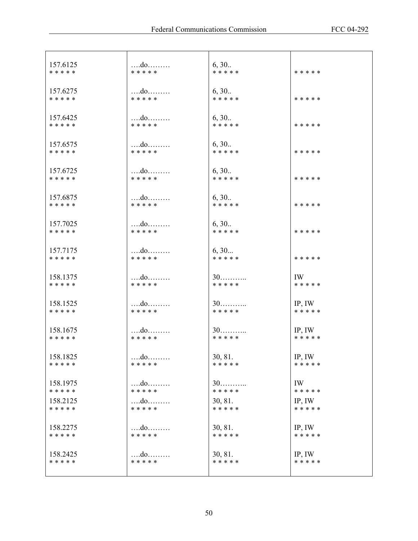| 157.6125  | do            | 6, 30     | * * * * * |
|-----------|---------------|-----------|-----------|
| * * * * * | * * * * *     | * * * * * |           |
| 157.6275  | $\dots$       | 6, 30     | * * * * * |
| * * * * * | * * * * *     | * * * * * |           |
| 157.6425  | do            | 6, 30     | * * * * * |
| * * * * * | * * * * *     | * * * * * |           |
| 157.6575  | $\dots$ $d$ 0 | 6, 30     | * * * * * |
| * * * * * | * * * * *     | * * * * * |           |
| 157.6725  | $$ do         | 6, 30     | * * * * * |
| * * * * * | * * * * *     | * * * * * |           |
| 157.6875  |               | 6, 30     | * * * * * |
| * * * * * | * * * * *     | * * * * * |           |
| 157.7025  |               | 6, 30     | * * * * * |
| * * * * * | * * * * *     | * * * * * |           |
| 157.7175  |               | 6, 30     | * * * * * |
| * * * * * | * * * * *     | * * * * * |           |
| 158.1375  | $\dots$ $d$ 0 | $30$      | IW        |
| * * * * * | * * * * *     | * * * * * | * * * * * |
| 158.1525  |               | $30$      | IP, IW    |
| * * * * * | * * * * *     | * * * * * | * * * * * |
| 158.1675  |               | $30$      | IP, IW    |
| * * * * * | * * * * *     | * * * * * | * * * * * |
| 158.1825  | $\dots$ $d$ o | 30, 81.   | IP, IW    |
| * * * * * | * * * * *     | * * * * * | * * * * * |
| 158.1975  |               | 30        | IW        |
| * * * * * | * * * * *     | * * * * * | * * * * * |
| 158.2125  | $\dots$ $d$ 0 | 30, 81.   | IP, IW    |
| * * * * * | * * * * *     | * * * * * | * * * * * |
| 158.2275  | $\dots$ $d$ 0 | 30, 81.   | IP, IW    |
| * * * * * | * * * * *     | * * * * * | * * * * * |
| 158.2425  |               | 30, 81.   | IP, IW    |
| * * * * * | * * * * *     | * * * * * | * * * * * |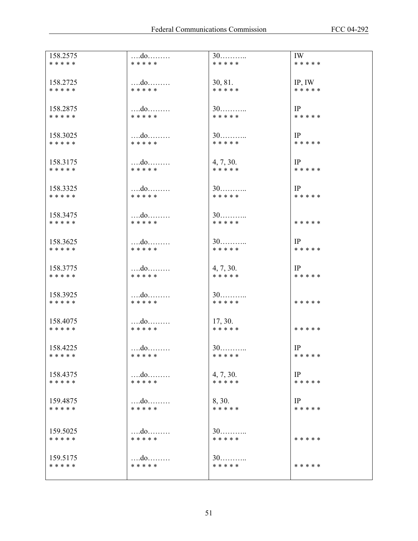| 158.2575              | $\dots$ $d$ 0              | $30$                   | IW              |
|-----------------------|----------------------------|------------------------|-----------------|
| * * * * *             | * * * * *                  | * * * * *              | * * * * *       |
| 158.2725              | do                         | 30, 81.                | IP, IW          |
| * * * * *             | * * * * *                  | * * * * *              | * * * * *       |
|                       |                            |                        |                 |
| 158.2875              | $\dots$                    | $30$                   | IP              |
| * * * * *             | * * * * *                  | * * * * *              | * * * * *       |
| 158.3025              |                            | $30$                   | IP              |
| * * * * *             | $\dots$ $d$ 0<br>* * * * * | * * * * *              | * * * * *       |
|                       |                            |                        |                 |
| 158.3175              | do                         | 4, 7, 30.              | IP              |
| * * * * *             | * * * * *                  | * * * * *              | * * * * *       |
| 158.3325              | do                         | $30$                   | IP              |
| * * * * *             | * * * * *                  | * * * * *              | * * * * *       |
|                       |                            |                        |                 |
| 158.3475              | $$ do                      | $30$                   |                 |
| * * * * *             | * * * * *                  | * * * * *              | * * * * *       |
| 158.3625              | $\dots$ $d$ 0              | $30$                   | IP              |
| * * * * *             | * * * * *                  | * * * * *              | * * * * *       |
|                       |                            |                        |                 |
| 158.3775<br>* * * * * | do<br>* * * * *            | 4, 7, 30.<br>* * * * * | IP<br>* * * * * |
|                       |                            |                        |                 |
| 158.3925              | do                         | $30$                   |                 |
| * * * * *             | * * * * *                  | * * * * *              | * * * * *       |
|                       |                            |                        |                 |
| 158.4075<br>* * * * * | $\dots$ $d$ 0<br>* * * * * | 17, 30.<br>* * * * *   | * * * * *       |
|                       |                            |                        |                 |
| 158.4225              | do                         | $30$                   | IP              |
| * * * * *             | * * * * *                  | * * * * *              | * * * * *       |
| 158.4375              |                            | 4, 7, 30.              | IP              |
| * * * * *             | * * * * *                  | * * * * *              | * * * * *       |
|                       |                            |                        |                 |
| 159.4875<br>* * * * * | do<br>* * * * *            | 8, 30.<br>* * * * *    | IP<br>* * * * * |
|                       |                            |                        |                 |
| 159.5025              |                            |                        |                 |
| * * * * *             | do<br>* * * * *            | 30<br>* * * * *        | * * * * *       |
|                       |                            |                        |                 |
| 159.5175              | $\dots$                    | $30$                   |                 |
| * * * * *             | * * * * *                  | * * * * *              | * * * * *       |
|                       |                            |                        |                 |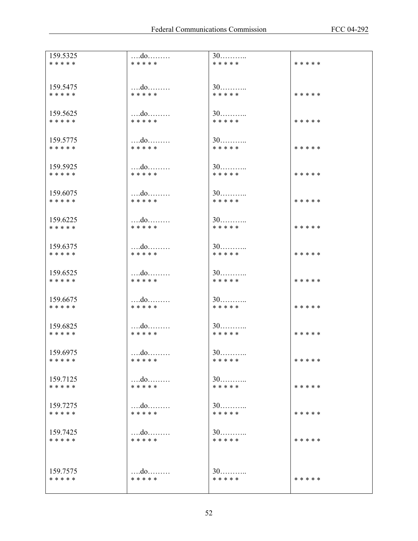| 159.5325              | do              | $30$              |           |
|-----------------------|-----------------|-------------------|-----------|
| * * * * *             | * * * * *       | * * * * *         | * * * * * |
|                       |                 |                   |           |
| 159.5475              | do              | $30$              |           |
| * * * * *             | * * * * *       | * * * * *         | * * * * * |
| 159.5625              | do              | $30$              |           |
| * * * * *             | * * * * *       | * * * * *         | * * * * * |
|                       |                 |                   |           |
| 159.5775              |                 | $30$              |           |
| * * * * *             | * * * * *       | * * * * *         | * * * * * |
| 159.5925              |                 | $30$              |           |
| * * * * *             | * * * * *       | * * * * *         | * * * * * |
|                       |                 |                   |           |
| 159.6075              | do              | $30$              |           |
| * * * * *             | * * * * *       | * * * * *         | * * * * * |
| 159.6225              |                 | $30$              |           |
| * * * * *             | * * * * *       | * * * * *         | * * * * * |
|                       |                 |                   |           |
| 159.6375              | do              | $30$<br>* * * * * |           |
| * * * * *             | * * * * *       |                   | * * * * * |
| 159.6525              |                 | $30$              |           |
| * * * * *             | * * * * *       | * * * * *         | * * * * * |
|                       |                 |                   |           |
| 159.6675<br>* * * * * | do<br>* * * * * | $30$<br>* * * * * | * * * * * |
|                       |                 |                   |           |
| 159.6825              | $\dots$ $d$ 0   | $30$              |           |
| * * * * *             | * * * * *       | * * * * *         | * * * * * |
|                       |                 |                   |           |
| 159.6975<br>* * * * * | do<br>* * * * * | 30<br>* * * * *   | * * * * * |
|                       |                 |                   |           |
| 159.7125              | $\dots$ $d$ 0   | $30$              |           |
| * * * * *             | * * * * *       | * * * * *         | * * * * * |
| 159.7275              | do              | 30                |           |
| * * * * *             | * * * * *       | * * * * *         | * * * * * |
|                       |                 |                   |           |
| 159.7425              | do              | $30$              |           |
| * * * * *             | * * * * *       | * * * * *         | * * * * * |
|                       |                 |                   |           |
| 159.7575              |                 | $30$              |           |
| * * * * *             | * * * * *       | * * * * *         | * * * * * |
|                       |                 |                   |           |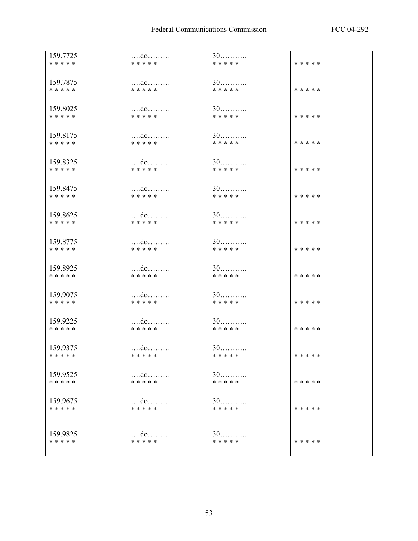| 159.7725  | do        | $30$      | * * * * * |
|-----------|-----------|-----------|-----------|
| * * * * * | * * * * * | * * * * * |           |
| 159.7875  | do        | $30$      | * * * * * |
| * * * * * | * * * * * | * * * * * |           |
| 159.8025  | do        | $30$      | * * * * * |
| * * * * * | * * * * * | * * * * * |           |
| 159.8175  |           | $30$      | * * * * * |
| * * * * * | * * * * * | * * * * * |           |
| 159.8325  | $$ do     | $30$      | * * * * * |
| * * * * * | * * * * * | * * * * * |           |
| 159.8475  | do        | $30$      | * * * * * |
| * * * * * | * * * * * | * * * * * |           |
| 159.8625  | do        | $30$      | * * * * * |
| * * * * * | * * * * * | * * * * * |           |
| 159.8775  |           | $30$      | * * * * * |
| * * * * * | * * * * * | * * * * * |           |
| 159.8925  | do        | $30$      | * * * * * |
| * * * * * | * * * * * | * * * * * |           |
| 159.9075  | do        | $30$      | * * * * * |
| * * * * * | * * * * * | * * * * * |           |
| 159.9225  | do        | $30$      | * * * * * |
| * * * * * | * * * * * | * * * * * |           |
| 159.9375  | do        | $30$      | * * * * * |
| * * * * * | * * * * * | * * * * * |           |
| 159.9525  |           | $30$      | * * * * * |
| * * * * * | * * * * * | * * * * * |           |
| 159.9675  | $$ do $$  | $30$      | * * * * * |
| * * * * * | * * * * * | * * * * * |           |
| 159.9825  | do        | $30$      | * * * * * |
| * * * * * | * * * * * | * * * * * |           |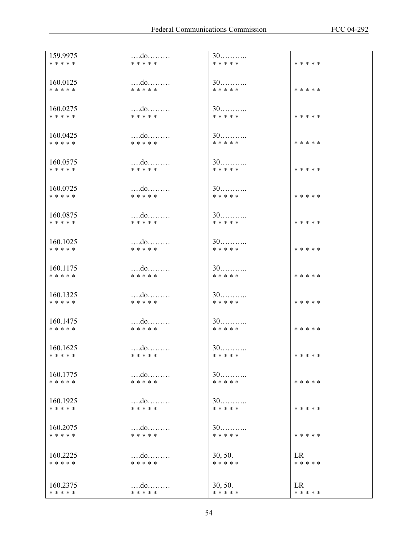| 159.9975<br>* * * * * | do<br>* * * * *            | $30$<br>* * * * *    | * * * * *              |
|-----------------------|----------------------------|----------------------|------------------------|
|                       |                            |                      |                        |
| 160.0125              | do                         | $30$                 |                        |
| * * * * *             | * * * * *                  | * * * * *            | * * * * *              |
| 160.0275              | do                         | $30$                 |                        |
| * * * * *             | * * * * *                  | * * * * *            | * * * * *              |
|                       |                            | $30$                 |                        |
| 160.0425<br>* * * * * | * * * * *                  | * * * * *            | * * * * *              |
|                       |                            |                      |                        |
| 160.0575<br>* * * * * | $\dots$ $d$ 0<br>* * * * * | $30$<br>* * * * *    | * * * * *              |
|                       |                            |                      |                        |
| 160.0725              | $\dots$                    | $30$                 |                        |
| * * * * *             | * * * * *                  | * * * * *            | * * * * *              |
| 160.0875              |                            | $30$                 |                        |
| * * * * *             | * * * * *                  | * * * * *            | * * * * *              |
|                       |                            |                      |                        |
| 160.1025<br>* * * * * | * * * * *                  | $30$<br>* * * * *    | * * * * *              |
|                       |                            |                      |                        |
| 160.1175<br>* * * * * | do<br>* * * * *            | $30$<br>* * * * *    | * * * * *              |
|                       |                            |                      |                        |
| 160.1325              |                            | $30$                 |                        |
| * * * * *             | * * * * *                  | * * * * *            | * * * * *              |
| 160.1475              | do                         | $30$                 |                        |
| * * * * *             | * * * * *                  | * * * * *            | * * * * *              |
| 160.1625              | do                         | $30$                 |                        |
| * * * * *             | * * * * *                  | * * * * *            | * * * * *              |
|                       |                            |                      |                        |
| 160.1775<br>* * * * * | * * * * *                  | $30$<br>* * * * *    | * * * * *              |
|                       |                            |                      |                        |
| 160.1925<br>* * * * * | $\dots$<br>* * * * *       | 30<br>* * * * *      | * * * * *              |
|                       |                            |                      |                        |
| 160.2075              |                            | 30                   |                        |
| * * * * *             | * * * * *                  | * * * * *            | * * * * *              |
| 160.2225              | do                         | 30, 50.              | LR.                    |
| * * * * *             | * * * * *                  | * * * * *            | * * * * *              |
|                       |                            |                      |                        |
| 160.2375<br>* * * * * | do<br>* * * * *            | 30, 50.<br>* * * * * | <b>LR</b><br>* * * * * |
|                       |                            |                      |                        |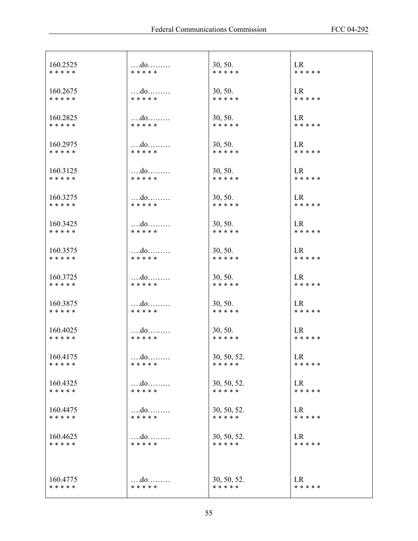| 160.2525  | $\dots$ $d$ 0         | 30, 50.     | <b>LR</b> |
|-----------|-----------------------|-------------|-----------|
| * * * * * | * * * * *             | * * * * *   | * * * * * |
| 160.2675  | do                    | 30, 50.     | <b>LR</b> |
| * * * * * | * * * * *             | * * * * *   | * * * * * |
| 160.2825  | do                    | 30, 50.     | LR        |
| * * * * * | * * * * *             | * * * * *   | * * * * * |
| 160.2975  | do                    | 30, 50.     | <b>LR</b> |
| * * * * * | * * * * *             | * * * * *   | * * * * * |
| 160.3125  | $\dots$ $d$ 0         | 30, 50.     | LR        |
| * * * * * | * * * * *             | * * * * *   | * * * * * |
| 160.3275  | do                    | 30, 50.     | LR        |
| * * * * * | * * * * *             | * * * * *   | * * * * * |
| 160.3425  | $\dots$               | 30, 50.     | LR        |
| * * * * * | *****                 | * * * * *   | * * * * * |
| 160.3575  |                       | 30, 50.     | <b>LR</b> |
| * * * * * | * * * * *             | * * * * *   | * * * * * |
| 160.3725  | $\dots$ $d$ 0         | 30, 50.     | LR        |
| * * * * * | * * * * *             | * * * * *   | * * * * * |
| 160.3875  | do                    | 30, 50.     | LR        |
| * * * * * | * * * * *             | * * * * *   | * * * * * |
| 160.4025  | do                    | 30, 50.     | <b>LR</b> |
| * * * * * | * * * * *             | * * * * *   | * * * * * |
| 160.4175  |                       | 30, 50, 52. | LR        |
| * * * * * | * * * * *             | * * * * *   | * * * * * |
| 160.4325  | $\dots$               | 30, 50, 52. | <b>LR</b> |
| * * * * * | * * * * *             | * * * * *   | * * * * * |
| 160.4475  | $\dots$ $d$ 0         | 30, 50, 52. | LR        |
| * * * * * | * * * * *             | * * * * *   | * * * * * |
| 160.4625  | do                    | 30, 50, 52. | <b>LR</b> |
| * * * * * | * * * * *             | * * * * *   | * * * * * |
|           |                       |             |           |
| 160.4775  | $\dots$ $d$ o $\dots$ | 30, 50, 52. | LR        |
| * * * * * | * * * * *             | * * * * *   | * * * * * |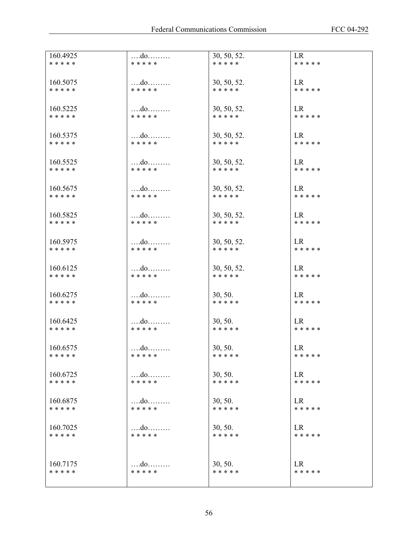| 160.4925              |                                    | 30, 50, 52.              | <b>LR</b>       |
|-----------------------|------------------------------------|--------------------------|-----------------|
| * * * * *             | * * * * *                          | * * * * *                | * * * * *       |
|                       |                                    |                          |                 |
| 160.5075              | do                                 | 30, 50, 52.              | <b>LR</b>       |
| * * * * *             | * * * * *                          | * * * * *                | * * * * *       |
|                       |                                    |                          |                 |
|                       |                                    |                          |                 |
| 160.5225              | $\dots$ $d$ 0<br>* * * * *         | 30, 50, 52.              | LR<br>* * * * * |
| * * * * *             |                                    | * * * * *                |                 |
|                       |                                    |                          |                 |
| 160.5375              | $\dots$ $d$ 0                      | 30, 50, 52.              | LR              |
| * * * * *             | * * * * *                          | * * * * *                | * * * * *       |
|                       |                                    |                          |                 |
| 160.5525              |                                    | 30, 50, 52.              | LR              |
| * * * * *             | * * * * *                          | * * * * *                | * * * * *       |
|                       |                                    |                          |                 |
| 160.5675              | do                                 | 30, 50, 52.              | LR              |
| * * * * *             | * * * * *                          | * * * * *                | * * * * *       |
|                       |                                    |                          |                 |
|                       |                                    |                          |                 |
| 160.5825              | $\dots$ $d$ 0 $\dots$<br>* * * * * | 30, 50, 52.<br>* * * * * | LR<br>* * * * * |
| * * * * *             |                                    |                          |                 |
|                       |                                    |                          |                 |
| 160.5975              | $\dots$ $d$ 0                      | 30, 50, 52.              | <b>LR</b>       |
| * * * * *             | * * * * *                          | * * * * *                | * * * * *       |
|                       |                                    |                          |                 |
| 160.6125              | do                                 | 30, 50, 52.              | LR              |
| * * * * *             | * * * * *                          | * * * * *                | * * * * *       |
|                       |                                    |                          |                 |
| 160.6275              | do                                 | 30, 50.                  | LR              |
| * * * * *             | * * * * *                          | * * * * *                | * * * * *       |
|                       |                                    |                          |                 |
| 160.6425              | $\dots$ $d$ 0 $\dots$              | 30, 50.                  | LR              |
| * * * * *             | * * * * *                          | * * * * *                | * * * * *       |
|                       |                                    |                          |                 |
|                       |                                    |                          |                 |
| 160.6575<br>* * * * * | * * * * *                          | 30, 50.<br>* * * * *     | LR<br>* * * * * |
|                       |                                    |                          |                 |
|                       |                                    |                          |                 |
| 160.6725              | $\dots$ $d$ o                      | 30, 50.                  | <b>LR</b>       |
| * * * * *             | * * * * *                          | * * * * *                | * * * * *       |
|                       |                                    |                          |                 |
| 160.6875              |                                    | 30, 50.                  | LR              |
| * * * * *             | * * * * *                          | * * * * *                | * * * * *       |
|                       |                                    |                          |                 |
| 160.7025              | do                                 | 30, 50.                  | LR              |
| * * * * *             | * * * * *                          | * * * * *                | * * * * *       |
|                       |                                    |                          |                 |
|                       |                                    |                          |                 |
| 160.7175              | $\dots$                            | 30, 50.                  | <b>LR</b>       |
| * * * * *             | * * * * *                          | * * * * *                | * * * * *       |
|                       |                                    |                          |                 |
|                       |                                    |                          |                 |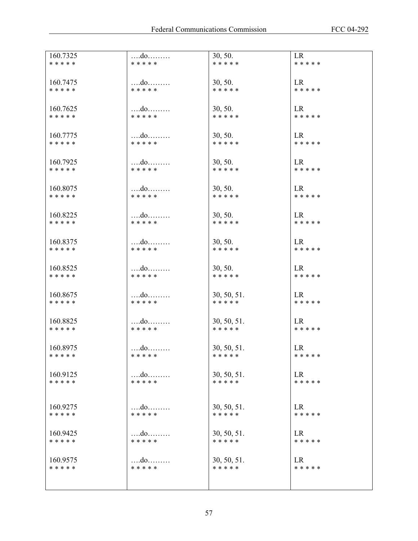| 160.7325<br>* * * * * | * * * * *                          | 30, 50.<br>* * * * *     | <b>LR</b><br>* * * * * |
|-----------------------|------------------------------------|--------------------------|------------------------|
|                       |                                    |                          |                        |
| 160.7475<br>* * * * * | do<br>* * * * *                    | 30, 50.<br>* * * * *     | <b>LR</b><br>* * * * * |
|                       |                                    |                          |                        |
| 160.7625<br>* * * * * | $\dots$ $d$ 0<br>* * * * *         | 30, 50.<br>* * * * *     | LR<br>* * * * *        |
|                       |                                    |                          |                        |
| 160.7775<br>* * * * * | $\dots$ $d$ 0<br>* * * * *         | 30, 50.<br>* * * * *     | <b>LR</b><br>* * * * * |
|                       |                                    |                          |                        |
| 160.7925<br>* * * * * | * * * * *                          | 30, 50.<br>* * * * *     | LR<br>* * * * *        |
|                       |                                    |                          |                        |
| 160.8075<br>* * * * * | do<br>* * * * *                    | 30, 50.<br>* * * * *     | <b>LR</b><br>* * * * * |
|                       |                                    |                          |                        |
| 160.8225<br>* * * * * | $\dots$ $d$ 0 $\dots$<br>* * * * * | 30, 50.<br>* * * * *     | LR<br>* * * * *        |
| 160.8375              | $\dots$ $d$ 0                      | 30, 50.                  | <b>LR</b>              |
| * * * * *             | * * * * *                          | * * * * *                | * * * * *              |
| 160.8525              | $\dots$ $d$ 0                      | 30, 50.                  | LR                     |
| * * * * *             | * * * * *                          | * * * * *                | * * * * *              |
| 160.8675              | do                                 | 30, 50, 51.              | LR                     |
| * * * * *             | * * * * *                          | * * * * *                | * * * * *              |
| 160.8825              | $\dots$ $d$ 0 $\dots$              | 30, 50, 51.              | LR                     |
| * * * * *             | * * * * *                          | * * * * *                | * * * * *              |
| 160.8975              |                                    | 30, 50, 51.              | LR                     |
| * * * * *             | * * * * *                          | * * * * *                | * * * * *              |
| 160.9125<br>* * * * * | $\dots$ $d$ 0<br>* * * * *         | 30, 50, 51.<br>* * * * * | LR<br>* * * * *        |
|                       |                                    |                          |                        |
| 160.9275              | do                                 | 30, 50, 51.              | LR                     |
| * * * * *             | * * * * *                          | * * * * *                | * * * * *              |
| 160.9425              |                                    | 30, 50, 51.              | LR                     |
| * * * * *             | * * * * *                          | * * * * *                | * * * * *              |
| 160.9575              | $\dots$ $d$ o $\dots$              | 30, 50, 51.              | LR                     |
| * * * * *             | * * * * *                          | * * * * *                | * * * * *              |
|                       |                                    |                          |                        |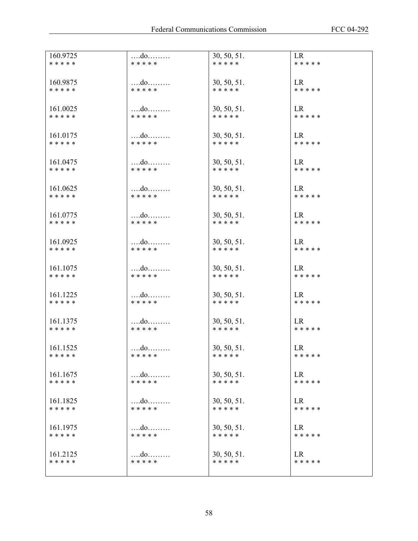| 160.9725  |               | 30, 50, 51. | LR        |
|-----------|---------------|-------------|-----------|
| * * * * * | * * * * *     | * * * * *   | * * * * * |
| 160.9875  |               | 30, 50, 51. | LR        |
| * * * * * | * * * * *     | * * * * *   | * * * * * |
| 161.0025  | $\dots$ $d$ 0 | 30, 50, 51. | LR        |
| * * * * * | * * * * *     | * * * * *   | * * * * * |
| 161.0175  | $\dots$ $d$ 0 | 30, 50, 51. | LR        |
| * * * * * | * * * * *     | * * * * *   | * * * * * |
| 161.0475  | $\dots$ $d$ 0 | 30, 50, 51. | LR        |
| * * * * * | * * * * *     | * * * * *   | * * * * * |
| 161.0625  |               | 30, 50, 51. | LR        |
| * * * * * | * * * * *     | * * * * *   | * * * * * |
| 161.0775  | $\dots$ $d$ 0 | 30, 50, 51. | LR        |
| * * * * * | * * * * *     | * * * * *   | * * * * * |
| 161.0925  |               | 30, 50, 51. | LR        |
| * * * * * | * * * * *     | * * * * *   | * * * * * |
| 161.1075  | $\dots$ $d$ 0 | 30, 50, 51. | LR        |
| * * * * * | * * * * *     | * * * * *   | * * * * * |
| 161.1225  |               | 30, 50, 51. | LR        |
| * * * * * | * * * * *     | * * * * *   | * * * * * |
| 161.1375  | $\dots$ $d$ 0 | 30, 50, 51. | LR        |
| * * * * * | * * * * *     | * * * * *   | * * * * * |
| 161.1525  | do            | 30, 50, 51. | LR        |
| * * * * * | * * * * *     | * * * * *   | * * * * * |
| 161.1675  | do            | 30, 50, 51. | <b>LR</b> |
| * * * * * | * * * * *     | * * * * *   | * * * * * |
| 161.1825  |               | 30, 50, 51. | LR        |
| * * * * * | * * * * *     | * * * * *   | * * * * * |
| 161.1975  |               | 30, 50, 51. | LR        |
| * * * * * | * * * * *     | * * * * *   | * * * * * |
| 161.2125  | do            | 30, 50, 51. | LR        |
| * * * * * | * * * * *     | * * * * *   | * * * * * |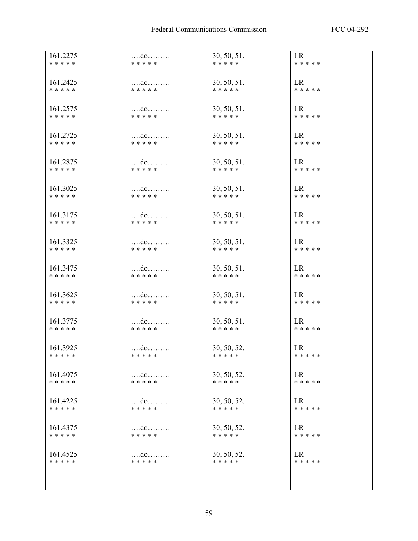| 161.2275<br>* * * * * | * * * * *                          | 30, 50, 51.<br>* * * * * | LR<br>* * * * *        |
|-----------------------|------------------------------------|--------------------------|------------------------|
|                       |                                    |                          |                        |
| 161.2425<br>* * * * * | $\dots$ $d$ 0<br>* * * * *         | 30, 50, 51.<br>* * * * * | LR<br>* * * * *        |
|                       |                                    |                          |                        |
| 161.2575<br>* * * * * | $\dots$ $d$ 0<br>* * * * *         | 30, 50, 51.<br>* * * * * | LR<br>* * * * *        |
|                       |                                    |                          |                        |
| 161.2725<br>* * * * * | $\dots$ $d$ 0<br>* * * * *         | 30, 50, 51.<br>* * * * * | LR<br>* * * * *        |
|                       |                                    |                          |                        |
| 161.2875<br>* * * * * | $\dots$ $d$ 0<br>* * * * *         | 30, 50, 51.<br>* * * * * | LR<br>* * * * *        |
|                       |                                    |                          |                        |
| 161.3025<br>* * * * * | do<br>* * * * *                    | 30, 50, 51.<br>* * * * * | <b>LR</b><br>* * * * * |
|                       |                                    |                          |                        |
| 161.3175<br>* * * * * | * * * * *                          | 30, 50, 51.<br>* * * * * | LR<br>* * * * *        |
|                       |                                    |                          |                        |
| 161.3325<br>* * * * * | * * * * *                          | 30, 50, 51.<br>* * * * * | LR<br>* * * * *        |
|                       |                                    |                          |                        |
| 161.3475<br>* * * * * | $\dots$ $d$ 0<br>* * * * *         | 30, 50, 51.<br>* * * * * | LR<br>* * * * *        |
|                       |                                    |                          |                        |
| 161.3625<br>* * * * * | * * * * *                          | 30, 50, 51.<br>* * * * * | LR<br>* * * * *        |
|                       |                                    |                          |                        |
| 161.3775<br>* * * * * | * * * * *                          | 30, 50, 51.<br>* * * * * | LR<br>* * * * *        |
|                       |                                    |                          |                        |
| 161.3925<br>* * * * * | $\dots$ $d$ 0<br>* * * * *         | 30, 50, 52.<br>* * * * * | LR<br>* * * * *        |
|                       |                                    |                          |                        |
| 161.4075<br>* * * * * | $\dots$ $d$ 0<br>* * * * *         | 30, 50, 52.<br>* * * * * | LR<br>* * * * *        |
|                       |                                    |                          |                        |
| 161.4225<br>* * * * * | $\dots$ $d$ 0<br>* * * * *         | 30, 50, 52.<br>* * * * * | LR<br>* * * * *        |
|                       |                                    |                          |                        |
| 161.4375<br>* * * * * | $\dots$ $d$ 0 $\dots$<br>* * * * * | 30, 50, 52.<br>* * * * * | LR<br>* * * * *        |
|                       |                                    |                          |                        |
| 161.4525<br>* * * * * | $\dots$ $d$ o<br>* * * * *         | 30, 50, 52.<br>* * * * * | LR<br>* * * * *        |
|                       |                                    |                          |                        |
|                       |                                    |                          |                        |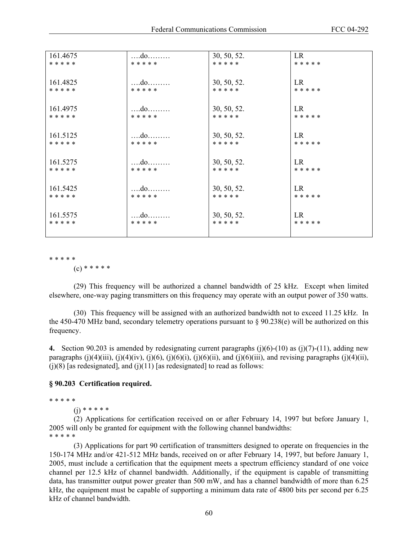| 161.4675  |               | 30, 50, 52. | LR.       |
|-----------|---------------|-------------|-----------|
| * * * * * | * * * * *     | * * * * *   | * * * * * |
|           |               |             |           |
| 161.4825  |               | 30, 50, 52. | LR        |
| * * * * * | * * * * *     | * * * * *   | * * * * * |
|           |               |             |           |
| 161.4975  |               | 30, 50, 52. | LR        |
| * * * * * | * * * * *     | * * * * *   | * * * * * |
|           |               |             |           |
| 161.5125  | $\dots$ $d$ o | 30, 50, 52. | LR        |
| * * * * * | * * * * *     | * * * * *   | * * * * * |
|           |               |             |           |
| 161.5275  |               | 30, 50, 52. | LR        |
| * * * * * | * * * * *     | * * * * *   | * * * * * |
|           |               |             |           |
| 161.5425  | $\dots$ $d$ o | 30, 50, 52. | LR        |
| * * * * * | * * * * *     | * * * * *   | * * * * * |
|           |               |             |           |
| 161.5575  | $\dots$ $d$ 0 | 30, 50, 52. | LR        |
| * * * * * | * * * * *     | * * * * *   | * * * * * |
|           |               |             |           |

\* \* \* \* \*

 $(c)$  \* \* \* \* \*

 (29) This frequency will be authorized a channel bandwidth of 25 kHz. Except when limited elsewhere, one-way paging transmitters on this frequency may operate with an output power of 350 watts.

 (30) This frequency will be assigned with an authorized bandwidth not to exceed 11.25 kHz. In the 450-470 MHz band, secondary telemetry operations pursuant to  $\S 90.238(e)$  will be authorized on this frequency.

**4.** Section 90.203 is amended by redesignating current paragraphs  $(j)(6)-(10)$  as  $(j)(7)-(11)$ , adding new paragraphs (j)(4)(iii), (j)(4)(iv), (j)(6), (j)(6)(i), (j)(6)(ii), and (j)(6)(iii), and revising paragraphs (j)(4)(ii),  $(j)(8)$  [as redesignated], and  $(j)(11)$  [as redesignated] to read as follows:

### **§ 90.203 Certification required.**

\* \* \* \* \*

 $(i)$  \* \* \* \* \*

(2) Applications for certification received on or after February 14, 1997 but before January 1, 2005 will only be granted for equipment with the following channel bandwidths: \* \* \* \* \*

 (3) Applications for part 90 certification of transmitters designed to operate on frequencies in the 150-174 MHz and/or 421-512 MHz bands, received on or after February 14, 1997, but before January 1, 2005, must include a certification that the equipment meets a spectrum efficiency standard of one voice channel per 12.5 kHz of channel bandwidth. Additionally, if the equipment is capable of transmitting data, has transmitter output power greater than 500 mW, and has a channel bandwidth of more than 6.25 kHz, the equipment must be capable of supporting a minimum data rate of 4800 bits per second per 6.25 kHz of channel bandwidth.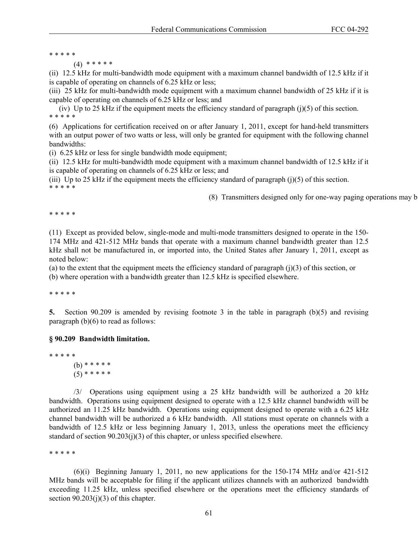\* \* \* \* \*

(4) \* \* \* \* \*

(ii) 12.5 kHz for multi-bandwidth mode equipment with a maximum channel bandwidth of 12.5 kHz if it is capable of operating on channels of 6.25 kHz or less;

(iii) 25 kHz for multi-bandwidth mode equipment with a maximum channel bandwidth of 25 kHz if it is capable of operating on channels of 6.25 kHz or less; and

(iv) Up to 25 kHz if the equipment meets the efficiency standard of paragraph (j)(5) of this section. \* \* \* \* \*

(6) Applications for certification received on or after January 1, 2011, except for hand-held transmitters with an output power of two watts or less, will only be granted for equipment with the following channel bandwidths:

(i) 6.25 kHz or less for single bandwidth mode equipment;

(ii) 12.5 kHz for multi-bandwidth mode equipment with a maximum channel bandwidth of 12.5 kHz if it is capable of operating on channels of 6.25 kHz or less; and

(iii) Up to 25 kHz if the equipment meets the efficiency standard of paragraph (j)(5) of this section. \* \* \* \* \*

(8) Transmitters designed only for one-way paging operations may b

\* \* \* \* \*

(11) Except as provided below, single-mode and multi-mode transmitters designed to operate in the 150- 174 MHz and 421-512 MHz bands that operate with a maximum channel bandwidth greater than 12.5 kHz shall not be manufactured in, or imported into, the United States after January 1, 2011, except as noted below:

(a) to the extent that the equipment meets the efficiency standard of paragraph  $(j)(3)$  of this section, or (b) where operation with a bandwidth greater than 12.5 kHz is specified elsewhere.

\* \* \* \* \*

**5.** Section 90.209 is amended by revising footnote 3 in the table in paragraph (b)(5) and revising paragraph  $(b)(6)$  to read as follows:

### **§ 90.209 Bandwidth limitation.**

\* \* \* \* \* (b) \* \* \* \* \*  $(5)$  \* \* \* \* \*

 /3/ Operations using equipment using a 25 kHz bandwidth will be authorized a 20 kHz bandwidth. Operations using equipment designed to operate with a 12.5 kHz channel bandwidth will be authorized an 11.25 kHz bandwidth. Operations using equipment designed to operate with a 6.25 kHz channel bandwidth will be authorized a 6 kHz bandwidth. All stations must operate on channels with a bandwidth of 12.5 kHz or less beginning January 1, 2013, unless the operations meet the efficiency standard of section 90.203(j)(3) of this chapter, or unless specified elsewhere.

\* \* \* \* \*

 $(6)(i)$  Beginning January 1, 2011, no new applications for the 150-174 MHz and/or 421-512 MHz bands will be acceptable for filing if the applicant utilizes channels with an authorized bandwidth exceeding 11.25 kHz, unless specified elsewhere or the operations meet the efficiency standards of section  $90.203(i)(3)$  of this chapter.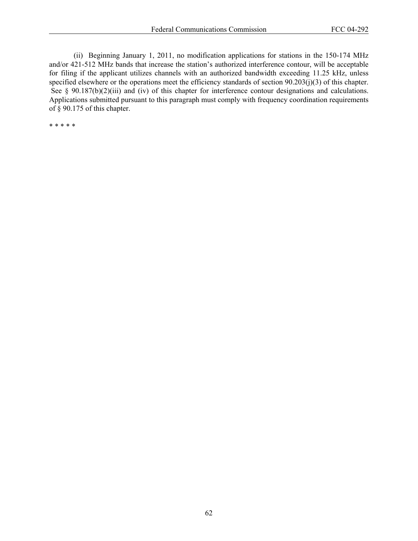(ii) Beginning January 1, 2011, no modification applications for stations in the 150-174 MHz and/or 421-512 MHz bands that increase the station's authorized interference contour, will be acceptable for filing if the applicant utilizes channels with an authorized bandwidth exceeding 11.25 kHz, unless specified elsewhere or the operations meet the efficiency standards of section 90.203(j)(3) of this chapter. See § 90.187(b)(2)(iii) and (iv) of this chapter for interference contour designations and calculations. Applications submitted pursuant to this paragraph must comply with frequency coordination requirements of § 90.175 of this chapter.

\* \* \* \* \*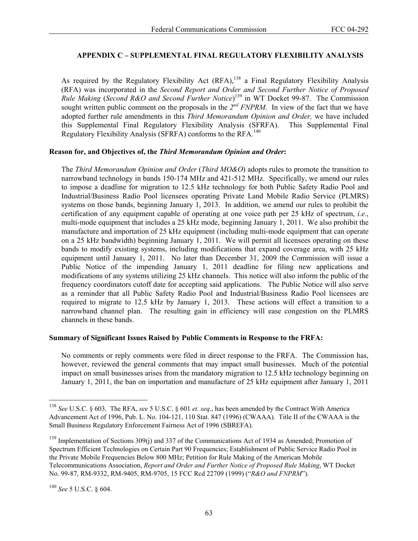## **APPENDIX C – SUPPLEMENTAL FINAL REGULATORY FLEXIBILITY ANALYSIS**

As required by the Regulatory Flexibility Act (RFA),<sup>138</sup> a Final Regulatory Flexibility Analysis (RFA) was incorporated in the *Second Report and Order and Second Further Notice of Proposed Rule Making* (*Second R&O and Second Further Notice*) 139 in WT Docket 99-87. The Commission sought written public comment on the proposals in the 2<sup>nd</sup> FNPRM. In view of the fact that we have adopted further rule amendments in this *Third Memorandum Opinion and Order,* we have included this Supplemental Final Regulatory Flexibility Analysis (SFRFA). This Supplemental Final Regulatory Flexibility Analysis (SFRFA) conforms to the RFA.<sup>140</sup>

## **Reason for, and Objectives of, the** *Third Memorandum Opinion and Order***:**

The *Third Memorandum Opinion and Order* (*Third MO&O*) adopts rules to promote the transition to narrowband technology in bands 150-174 MHz and 421-512 MHz. Specifically, we amend our rules to impose a deadline for migration to 12.5 kHz technology for both Public Safety Radio Pool and Industrial/Business Radio Pool licensees operating Private Land Mobile Radio Service (PLMRS) systems on those bands, beginning January 1, 2013. In addition, we amend our rules to prohibit the certification of any equipment capable of operating at one voice path per 25 kHz of spectrum, *i.e.*, multi-mode equipment that includes a 25 kHz mode, beginning January 1, 2011. We also prohibit the manufacture and importation of 25 kHz equipment (including multi-mode equipment that can operate on a 25 kHz bandwidth) beginning January 1, 2011. We will permit all licensees operating on these bands to modify existing systems, including modifications that expand coverage area, with 25 kHz equipment until January 1, 2011. No later than December 31, 2009 the Commission will issue a Public Notice of the impending January 1, 2011 deadline for filing new applications and modifications of any systems utilizing 25 kHz channels. This notice will also inform the public of the frequency coordinators cutoff date for accepting said applications. The Public Notice will also serve as a reminder that all Public Safety Radio Pool and Industrial/Business Radio Pool licensees are required to migrate to 12.5 kHz by January 1, 2013. These actions will effect a transition to a narrowband channel plan. The resulting gain in efficiency will ease congestion on the PLMRS channels in these bands.

## **Summary of Significant Issues Raised by Public Comments in Response to the FRFA:**

No comments or reply comments were filed in direct response to the FRFA. The Commission has, however, reviewed the general comments that may impact small businesses. Much of the potential impact on small businesses arises from the mandatory migration to 12.5 kHz technology beginning on January 1, 2011, the ban on importation and manufacture of 25 kHz equipment after January 1, 2011

1

<sup>138</sup> *See* U.S.C. § 603. The RFA, *see* 5 U.S.C. § 601 *et. seq*., has been amended by the Contract With America Advancement Act of 1996, Pub. L. No. 104-121, 110 Stat. 847 (1996) (CWAAA). Title II of the CWAAA is the Small Business Regulatory Enforcement Fairness Act of 1996 (SBREFA).

<sup>&</sup>lt;sup>139</sup> Implementation of Sections 309(j) and 337 of the Communications Act of 1934 as Amended; Promotion of Spectrum Efficient Technologies on Certain Part 90 Frequencies; Establishment of Public Service Radio Pool in the Private Mobile Frequencies Below 800 MHz; Petition for Rule Making of the American Mobile Telecommunications Association, *Report and Order and Further Notice of Proposed Rule Making*, WT Docket No. 99-87, RM-9332, RM-9405, RM-9705, 15 FCC Rcd 22709 (1999) ("*R&O and FNPRM*").

<sup>140</sup> *See* 5 U.S.C. § 604.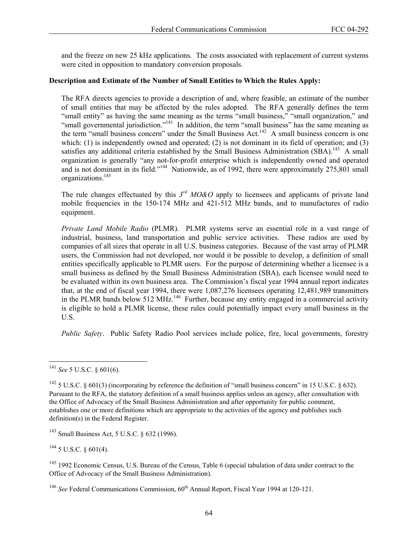and the freeze on new 25 kHz applications. The costs associated with replacement of current systems were cited in opposition to mandatory conversion proposals.

## **Description and Estimate of the Number of Small Entities to Which the Rules Apply:**

The RFA directs agencies to provide a description of and, where feasible, an estimate of the number of small entities that may be affected by the rules adopted. The RFA generally defines the term "small entity" as having the same meaning as the terms "small business," "small organization," and "small governmental jurisdiction."<sup>141</sup> In addition, the term "small business" has the same meaning as the term "small business concern" under the Small Business Act.<sup>142</sup> A small business concern is one which: (1) is independently owned and operated; (2) is not dominant in its field of operation; and (3) satisfies any additional criteria established by the Small Business Administration  $(SBA)$ <sup>143</sup> A small organization is generally "any not-for-profit enterprise which is independently owned and operated and is not dominant in its field."<sup>144</sup> Nationwide, as of 1992, there were approximately 275,801 small organizations.145

The rule changes effectuated by this *3rd MO&O* apply to licensees and applicants of private land mobile frequencies in the 150-174 MHz and 421-512 MHz bands, and to manufactures of radio equipment.

*Private Land Mobile Radio* (PLMR). PLMR systems serve an essential role in a vast range of industrial, business, land transportation and public service activities. These radios are used by companies of all sizes that operate in all U.S. business categories. Because of the vast array of PLMR users, the Commission had not developed, nor would it be possible to develop, a definition of small entities specifically applicable to PLMR users. For the purpose of determining whether a licensee is a small business as defined by the Small Business Administration (SBA), each licensee would need to be evaluated within its own business area. The Commission's fiscal year 1994 annual report indicates that, at the end of fiscal year 1994, there were 1,087,276 licensees operating 12,481,989 transmitters in the PLMR bands below 512 MHz.<sup>146</sup> Further, because any entity engaged in a commercial activity is eligible to hold a PLMR license, these rules could potentially impact every small business in the U.S.

*Public Safety*. Public Safety Radio Pool services include police, fire, local governments, forestry

1

 $144$  5 U.S.C. § 601(4).

<sup>141</sup> *See* 5 U.S.C. § 601(6).

<sup>&</sup>lt;sup>142</sup> 5 U.S.C. § 601(3) (incorporating by reference the definition of "small business concern" in 15 U.S.C. § 632). Pursuant to the RFA, the statutory definition of a small business applies unless an agency, after consultation with the Office of Advocacy of the Small Business Administration and after opportunity for public comment, establishes one or more definitions which are appropriate to the activities of the agency and publishes such definition(s) in the Federal Register.

<sup>143</sup> Small Business Act, 5 U.S.C. § 632 (1996).

<sup>&</sup>lt;sup>145</sup> 1992 Economic Census, U.S. Bureau of the Census, Table 6 (special tabulation of data under contract to the Office of Advocacy of the Small Business Administration).

<sup>&</sup>lt;sup>146</sup> See Federal Communications Commission, 60<sup>th</sup> Annual Report, Fiscal Year 1994 at 120-121.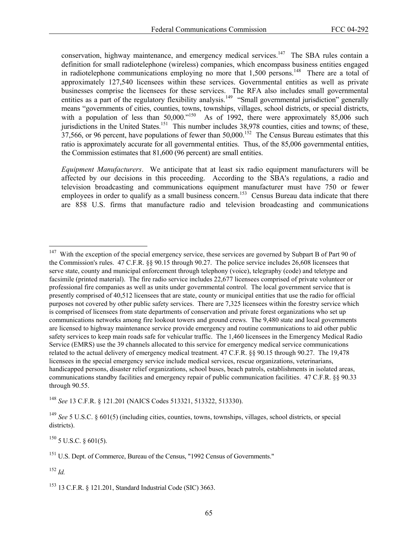conservation, highway maintenance, and emergency medical services.<sup>147</sup> The SBA rules contain a definition for small radiotelephone (wireless) companies, which encompass business entities engaged in radiotelephone communications employing no more that  $1,500$  persons.<sup>148</sup> There are a total of approximately 127,540 licensees within these services. Governmental entities as well as private businesses comprise the licensees for these services. The RFA also includes small governmental entities as a part of the regulatory flexibility analysis.<sup>149</sup> "Small governmental jurisdiction" generally means "governments of cities, counties, towns, townships, villages, school districts, or special districts, with a population of less than 50,000."<sup>150</sup> As of 1992, there were approximately 85,006 such jurisdictions in the United States.<sup>151</sup> This number includes 38,978 counties, cities and towns; of these,  $37,566$ , or 96 percent, have populations of fewer than 50,000.<sup>152</sup> The Census Bureau estimates that this ratio is approximately accurate for all governmental entities. Thus, of the 85,006 governmental entities, the Commission estimates that 81,600 (96 percent) are small entities.

*Equipment Manufacturers*. We anticipate that at least six radio equipment manufacturers will be affected by our decisions in this proceeding. According to the SBA's regulations, a radio and television broadcasting and communications equipment manufacturer must have 750 or fewer employees in order to qualify as a small business concern.<sup>153</sup> Census Bureau data indicate that there are 858 U.S. firms that manufacture radio and television broadcasting and communications

<sup>148</sup> *See* 13 C.F.R. § 121.201 (NAICS Codes 513321, 513322, 513330).

 $^{150}$  5 U.S.C. § 601(5).

<sup>151</sup> U.S. Dept. of Commerce, Bureau of the Census, "1992 Census of Governments."

<sup>152</sup> *Id.*

l

153 13 C.F.R. § 121.201, Standard Industrial Code (SIC) 3663.

<sup>&</sup>lt;sup>147</sup> With the exception of the special emergency service, these services are governed by Subpart B of Part 90 of the Commission's rules. 47 C.F.R. §§ 90.15 through 90.27. The police service includes 26,608 licensees that serve state, county and municipal enforcement through telephony (voice), telegraphy (code) and teletype and facsimile (printed material). The fire radio service includes 22,677 licensees comprised of private volunteer or professional fire companies as well as units under governmental control. The local government service that is presently comprised of 40,512 licensees that are state, county or municipal entities that use the radio for official purposes not covered by other public safety services. There are 7,325 licensees within the forestry service which is comprised of licensees from state departments of conservation and private forest organizations who set up communications networks among fire lookout towers and ground crews. The 9,480 state and local governments are licensed to highway maintenance service provide emergency and routine communications to aid other public safety services to keep main roads safe for vehicular traffic. The 1,460 licensees in the Emergency Medical Radio Service (EMRS) use the 39 channels allocated to this service for emergency medical service communications related to the actual delivery of emergency medical treatment. 47 C.F.R. §§ 90.15 through 90.27. The 19,478 licensees in the special emergency service include medical services, rescue organizations, veterinarians, handicapped persons, disaster relief organizations, school buses, beach patrols, establishments in isolated areas, communications standby facilities and emergency repair of public communication facilities. 47 C.F.R. §§ 90.33 through 90.55.

<sup>149</sup> *See* 5 U.S.C. § 601(5) (including cities, counties, towns, townships, villages, school districts, or special districts).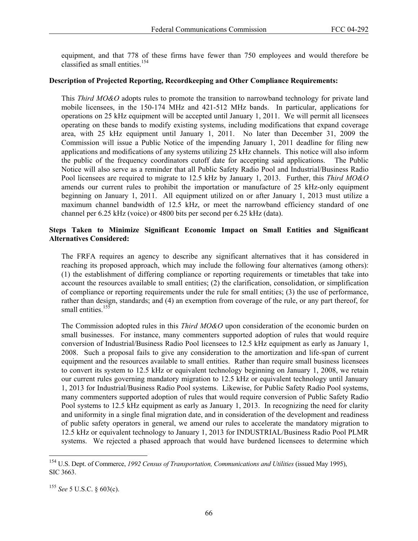equipment, and that 778 of these firms have fewer than 750 employees and would therefore be classified as small entities.<sup>154</sup>

### **Description of Projected Reporting, Recordkeeping and Other Compliance Requirements:**

This *Third MO&O* adopts rules to promote the transition to narrowband technology for private land mobile licensees, in the 150-174 MHz and 421-512 MHz bands. In particular, applications for operations on 25 kHz equipment will be accepted until January 1, 2011. We will permit all licensees operating on these bands to modify existing systems, including modifications that expand coverage area, with 25 kHz equipment until January 1, 2011. No later than December 31, 2009 the Commission will issue a Public Notice of the impending January 1, 2011 deadline for filing new applications and modifications of any systems utilizing 25 kHz channels. This notice will also inform the public of the frequency coordinators cutoff date for accepting said applications. The Public Notice will also serve as a reminder that all Public Safety Radio Pool and Industrial/Business Radio Pool licensees are required to migrate to 12.5 kHz by January 1, 2013. Further, this *Third MO&O* amends our current rules to prohibit the importation or manufacture of 25 kHz-only equipment beginning on January 1, 2011. All equipment utilized on or after January 1, 2013 must utilize a maximum channel bandwidth of 12.5 kHz, or meet the narrowband efficiency standard of one channel per 6.25 kHz (voice) or 4800 bits per second per 6.25 kHz (data).

## **Steps Taken to Minimize Significant Economic Impact on Small Entities and Significant Alternatives Considered:**

The FRFA requires an agency to describe any significant alternatives that it has considered in reaching its proposed approach, which may include the following four alternatives (among others): (1) the establishment of differing compliance or reporting requirements or timetables that take into account the resources available to small entities; (2) the clarification, consolidation, or simplification of compliance or reporting requirements under the rule for small entities; (3) the use of performance, rather than design, standards; and (4) an exemption from coverage of the rule, or any part thereof, for small entities.<sup>155</sup>

The Commission adopted rules in this *Third MO&O* upon consideration of the economic burden on small businesses. For instance, many commenters supported adoption of rules that would require conversion of Industrial/Business Radio Pool licensees to 12.5 kHz equipment as early as January 1, 2008. Such a proposal fails to give any consideration to the amortization and life-span of current equipment and the resources available to small entities. Rather than require small business licensees to convert its system to 12.5 kHz or equivalent technology beginning on January 1, 2008, we retain our current rules governing mandatory migration to 12.5 kHz or equivalent technology until January 1, 2013 for Industrial/Business Radio Pool systems. Likewise, for Public Safety Radio Pool systems, many commenters supported adoption of rules that would require conversion of Public Safety Radio Pool systems to 12.5 kHz equipment as early as January 1, 2013. In recognizing the need for clarity and uniformity in a single final migration date, and in consideration of the development and readiness of public safety operators in general, we amend our rules to accelerate the mandatory migration to 12.5 kHz or equivalent technology to January 1, 2013 for INDUSTRIAL/Business Radio Pool PLMR systems. We rejected a phased approach that would have burdened licensees to determine which

1

<sup>154</sup> U.S. Dept. of Commerce, *1992 Census of Transportation, Communications and Utilities* (issued May 1995), SIC 3663.

<sup>155</sup> *See* 5 U.S.C. § 603(c).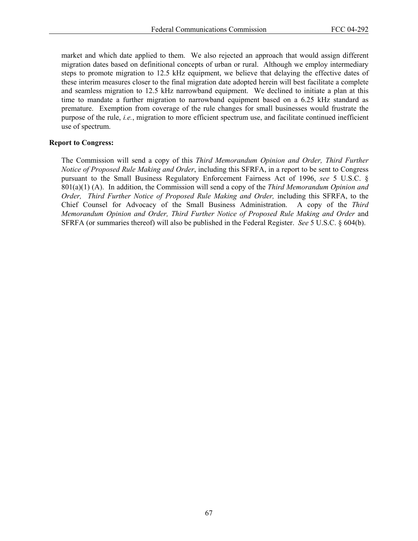market and which date applied to them. We also rejected an approach that would assign different migration dates based on definitional concepts of urban or rural. Although we employ intermediary steps to promote migration to 12.5 kHz equipment, we believe that delaying the effective dates of these interim measures closer to the final migration date adopted herein will best facilitate a complete and seamless migration to 12.5 kHz narrowband equipment. We declined to initiate a plan at this time to mandate a further migration to narrowband equipment based on a 6.25 kHz standard as premature. Exemption from coverage of the rule changes for small businesses would frustrate the purpose of the rule, *i.e.*, migration to more efficient spectrum use, and facilitate continued inefficient use of spectrum.

### **Report to Congress:**

The Commission will send a copy of this *Third Memorandum Opinion and Order, Third Further Notice of Proposed Rule Making and Order*, including this SFRFA, in a report to be sent to Congress pursuant to the Small Business Regulatory Enforcement Fairness Act of 1996, *see* 5 U.S.C. § 801(a)(1) (A). In addition, the Commission will send a copy of the *Third Memorandum Opinion and Order, Third Further Notice of Proposed Rule Making and Order,* including this SFRFA, to the Chief Counsel for Advocacy of the Small Business Administration. A copy of the *Third Memorandum Opinion and Order, Third Further Notice of Proposed Rule Making and Order and* SFRFA (or summaries thereof) will also be published in the Federal Register. *See* 5 U.S.C. § 604(b).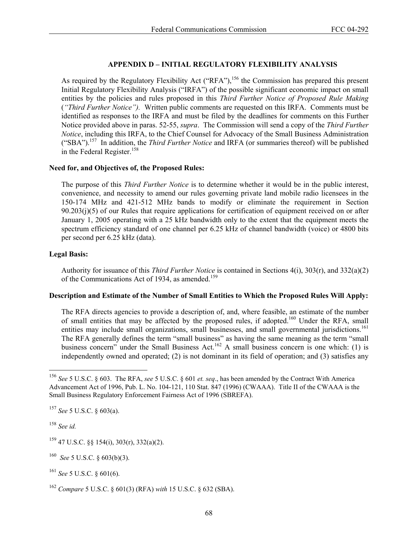# **APPENDIX D – INITIAL REGULATORY FLEXIBILITY ANALYSIS**

As required by the Regulatory Flexibility Act ("RFA"),<sup>156</sup> the Commission has prepared this present Initial Regulatory Flexibility Analysis ("IRFA") of the possible significant economic impact on small entities by the policies and rules proposed in this *Third Further Notice of Proposed Rule Making* (*"Third Further Notice").* Written public comments are requested on this IRFA. Comments must be identified as responses to the IRFA and must be filed by the deadlines for comments on this Further Notice provided above in paras. 52-55, *supra*. The Commission will send a copy of the *Third Further Notice*, including this IRFA, to the Chief Counsel for Advocacy of the Small Business Administration ("SBA").157 In addition, the *Third Further Notice* and IRFA (or summaries thereof) will be published in the Federal Register.<sup>158</sup>

## **Need for, and Objectives of, the Proposed Rules:**

The purpose of this *Third Further Notice* is to determine whether it would be in the public interest, convenience, and necessity to amend our rules governing private land mobile radio licensees in the 150-174 MHz and 421-512 MHz bands to modify or eliminate the requirement in Section  $90.203(j)(5)$  of our Rules that require applications for certification of equipment received on or after January 1, 2005 operating with a 25 kHz bandwidth only to the extent that the equipment meets the spectrum efficiency standard of one channel per 6.25 kHz of channel bandwidth (voice) or 4800 bits per second per 6.25 kHz (data).

# **Legal Basis:**

Authority for issuance of this *Third Further Notice* is contained in Sections 4(i), 303(r), and 332(a)(2) of the Communications Act of 1934, as amended.<sup>159</sup>

# **Description and Estimate of the Number of Small Entities to Which the Proposed Rules Will Apply:**

The RFA directs agencies to provide a description of, and, where feasible, an estimate of the number of small entities that may be affected by the proposed rules, if adopted.<sup>160</sup> Under the RFA, small entities may include small organizations, small businesses, and small governmental jurisdictions.<sup>161</sup> The RFA generally defines the term "small business" as having the same meaning as the term "small business concern" under the Small Business Act.<sup>162</sup> A small business concern is one which: (1) is independently owned and operated; (2) is not dominant in its field of operation; and (3) satisfies any

<sup>158</sup> *See id.*

l

<sup>156</sup> *See* 5 U.S.C. § 603. The RFA, *see* 5 U.S.C. § 601 *et. seq*., has been amended by the Contract With America Advancement Act of 1996, Pub. L. No. 104-121, 110 Stat. 847 (1996) (CWAAA). Title II of the CWAAA is the Small Business Regulatory Enforcement Fairness Act of 1996 (SBREFA).

<sup>157</sup> *See* 5 U.S.C. § 603(a).

 $159$  47 U.S.C. §§ 154(i), 303(r), 332(a)(2).

<sup>160</sup> *See* 5 U.S.C. § 603(b)(3).

<sup>161</sup> *See* 5 U.S.C. § 601(6).

<sup>162</sup> *Compare* 5 U.S.C. § 601(3) (RFA) *with* 15 U.S.C. § 632 (SBA).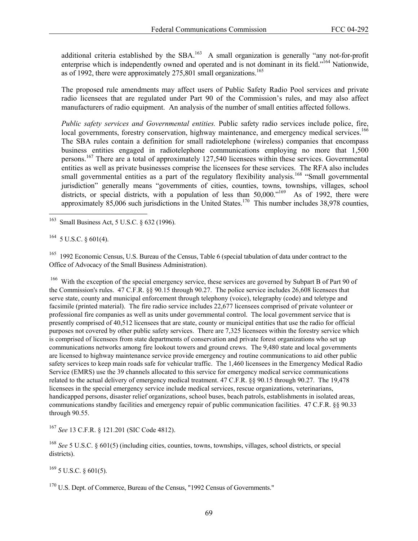additional criteria established by the SBA.<sup>163</sup> A small organization is generally "any not-for-profit enterprise which is independently owned and operated and is not dominant in its field."164 Nationwide, as of 1992, there were approximately 275,801 small organizations.<sup>165</sup>

The proposed rule amendments may affect users of Public Safety Radio Pool services and private radio licensees that are regulated under Part 90 of the Commission's rules, and may also affect manufacturers of radio equipment. An analysis of the number of small entities affected follows.

*Public safety services and Governmental entities.* Public safety radio services include police, fire, local governments, forestry conservation, highway maintenance, and emergency medical services.<sup>166</sup> The SBA rules contain a definition for small radiotelephone (wireless) companies that encompass business entities engaged in radiotelephone communications employing no more that 1,500 persons.<sup>167</sup> There are a total of approximately 127,540 licensees within these services. Governmental entities as well as private businesses comprise the licensees for these services. The RFA also includes small governmental entities as a part of the regulatory flexibility analysis.<sup>168</sup> "Small governmental jurisdiction" generally means "governments of cities, counties, towns, townships, villages, school districts, or special districts, with a population of less than  $50,000$ .<sup> $169$ </sup> As of 1992, there were approximately 85,006 such jurisdictions in the United States.<sup>170</sup> This number includes 38,978 counties,

 $^{164}$  5 U.S.C. § 601(4).

l

<sup>165</sup> 1992 Economic Census, U.S. Bureau of the Census, Table 6 (special tabulation of data under contract to the Office of Advocacy of the Small Business Administration).

<sup>166</sup> With the exception of the special emergency service, these services are governed by Subpart B of Part 90 of the Commission's rules. 47 C.F.R. §§ 90.15 through 90.27. The police service includes 26,608 licensees that serve state, county and municipal enforcement through telephony (voice), telegraphy (code) and teletype and facsimile (printed material). The fire radio service includes 22,677 licensees comprised of private volunteer or professional fire companies as well as units under governmental control. The local government service that is presently comprised of 40,512 licensees that are state, county or municipal entities that use the radio for official purposes not covered by other public safety services. There are 7,325 licensees within the forestry service which is comprised of licensees from state departments of conservation and private forest organizations who set up communications networks among fire lookout towers and ground crews. The 9,480 state and local governments are licensed to highway maintenance service provide emergency and routine communications to aid other public safety services to keep main roads safe for vehicular traffic. The 1,460 licensees in the Emergency Medical Radio Service (EMRS) use the 39 channels allocated to this service for emergency medical service communications related to the actual delivery of emergency medical treatment. 47 C.F.R. §§ 90.15 through 90.27. The 19,478 licensees in the special emergency service include medical services, rescue organizations, veterinarians, handicapped persons, disaster relief organizations, school buses, beach patrols, establishments in isolated areas, communications standby facilities and emergency repair of public communication facilities. 47 C.F.R. §§ 90.33 through 90.55.

<sup>167</sup> *See* 13 C.F.R. § 121.201 (SIC Code 4812).

<sup>168</sup> *See* 5 U.S.C. § 601(5) (including cities, counties, towns, townships, villages, school districts, or special districts).

 $169$  5 U.S.C. § 601(5).

<sup>170</sup> U.S. Dept. of Commerce, Bureau of the Census, "1992 Census of Governments."

Small Business Act, 5 U.S.C. § 632 (1996).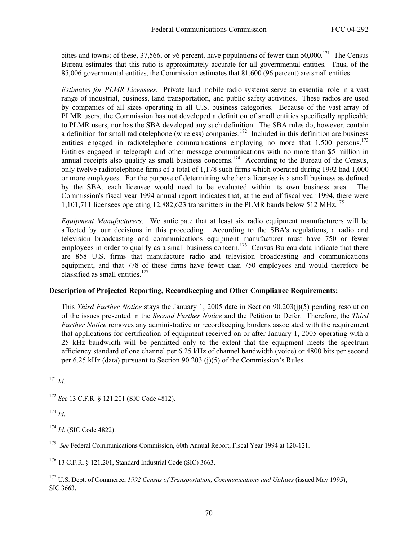cities and towns; of these, 37,566, or 96 percent, have populations of fewer than  $50,000$ .<sup>171</sup> The Census Bureau estimates that this ratio is approximately accurate for all governmental entities. Thus, of the 85,006 governmental entities, the Commission estimates that 81,600 (96 percent) are small entities.

*Estimates for PLMR Licensees.* Private land mobile radio systems serve an essential role in a vast range of industrial, business, land transportation, and public safety activities. These radios are used by companies of all sizes operating in all U.S. business categories. Because of the vast array of PLMR users, the Commission has not developed a definition of small entities specifically applicable to PLMR users, nor has the SBA developed any such definition. The SBA rules do, however, contain a definition for small radiotelephone (wireless) companies.<sup>172</sup> Included in this definition are business entities engaged in radiotelephone communications employing no more that  $1,500$  persons.<sup>173</sup> Entities engaged in telegraph and other message communications with no more than \$5 million in annual receipts also qualify as small business concerns.<sup>174</sup> According to the Bureau of the Census, only twelve radiotelephone firms of a total of 1,178 such firms which operated during 1992 had 1,000 or more employees. For the purpose of determining whether a licensee is a small business as defined by the SBA, each licensee would need to be evaluated within its own business area. The Commission's fiscal year 1994 annual report indicates that, at the end of fiscal year 1994, there were 1,101,711 licensees operating 12,882,623 transmitters in the PLMR bands below 512 MHz.<sup>175</sup>

*Equipment Manufacturers*. We anticipate that at least six radio equipment manufacturers will be affected by our decisions in this proceeding. According to the SBA's regulations, a radio and television broadcasting and communications equipment manufacturer must have 750 or fewer employees in order to qualify as a small business concern.<sup>176</sup> Census Bureau data indicate that there are 858 U.S. firms that manufacture radio and television broadcasting and communications equipment, and that 778 of these firms have fewer than 750 employees and would therefore be classified as small entities.<sup>177</sup>

### **Description of Projected Reporting, Recordkeeping and Other Compliance Requirements:**

This *Third Further Notice* stays the January 1, 2005 date in Section 90.203(j)(5) pending resolution of the issues presented in the *Second Further Notice* and the Petition to Defer. Therefore, the *Third Further Notice* removes any administrative or recordkeeping burdens associated with the requirement that applications for certification of equipment received on or after January 1, 2005 operating with a 25 kHz bandwidth will be permitted only to the extent that the equipment meets the spectrum efficiency standard of one channel per 6.25 kHz of channel bandwidth (voice) or 4800 bits per second per 6.25 kHz (data) pursuant to Section 90.203 (j)(5) of the Commission's Rules.

l <sup>171</sup> *Id.*

<sup>172</sup> *See* 13 C.F.R. § 121.201 (SIC Code 4812).

<sup>173</sup> *Id.*

<sup>174</sup> *Id.* (SIC Code 4822).

<sup>175</sup> *See* Federal Communications Commission, 60th Annual Report, Fiscal Year 1994 at 120-121.

176 13 C.F.R. § 121.201, Standard Industrial Code (SIC) 3663.

177 U.S. Dept. of Commerce, *1992 Census of Transportation, Communications and Utilities* (issued May 1995), SIC 3663.